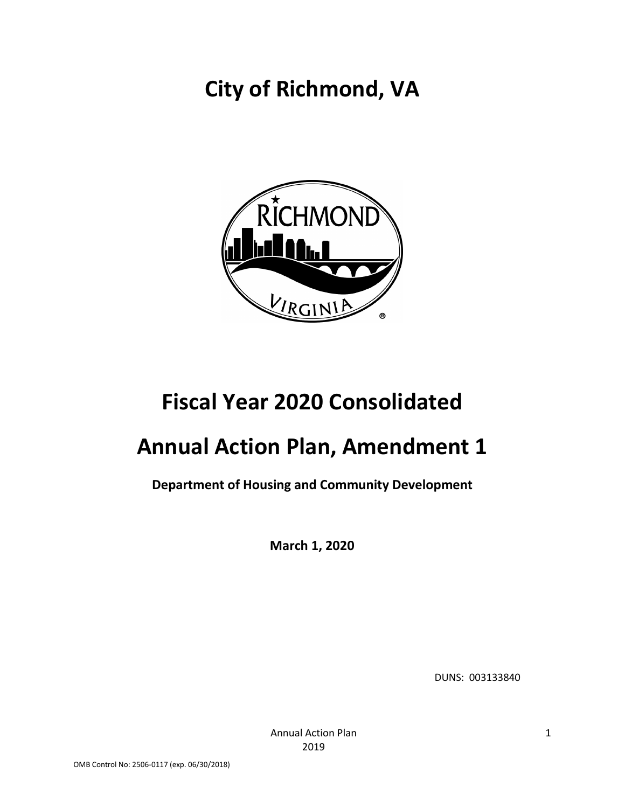# **City of Richmond, VA**



# **Fiscal Year 2020 Consolidated**

# **Annual Action Plan, Amendment 1**

## **Department of Housing and Community Development**

**March 1, 2020**

DUNS: 003133840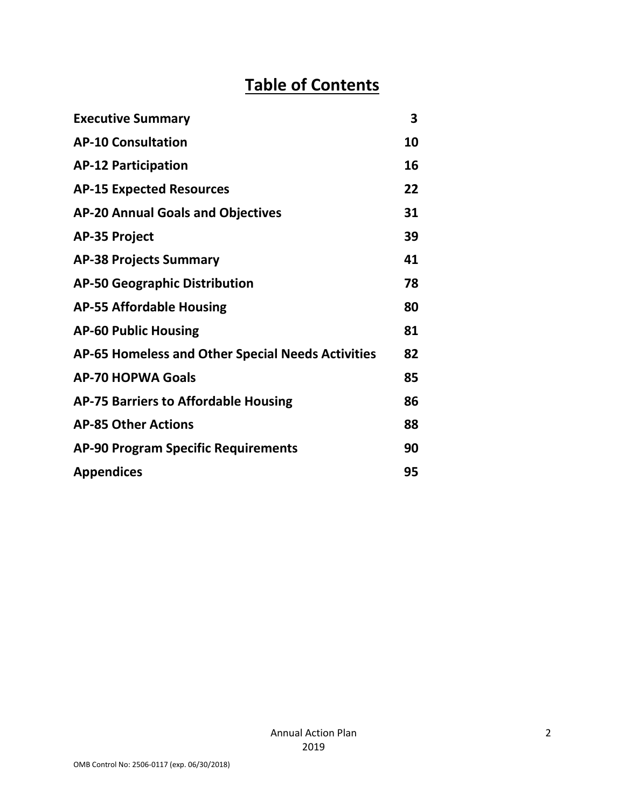# **Table of Contents**

| <b>Executive Summary</b>                          | 3  |
|---------------------------------------------------|----|
| <b>AP-10 Consultation</b>                         | 10 |
| <b>AP-12 Participation</b>                        | 16 |
| <b>AP-15 Expected Resources</b>                   | 22 |
| <b>AP-20 Annual Goals and Objectives</b>          | 31 |
| <b>AP-35 Project</b>                              | 39 |
| <b>AP-38 Projects Summary</b>                     | 41 |
| <b>AP-50 Geographic Distribution</b>              | 78 |
| <b>AP-55 Affordable Housing</b>                   | 80 |
| <b>AP-60 Public Housing</b>                       | 81 |
| AP-65 Homeless and Other Special Needs Activities | 82 |
| <b>AP-70 HOPWA Goals</b>                          | 85 |
| <b>AP-75 Barriers to Affordable Housing</b>       | 86 |
| <b>AP-85 Other Actions</b>                        | 88 |
| <b>AP-90 Program Specific Requirements</b>        | 90 |
| <b>Appendices</b>                                 | 95 |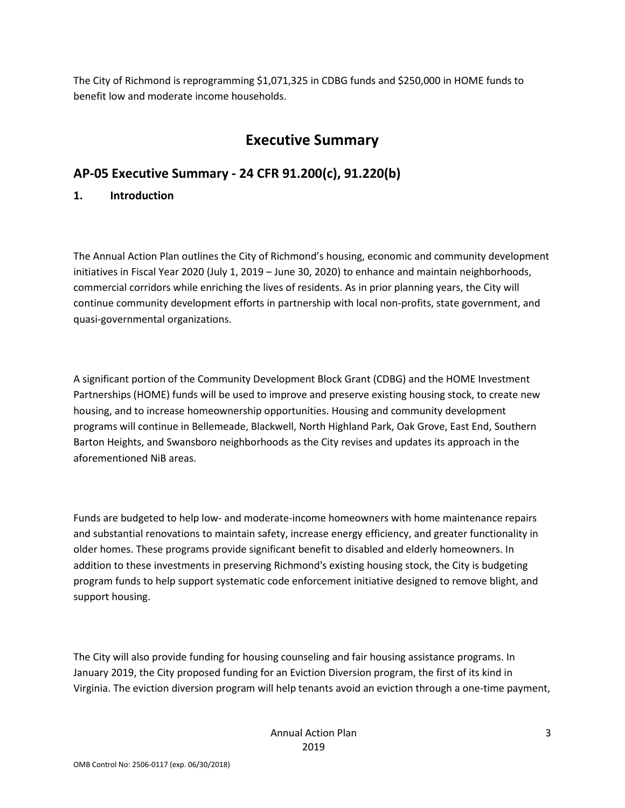The City of Richmond is reprogramming \$1,071,325 in CDBG funds and \$250,000 in HOME funds to benefit low and moderate income households.

## **Executive Summary**

## **AP-05 Executive Summary - 24 CFR 91.200(c), 91.220(b)**

### **1. Introduction**

The Annual Action Plan outlines the City of Richmond's housing, economic and community development initiatives in Fiscal Year 2020 (July 1, 2019 – June 30, 2020) to enhance and maintain neighborhoods, commercial corridors while enriching the lives of residents. As in prior planning years, the City will continue community development efforts in partnership with local non-profits, state government, and quasi-governmental organizations.

A significant portion of the Community Development Block Grant (CDBG) and the HOME Investment Partnerships (HOME) funds will be used to improve and preserve existing housing stock, to create new housing, and to increase homeownership opportunities. Housing and community development programs will continue in Bellemeade, Blackwell, North Highland Park, Oak Grove, East End, Southern Barton Heights, and Swansboro neighborhoods as the City revises and updates its approach in the aforementioned NiB areas.

Funds are budgeted to help low- and moderate-income homeowners with home maintenance repairs and substantial renovations to maintain safety, increase energy efficiency, and greater functionality in older homes. These programs provide significant benefit to disabled and elderly homeowners. In addition to these investments in preserving Richmond's existing housing stock, the City is budgeting program funds to help support systematic code enforcement initiative designed to remove blight, and support housing.

The City will also provide funding for housing counseling and fair housing assistance programs. In January 2019, the City proposed funding for an Eviction Diversion program, the first of its kind in Virginia. The eviction diversion program will help tenants avoid an eviction through a one-time payment,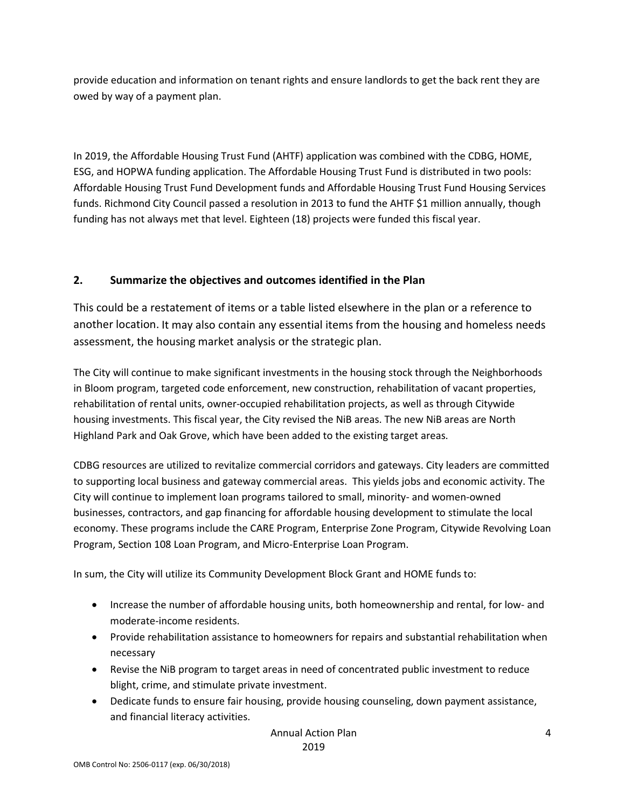provide education and information on tenant rights and ensure landlords to get the back rent they are owed by way of a payment plan.

In 2019, the Affordable Housing Trust Fund (AHTF) application was combined with the CDBG, HOME, ESG, and HOPWA funding application. The Affordable Housing Trust Fund is distributed in two pools: Affordable Housing Trust Fund Development funds and Affordable Housing Trust Fund Housing Services funds. Richmond City Council passed a resolution in 2013 to fund the AHTF \$1 million annually, though funding has not always met that level. Eighteen (18) projects were funded this fiscal year.

### **2. Summarize the objectives and outcomes identified in the Plan**

This could be a restatement of items or a table listed elsewhere in the plan or a reference to another location. It may also contain any essential items from the housing and homeless needs assessment, the housing market analysis or the strategic plan.

The City will continue to make significant investments in the housing stock through the Neighborhoods in Bloom program, targeted code enforcement, new construction, rehabilitation of vacant properties, rehabilitation of rental units, owner-occupied rehabilitation projects, as well as through Citywide housing investments. This fiscal year, the City revised the NiB areas. The new NiB areas are North Highland Park and Oak Grove, which have been added to the existing target areas.

CDBG resources are utilized to revitalize commercial corridors and gateways. City leaders are committed to supporting local business and gateway commercial areas. This yields jobs and economic activity. The City will continue to implement loan programs tailored to small, minority- and women-owned businesses, contractors, and gap financing for affordable housing development to stimulate the local economy. These programs include the CARE Program, Enterprise Zone Program, Citywide Revolving Loan Program, Section 108 Loan Program, and Micro-Enterprise Loan Program.

In sum, the City will utilize its Community Development Block Grant and HOME funds to:

- Increase the number of affordable housing units, both homeownership and rental, for low- and moderate-income residents.
- Provide rehabilitation assistance to homeowners for repairs and substantial rehabilitation when necessary
- Revise the NiB program to target areas in need of concentrated public investment to reduce blight, crime, and stimulate private investment.
- Dedicate funds to ensure fair housing, provide housing counseling, down payment assistance, and financial literacy activities.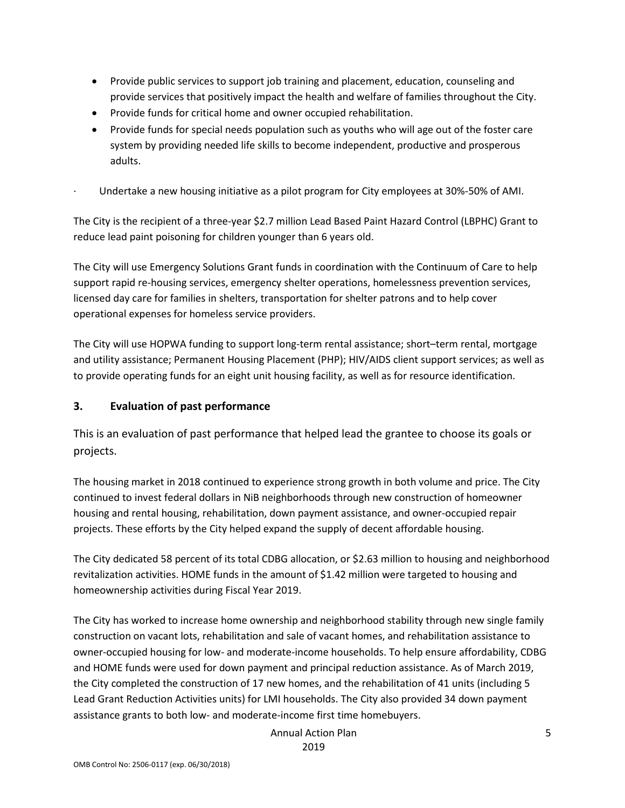- Provide public services to support job training and placement, education, counseling and provide services that positively impact the health and welfare of families throughout the City.
- Provide funds for critical home and owner occupied rehabilitation.
- Provide funds for special needs population such as youths who will age out of the foster care system by providing needed life skills to become independent, productive and prosperous adults.
- · Undertake a new housing initiative as a pilot program for City employees at 30%-50% of AMI.

The City is the recipient of a three-year \$2.7 million Lead Based Paint Hazard Control (LBPHC) Grant to reduce lead paint poisoning for children younger than 6 years old.

The City will use Emergency Solutions Grant funds in coordination with the Continuum of Care to help support rapid re-housing services, emergency shelter operations, homelessness prevention services, licensed day care for families in shelters, transportation for shelter patrons and to help cover operational expenses for homeless service providers.

The City will use HOPWA funding to support long-term rental assistance; short–term rental, mortgage and utility assistance; Permanent Housing Placement (PHP); HIV/AIDS client support services; as well as to provide operating funds for an eight unit housing facility, as well as for resource identification.

#### **3. Evaluation of past performance**

This is an evaluation of past performance that helped lead the grantee to choose its goals or projects.

The housing market in 2018 continued to experience strong growth in both volume and price. The City continued to invest federal dollars in NiB neighborhoods through new construction of homeowner housing and rental housing, rehabilitation, down payment assistance, and owner-occupied repair projects. These efforts by the City helped expand the supply of decent affordable housing.

The City dedicated 58 percent of its total CDBG allocation, or \$2.63 million to housing and neighborhood revitalization activities. HOME funds in the amount of \$1.42 million were targeted to housing and homeownership activities during Fiscal Year 2019.

The City has worked to increase home ownership and neighborhood stability through new single family construction on vacant lots, rehabilitation and sale of vacant homes, and rehabilitation assistance to owner-occupied housing for low- and moderate-income households. To help ensure affordability, CDBG and HOME funds were used for down payment and principal reduction assistance. As of March 2019, the City completed the construction of 17 new homes, and the rehabilitation of 41 units (including 5 Lead Grant Reduction Activities units) for LMI households. The City also provided 34 down payment assistance grants to both low- and moderate-income first time homebuyers.

> Annual Action Plan 2019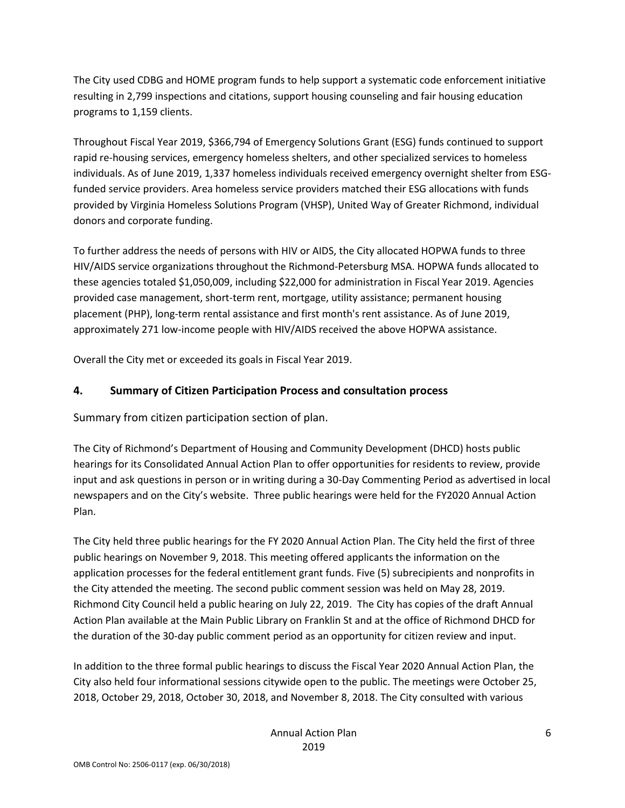The City used CDBG and HOME program funds to help support a systematic code enforcement initiative resulting in 2,799 inspections and citations, support housing counseling and fair housing education programs to 1,159 clients.

Throughout Fiscal Year 2019, \$366,794 of Emergency Solutions Grant (ESG) funds continued to support rapid re-housing services, emergency homeless shelters, and other specialized services to homeless individuals. As of June 2019, 1,337 homeless individuals received emergency overnight shelter from ESGfunded service providers. Area homeless service providers matched their ESG allocations with funds provided by Virginia Homeless Solutions Program (VHSP), United Way of Greater Richmond, individual donors and corporate funding.

To further address the needs of persons with HIV or AIDS, the City allocated HOPWA funds to three HIV/AIDS service organizations throughout the Richmond-Petersburg MSA. HOPWA funds allocated to these agencies totaled \$1,050,009, including \$22,000 for administration in Fiscal Year 2019. Agencies provided case management, short-term rent, mortgage, utility assistance; permanent housing placement (PHP), long-term rental assistance and first month's rent assistance. As of June 2019, approximately 271 low-income people with HIV/AIDS received the above HOPWA assistance.

Overall the City met or exceeded its goals in Fiscal Year 2019.

### **4. Summary of Citizen Participation Process and consultation process**

Summary from citizen participation section of plan.

The City of Richmond's Department of Housing and Community Development (DHCD) hosts public hearings for its Consolidated Annual Action Plan to offer opportunities for residents to review, provide input and ask questions in person or in writing during a 30-Day Commenting Period as advertised in local newspapers and on the City's website. Three public hearings were held for the FY2020 Annual Action Plan.

The City held three public hearings for the FY 2020 Annual Action Plan. The City held the first of three public hearings on November 9, 2018. This meeting offered applicants the information on the application processes for the federal entitlement grant funds. Five (5) subrecipients and nonprofits in the City attended the meeting. The second public comment session was held on May 28, 2019. Richmond City Council held a public hearing on July 22, 2019. The City has copies of the draft Annual Action Plan available at the Main Public Library on Franklin St and at the office of Richmond DHCD for the duration of the 30-day public comment period as an opportunity for citizen review and input.

In addition to the three formal public hearings to discuss the Fiscal Year 2020 Annual Action Plan, the City also held four informational sessions citywide open to the public. The meetings were October 25, 2018, October 29, 2018, October 30, 2018, and November 8, 2018. The City consulted with various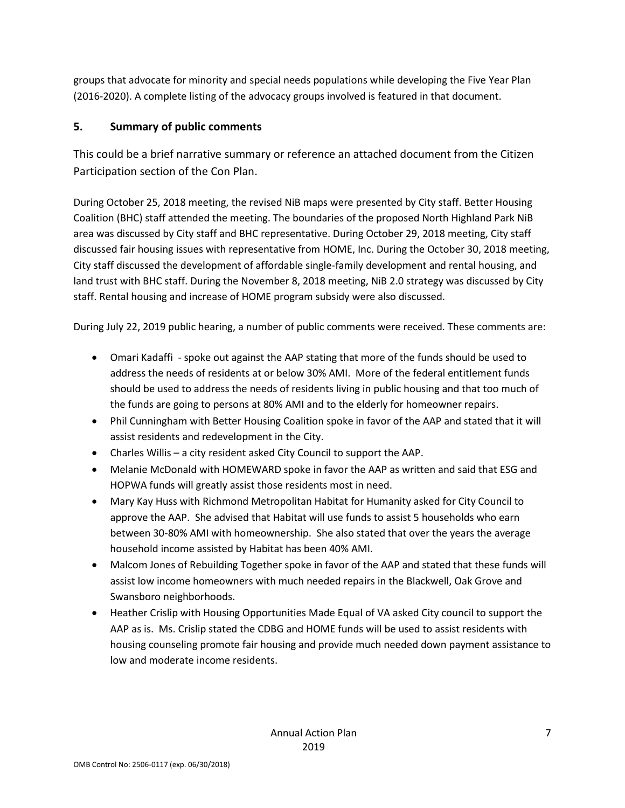groups that advocate for minority and special needs populations while developing the Five Year Plan (2016-2020). A complete listing of the advocacy groups involved is featured in that document.

## **5. Summary of public comments**

This could be a brief narrative summary or reference an attached document from the Citizen Participation section of the Con Plan.

During October 25, 2018 meeting, the revised NiB maps were presented by City staff. Better Housing Coalition (BHC) staff attended the meeting. The boundaries of the proposed North Highland Park NiB area was discussed by City staff and BHC representative. During October 29, 2018 meeting, City staff discussed fair housing issues with representative from HOME, Inc. During the October 30, 2018 meeting, City staff discussed the development of affordable single-family development and rental housing, and land trust with BHC staff. During the November 8, 2018 meeting, NiB 2.0 strategy was discussed by City staff. Rental housing and increase of HOME program subsidy were also discussed.

During July 22, 2019 public hearing, a number of public comments were received. These comments are:

- Omari Kadaffi spoke out against the AAP stating that more of the funds should be used to address the needs of residents at or below 30% AMI. More of the federal entitlement funds should be used to address the needs of residents living in public housing and that too much of the funds are going to persons at 80% AMI and to the elderly for homeowner repairs.
- Phil Cunningham with Better Housing Coalition spoke in favor of the AAP and stated that it will assist residents and redevelopment in the City.
- Charles Willis a city resident asked City Council to support the AAP.
- Melanie McDonald with HOMEWARD spoke in favor the AAP as written and said that ESG and HOPWA funds will greatly assist those residents most in need.
- Mary Kay Huss with Richmond Metropolitan Habitat for Humanity asked for City Council to approve the AAP. She advised that Habitat will use funds to assist 5 households who earn between 30-80% AMI with homeownership. She also stated that over the years the average household income assisted by Habitat has been 40% AMI.
- Malcom Jones of Rebuilding Together spoke in favor of the AAP and stated that these funds will assist low income homeowners with much needed repairs in the Blackwell, Oak Grove and Swansboro neighborhoods.
- Heather Crislip with Housing Opportunities Made Equal of VA asked City council to support the AAP as is. Ms. Crislip stated the CDBG and HOME funds will be used to assist residents with housing counseling promote fair housing and provide much needed down payment assistance to low and moderate income residents.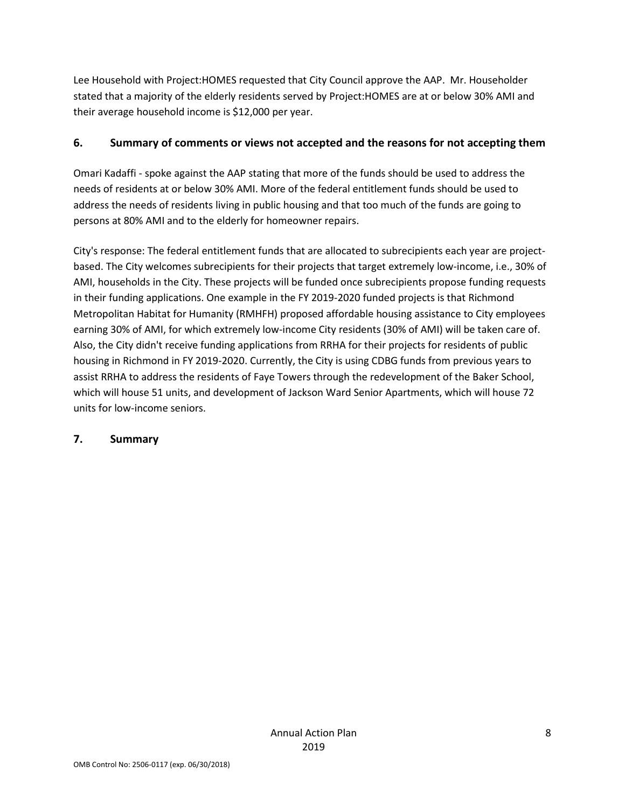Lee Household with Project:HOMES requested that City Council approve the AAP. Mr. Householder stated that a majority of the elderly residents served by Project:HOMES are at or below 30% AMI and their average household income is \$12,000 per year.

#### **6. Summary of comments or views not accepted and the reasons for not accepting them**

Omari Kadaffi - spoke against the AAP stating that more of the funds should be used to address the needs of residents at or below 30% AMI. More of the federal entitlement funds should be used to address the needs of residents living in public housing and that too much of the funds are going to persons at 80% AMI and to the elderly for homeowner repairs.

City's response: The federal entitlement funds that are allocated to subrecipients each year are projectbased. The City welcomes subrecipients for their projects that target extremely low-income, i.e., 30% of AMI, households in the City. These projects will be funded once subrecipients propose funding requests in their funding applications. One example in the FY 2019-2020 funded projects is that Richmond Metropolitan Habitat for Humanity (RMHFH) proposed affordable housing assistance to City employees earning 30% of AMI, for which extremely low-income City residents (30% of AMI) will be taken care of. Also, the City didn't receive funding applications from RRHA for their projects for residents of public housing in Richmond in FY 2019-2020. Currently, the City is using CDBG funds from previous years to assist RRHA to address the residents of Faye Towers through the redevelopment of the Baker School, which will house 51 units, and development of Jackson Ward Senior Apartments, which will house 72 units for low-income seniors.

#### **7. Summary**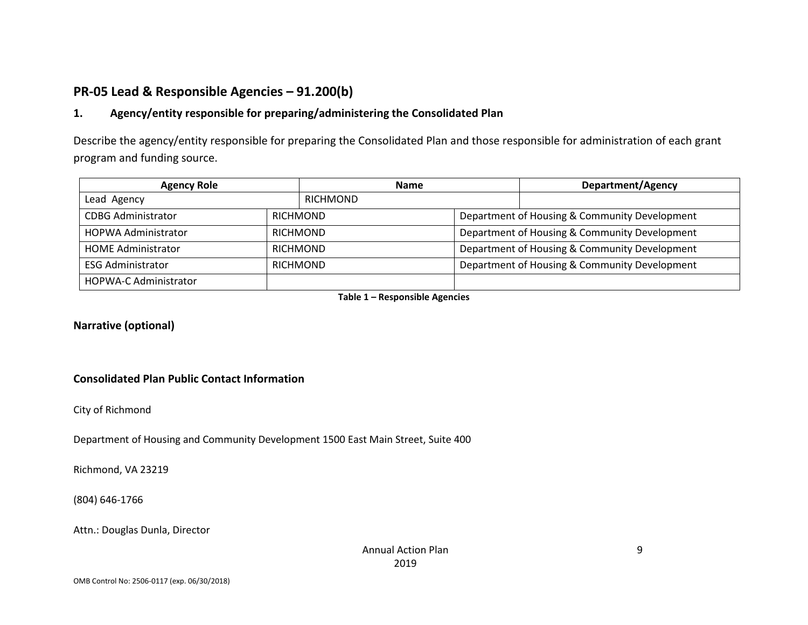## **PR-05 Lead & Responsible Agencies – 91.200(b)**

## **1. Agency/entity responsible for preparing/administering the Consolidated Plan**

Describe the agency/entity responsible for preparing the Consolidated Plan and those responsible for administration of each grant program and funding source.

| <b>Agency Role</b>           |                 | <b>Name</b>     |                                               | <b>Department/Agency</b> |  |
|------------------------------|-----------------|-----------------|-----------------------------------------------|--------------------------|--|
| Lead Agency                  | RICHMOND        |                 |                                               |                          |  |
| <b>CDBG Administrator</b>    |                 | <b>RICHMOND</b> | Department of Housing & Community Development |                          |  |
| <b>HOPWA Administrator</b>   | <b>RICHMOND</b> |                 | Department of Housing & Community Development |                          |  |
| <b>HOME Administrator</b>    | <b>RICHMOND</b> |                 | Department of Housing & Community Development |                          |  |
| <b>ESG Administrator</b>     |                 | <b>RICHMOND</b> | Department of Housing & Community Development |                          |  |
| <b>HOPWA-C Administrator</b> |                 |                 |                                               |                          |  |

**Table 1 – Responsible Agencies**

#### **Narrative (optional)**

#### **Consolidated Plan Public Contact Information**

City of Richmond

Department of Housing and Community Development 1500 East Main Street, Suite 400

Richmond, VA 23219

(804) 646-1766

Attn.: Douglas Dunla, Director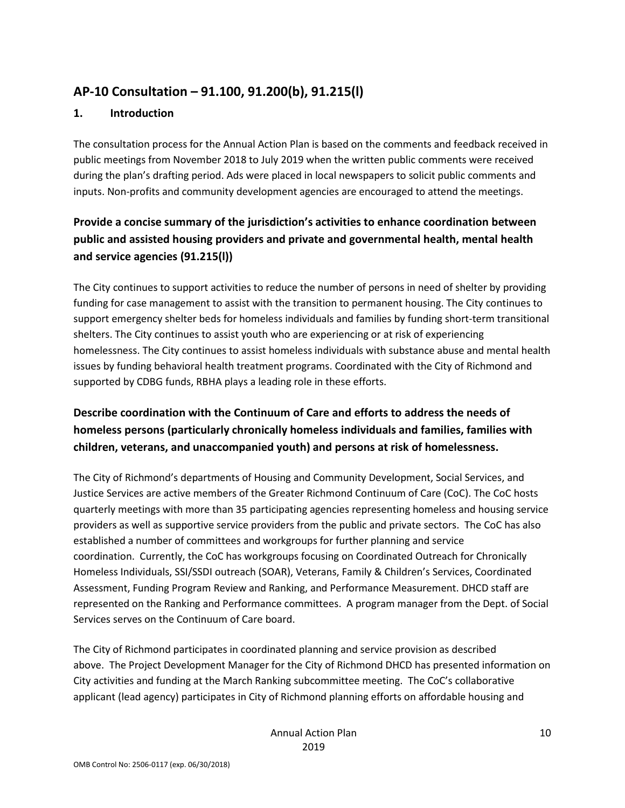## **AP-10 Consultation – 91.100, 91.200(b), 91.215(l)**

#### **1. Introduction**

The consultation process for the Annual Action Plan is based on the comments and feedback received in public meetings from November 2018 to July 2019 when the written public comments were received during the plan's drafting period. Ads were placed in local newspapers to solicit public comments and inputs. Non-profits and community development agencies are encouraged to attend the meetings.

## **Provide a concise summary of the jurisdiction's activities to enhance coordination between public and assisted housing providers and private and governmental health, mental health and service agencies (91.215(l))**

The City continues to support activities to reduce the number of persons in need of shelter by providing funding for case management to assist with the transition to permanent housing. The City continues to support emergency shelter beds for homeless individuals and families by funding short-term transitional shelters. The City continues to assist youth who are experiencing or at risk of experiencing homelessness. The City continues to assist homeless individuals with substance abuse and mental health issues by funding behavioral health treatment programs. Coordinated with the City of Richmond and supported by CDBG funds, RBHA plays a leading role in these efforts.

## **Describe coordination with the Continuum of Care and efforts to address the needs of homeless persons (particularly chronically homeless individuals and families, families with children, veterans, and unaccompanied youth) and persons at risk of homelessness.**

The City of Richmond's departments of Housing and Community Development, Social Services, and Justice Services are active members of the Greater Richmond Continuum of Care (CoC). The CoC hosts quarterly meetings with more than 35 participating agencies representing homeless and housing service providers as well as supportive service providers from the public and private sectors. The CoC has also established a number of committees and workgroups for further planning and service coordination. Currently, the CoC has workgroups focusing on Coordinated Outreach for Chronically Homeless Individuals, SSI/SSDI outreach (SOAR), Veterans, Family & Children's Services, Coordinated Assessment, Funding Program Review and Ranking, and Performance Measurement. DHCD staff are represented on the Ranking and Performance committees. A program manager from the Dept. of Social Services serves on the Continuum of Care board.

The City of Richmond participates in coordinated planning and service provision as described above. The Project Development Manager for the City of Richmond DHCD has presented information on City activities and funding at the March Ranking subcommittee meeting. The CoC's collaborative applicant (lead agency) participates in City of Richmond planning efforts on affordable housing and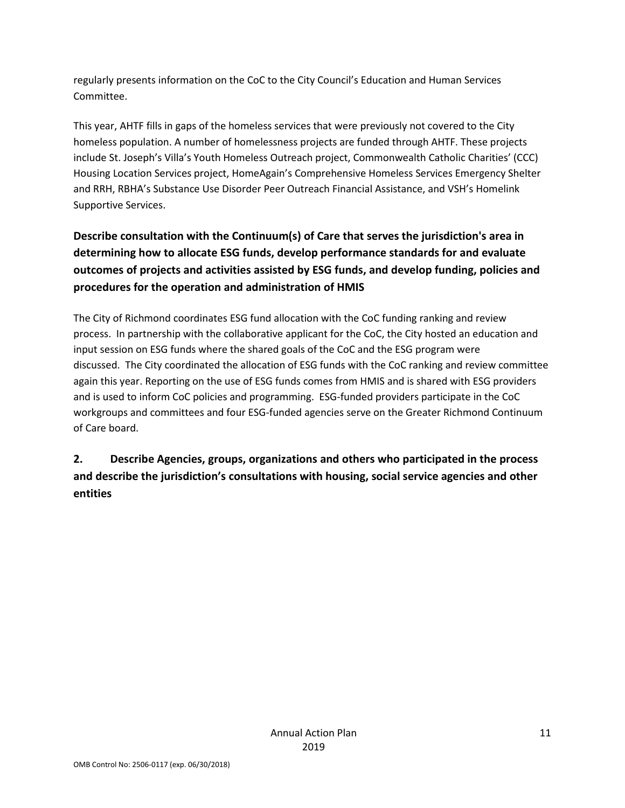regularly presents information on the CoC to the City Council's Education and Human Services Committee.

This year, AHTF fills in gaps of the homeless services that were previously not covered to the City homeless population. A number of homelessness projects are funded through AHTF. These projects include St. Joseph's Villa's Youth Homeless Outreach project, Commonwealth Catholic Charities' (CCC) Housing Location Services project, HomeAgain's Comprehensive Homeless Services Emergency Shelter and RRH, RBHA's Substance Use Disorder Peer Outreach Financial Assistance, and VSH's Homelink Supportive Services.

## **Describe consultation with the Continuum(s) of Care that serves the jurisdiction's area in determining how to allocate ESG funds, develop performance standards for and evaluate outcomes of projects and activities assisted by ESG funds, and develop funding, policies and procedures for the operation and administration of HMIS**

The City of Richmond coordinates ESG fund allocation with the CoC funding ranking and review process. In partnership with the collaborative applicant for the CoC, the City hosted an education and input session on ESG funds where the shared goals of the CoC and the ESG program were discussed. The City coordinated the allocation of ESG funds with the CoC ranking and review committee again this year. Reporting on the use of ESG funds comes from HMIS and is shared with ESG providers and is used to inform CoC policies and programming. ESG-funded providers participate in the CoC workgroups and committees and four ESG-funded agencies serve on the Greater Richmond Continuum of Care board.

## **2. Describe Agencies, groups, organizations and others who participated in the process and describe the jurisdiction's consultations with housing, social service agencies and other entities**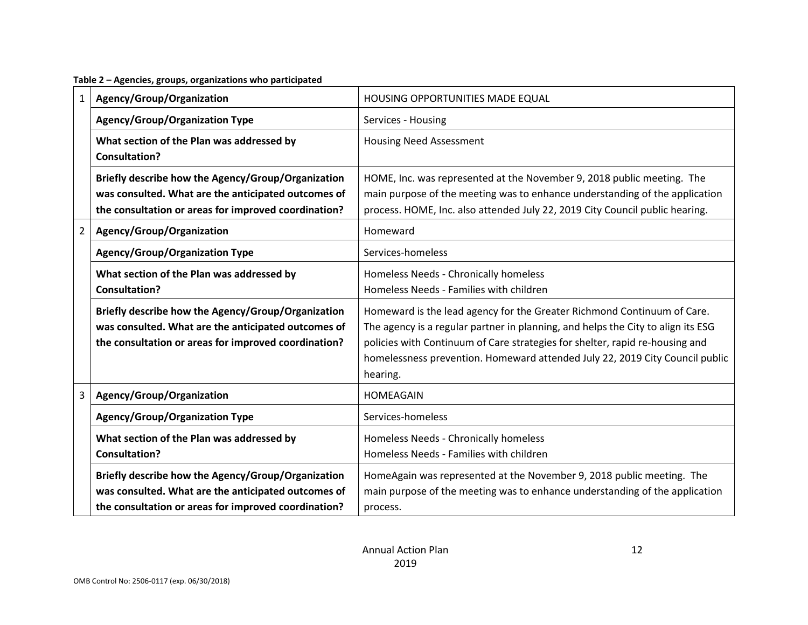**Table 2 – Agencies, groups, organizations who participated**

| $\mathbf{1}$   | Agency/Group/Organization                                                                                                                                         | HOUSING OPPORTUNITIES MADE EQUAL                                                                                                                                                                                                                                                                                                        |
|----------------|-------------------------------------------------------------------------------------------------------------------------------------------------------------------|-----------------------------------------------------------------------------------------------------------------------------------------------------------------------------------------------------------------------------------------------------------------------------------------------------------------------------------------|
|                | <b>Agency/Group/Organization Type</b>                                                                                                                             | Services - Housing                                                                                                                                                                                                                                                                                                                      |
|                | What section of the Plan was addressed by<br><b>Consultation?</b>                                                                                                 | <b>Housing Need Assessment</b>                                                                                                                                                                                                                                                                                                          |
|                | Briefly describe how the Agency/Group/Organization<br>was consulted. What are the anticipated outcomes of<br>the consultation or areas for improved coordination? | HOME, Inc. was represented at the November 9, 2018 public meeting. The<br>main purpose of the meeting was to enhance understanding of the application<br>process. HOME, Inc. also attended July 22, 2019 City Council public hearing.                                                                                                   |
| $\overline{2}$ | Agency/Group/Organization                                                                                                                                         | Homeward                                                                                                                                                                                                                                                                                                                                |
|                | <b>Agency/Group/Organization Type</b>                                                                                                                             | Services-homeless                                                                                                                                                                                                                                                                                                                       |
|                | What section of the Plan was addressed by<br><b>Consultation?</b>                                                                                                 | Homeless Needs - Chronically homeless<br>Homeless Needs - Families with children                                                                                                                                                                                                                                                        |
|                | Briefly describe how the Agency/Group/Organization<br>was consulted. What are the anticipated outcomes of<br>the consultation or areas for improved coordination? | Homeward is the lead agency for the Greater Richmond Continuum of Care.<br>The agency is a regular partner in planning, and helps the City to align its ESG<br>policies with Continuum of Care strategies for shelter, rapid re-housing and<br>homelessness prevention. Homeward attended July 22, 2019 City Council public<br>hearing. |
| 3              | Agency/Group/Organization                                                                                                                                         | HOMEAGAIN                                                                                                                                                                                                                                                                                                                               |
|                | <b>Agency/Group/Organization Type</b>                                                                                                                             | Services-homeless                                                                                                                                                                                                                                                                                                                       |
|                | What section of the Plan was addressed by<br><b>Consultation?</b>                                                                                                 | Homeless Needs - Chronically homeless<br>Homeless Needs - Families with children                                                                                                                                                                                                                                                        |
|                | Briefly describe how the Agency/Group/Organization<br>was consulted. What are the anticipated outcomes of<br>the consultation or areas for improved coordination? | HomeAgain was represented at the November 9, 2018 public meeting. The<br>main purpose of the meeting was to enhance understanding of the application<br>process.                                                                                                                                                                        |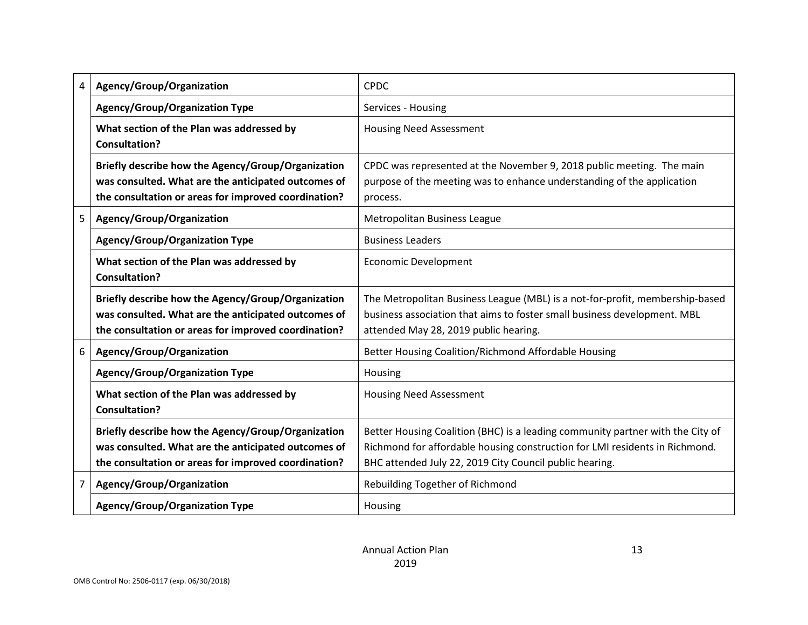| 4 | Agency/Group/Organization                                                                                                                                         | <b>CPDC</b>                                                                                                                                                                                                              |
|---|-------------------------------------------------------------------------------------------------------------------------------------------------------------------|--------------------------------------------------------------------------------------------------------------------------------------------------------------------------------------------------------------------------|
|   | <b>Agency/Group/Organization Type</b>                                                                                                                             | Services - Housing                                                                                                                                                                                                       |
|   | What section of the Plan was addressed by<br><b>Consultation?</b>                                                                                                 | <b>Housing Need Assessment</b>                                                                                                                                                                                           |
|   | Briefly describe how the Agency/Group/Organization<br>was consulted. What are the anticipated outcomes of<br>the consultation or areas for improved coordination? | CPDC was represented at the November 9, 2018 public meeting. The main<br>purpose of the meeting was to enhance understanding of the application<br>process.                                                              |
| 5 | Agency/Group/Organization                                                                                                                                         | Metropolitan Business League                                                                                                                                                                                             |
|   | <b>Agency/Group/Organization Type</b>                                                                                                                             | <b>Business Leaders</b>                                                                                                                                                                                                  |
|   | What section of the Plan was addressed by<br><b>Consultation?</b>                                                                                                 | <b>Economic Development</b>                                                                                                                                                                                              |
|   | Briefly describe how the Agency/Group/Organization<br>was consulted. What are the anticipated outcomes of<br>the consultation or areas for improved coordination? | The Metropolitan Business League (MBL) is a not-for-profit, membership-based<br>business association that aims to foster small business development. MBL<br>attended May 28, 2019 public hearing.                        |
| 6 | Agency/Group/Organization                                                                                                                                         | Better Housing Coalition/Richmond Affordable Housing                                                                                                                                                                     |
|   | <b>Agency/Group/Organization Type</b>                                                                                                                             | Housing                                                                                                                                                                                                                  |
|   | What section of the Plan was addressed by<br><b>Consultation?</b>                                                                                                 | <b>Housing Need Assessment</b>                                                                                                                                                                                           |
|   | Briefly describe how the Agency/Group/Organization<br>was consulted. What are the anticipated outcomes of<br>the consultation or areas for improved coordination? | Better Housing Coalition (BHC) is a leading community partner with the City of<br>Richmond for affordable housing construction for LMI residents in Richmond.<br>BHC attended July 22, 2019 City Council public hearing. |
| 7 | Agency/Group/Organization                                                                                                                                         | Rebuilding Together of Richmond                                                                                                                                                                                          |
|   | <b>Agency/Group/Organization Type</b>                                                                                                                             | Housing                                                                                                                                                                                                                  |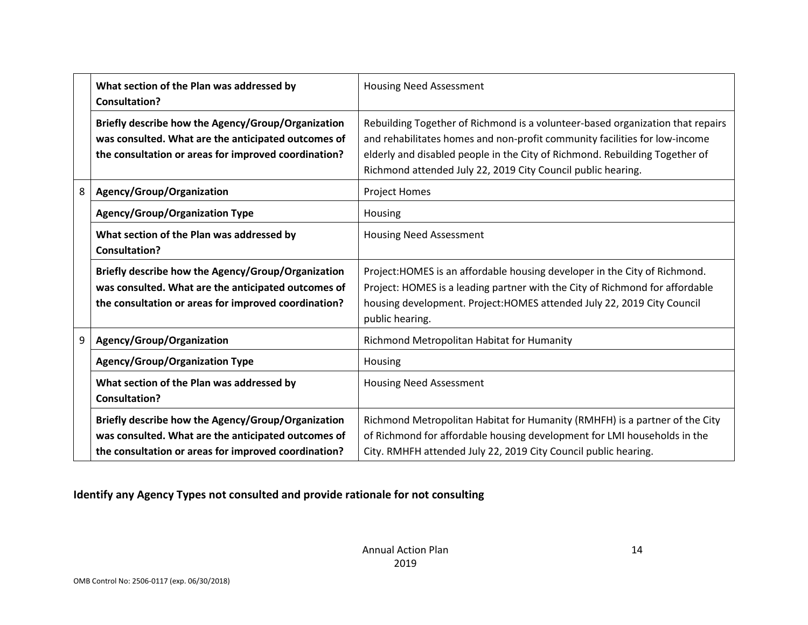|   | What section of the Plan was addressed by<br><b>Consultation?</b>                                                                                                 | <b>Housing Need Assessment</b>                                                                                                                                                                                                                                                                              |
|---|-------------------------------------------------------------------------------------------------------------------------------------------------------------------|-------------------------------------------------------------------------------------------------------------------------------------------------------------------------------------------------------------------------------------------------------------------------------------------------------------|
|   | Briefly describe how the Agency/Group/Organization<br>was consulted. What are the anticipated outcomes of<br>the consultation or areas for improved coordination? | Rebuilding Together of Richmond is a volunteer-based organization that repairs<br>and rehabilitates homes and non-profit community facilities for low-income<br>elderly and disabled people in the City of Richmond. Rebuilding Together of<br>Richmond attended July 22, 2019 City Council public hearing. |
| 8 | Agency/Group/Organization                                                                                                                                         | <b>Project Homes</b>                                                                                                                                                                                                                                                                                        |
|   | Agency/Group/Organization Type                                                                                                                                    | Housing                                                                                                                                                                                                                                                                                                     |
|   | What section of the Plan was addressed by<br>Consultation?                                                                                                        | <b>Housing Need Assessment</b>                                                                                                                                                                                                                                                                              |
|   | Briefly describe how the Agency/Group/Organization<br>was consulted. What are the anticipated outcomes of<br>the consultation or areas for improved coordination? | Project: HOMES is an affordable housing developer in the City of Richmond.<br>Project: HOMES is a leading partner with the City of Richmond for affordable<br>housing development. Project: HOMES attended July 22, 2019 City Council<br>public hearing.                                                    |
| 9 | Agency/Group/Organization                                                                                                                                         | Richmond Metropolitan Habitat for Humanity                                                                                                                                                                                                                                                                  |
|   | <b>Agency/Group/Organization Type</b>                                                                                                                             | Housing                                                                                                                                                                                                                                                                                                     |
|   | What section of the Plan was addressed by<br><b>Consultation?</b>                                                                                                 | <b>Housing Need Assessment</b>                                                                                                                                                                                                                                                                              |
|   | Briefly describe how the Agency/Group/Organization<br>was consulted. What are the anticipated outcomes of<br>the consultation or areas for improved coordination? | Richmond Metropolitan Habitat for Humanity (RMHFH) is a partner of the City<br>of Richmond for affordable housing development for LMI households in the<br>City. RMHFH attended July 22, 2019 City Council public hearing.                                                                                  |

## **Identify any Agency Types not consulted and provide rationale for not consulting**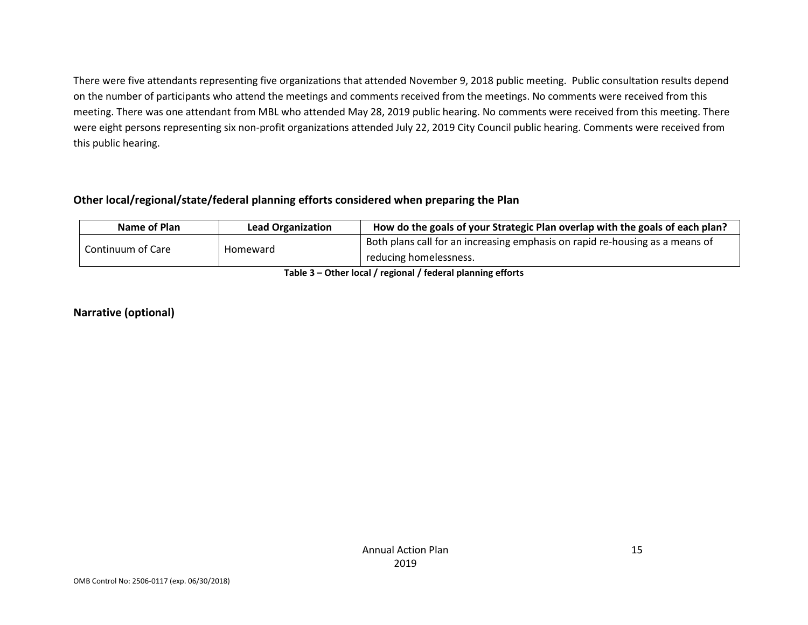There were five attendants representing five organizations that attended November 9, 2018 public meeting. Public consultation results depend on the number of participants who attend the meetings and comments received from the meetings. No comments were received from this meeting. There was one attendant from MBL who attended May 28, 2019 public hearing. No comments were received from this meeting. There were eight persons representing six non-profit organizations attended July 22, 2019 City Council public hearing. Comments were received from this public hearing.

#### **Other local/regional/state/federal planning efforts considered when preparing the Plan**

| Name of Plan                                                                       | <b>Lead Organization</b> | How do the goals of your Strategic Plan overlap with the goals of each plan? |  |  |  |
|------------------------------------------------------------------------------------|--------------------------|------------------------------------------------------------------------------|--|--|--|
| Continuum of Care                                                                  | Homeward                 | Both plans call for an increasing emphasis on rapid re-housing as a means of |  |  |  |
|                                                                                    |                          | reducing homelessness.                                                       |  |  |  |
| $\tau$ -kka $\tau$ . At knowledge for the set of the density interest of the state |                          |                                                                              |  |  |  |

**Table 3 – Other local / regional / federal planning efforts**

#### **Narrative (optional)**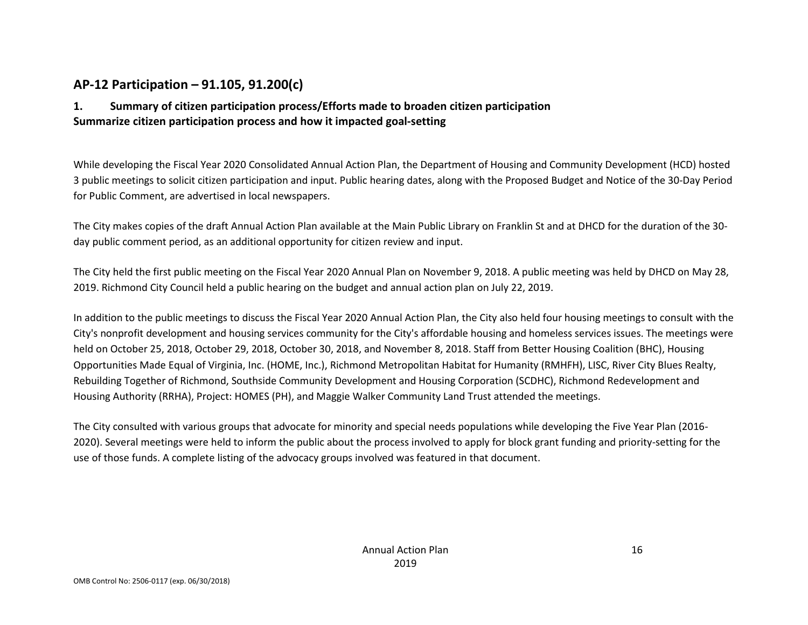## **AP-12 Participation – 91.105, 91.200(c)**

### **1. Summary of citizen participation process/Efforts made to broaden citizen participation Summarize citizen participation process and how it impacted goal-setting**

While developing the Fiscal Year 2020 Consolidated Annual Action Plan, the Department of Housing and Community Development (HCD) hosted 3 public meetings to solicit citizen participation and input. Public hearing dates, along with the Proposed Budget and Notice of the 30-Day Period for Public Comment, are advertised in local newspapers.

The City makes copies of the draft Annual Action Plan available at the Main Public Library on Franklin St and at DHCD for the duration of the 30 day public comment period, as an additional opportunity for citizen review and input.

The City held the first public meeting on the Fiscal Year 2020 Annual Plan on November 9, 2018. A public meeting was held by DHCD on May 28, 2019. Richmond City Council held a public hearing on the budget and annual action plan on July 22, 2019.

In addition to the public meetings to discuss the Fiscal Year 2020 Annual Action Plan, the City also held four housing meetings to consult with the City's nonprofit development and housing services community for the City's affordable housing and homeless services issues. The meetings were held on October 25, 2018, October 29, 2018, October 30, 2018, and November 8, 2018. Staff from Better Housing Coalition (BHC), Housing Opportunities Made Equal of Virginia, Inc. (HOME, Inc.), Richmond Metropolitan Habitat for Humanity (RMHFH), LISC, River City Blues Realty, Rebuilding Together of Richmond, Southside Community Development and Housing Corporation (SCDHC), Richmond Redevelopment and Housing Authority (RRHA), Project: HOMES (PH), and Maggie Walker Community Land Trust attended the meetings.

The City consulted with various groups that advocate for minority and special needs populations while developing the Five Year Plan (2016- 2020). Several meetings were held to inform the public about the process involved to apply for block grant funding and priority-setting for the use of those funds. A complete listing of the advocacy groups involved was featured in that document.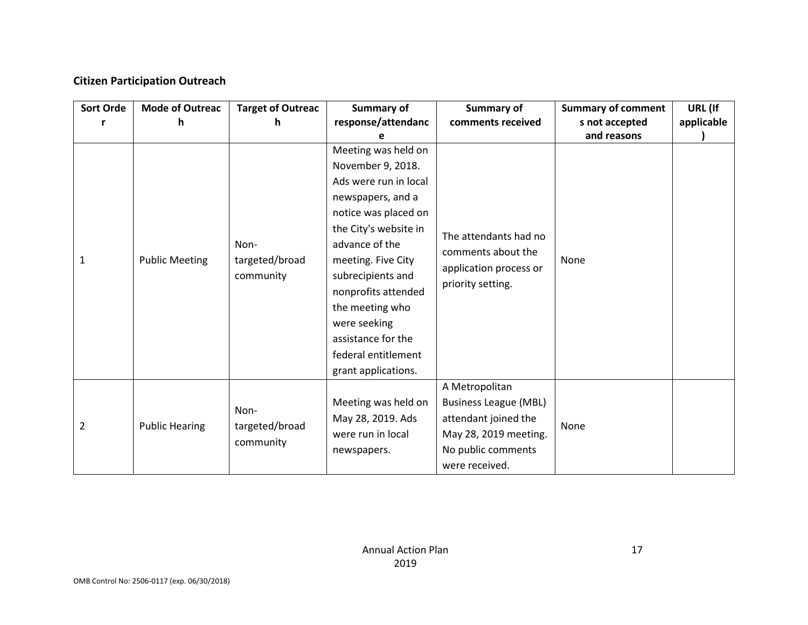### **Citizen Participation Outreach**

| <b>Sort Orde</b> | <b>Mode of Outreac</b><br>h. | <b>Target of Outreac</b><br>h | <b>Summary of</b><br>response/attendanc | <b>Summary of</b><br>comments received                            | <b>Summary of comment</b><br>s not accepted | URL (If<br>applicable |
|------------------|------------------------------|-------------------------------|-----------------------------------------|-------------------------------------------------------------------|---------------------------------------------|-----------------------|
|                  |                              |                               |                                         |                                                                   | and reasons                                 |                       |
|                  |                              |                               | Meeting was held on                     |                                                                   |                                             |                       |
|                  |                              |                               | November 9, 2018.                       |                                                                   |                                             |                       |
|                  |                              |                               | Ads were run in local                   |                                                                   |                                             |                       |
|                  |                              |                               | newspapers, and a                       |                                                                   |                                             |                       |
|                  |                              |                               | notice was placed on                    |                                                                   |                                             |                       |
|                  |                              |                               | the City's website in                   | The attendants had no                                             |                                             |                       |
|                  |                              | Non-                          | advance of the                          |                                                                   | None                                        |                       |
| 1                | <b>Public Meeting</b>        | targeted/broad<br>community   | meeting. Five City                      | comments about the<br>application process or<br>priority setting. |                                             |                       |
|                  |                              |                               | subrecipients and                       |                                                                   |                                             |                       |
|                  |                              |                               | nonprofits attended                     |                                                                   |                                             |                       |
|                  |                              |                               | the meeting who                         |                                                                   |                                             |                       |
|                  |                              |                               | were seeking                            |                                                                   |                                             |                       |
|                  |                              |                               | assistance for the                      |                                                                   |                                             |                       |
|                  |                              |                               | federal entitlement                     |                                                                   |                                             |                       |
|                  |                              |                               | grant applications.                     |                                                                   |                                             |                       |
|                  |                              |                               |                                         | A Metropolitan                                                    |                                             |                       |
|                  |                              |                               | Meeting was held on                     | <b>Business League (MBL)</b>                                      |                                             |                       |
|                  |                              | Non-                          | May 28, 2019. Ads                       | attendant joined the                                              |                                             |                       |
| $\overline{2}$   | <b>Public Hearing</b>        | targeted/broad                | were run in local                       | May 28, 2019 meeting.                                             | None                                        |                       |
|                  |                              | community                     | newspapers.                             | No public comments                                                |                                             |                       |
|                  |                              |                               |                                         | were received.                                                    |                                             |                       |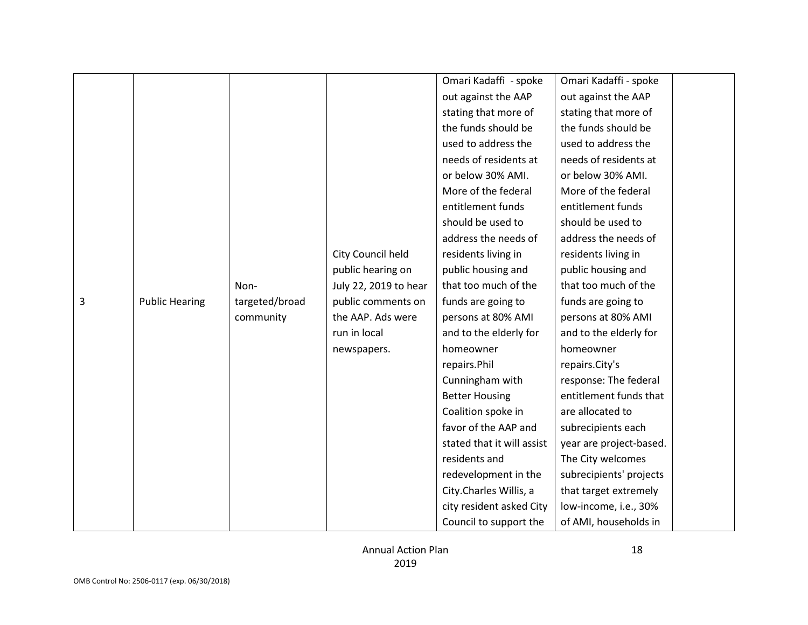|   |                       |                |                       | Omari Kadaffi - spoke      | Omari Kadaffi - spoke   |  |
|---|-----------------------|----------------|-----------------------|----------------------------|-------------------------|--|
|   |                       |                |                       | out against the AAP        | out against the AAP     |  |
|   |                       |                |                       | stating that more of       | stating that more of    |  |
|   |                       |                |                       | the funds should be        | the funds should be     |  |
|   |                       |                |                       | used to address the        | used to address the     |  |
|   |                       |                |                       | needs of residents at      | needs of residents at   |  |
|   |                       |                |                       | or below 30% AMI.          | or below 30% AMI.       |  |
|   |                       |                |                       | More of the federal        | More of the federal     |  |
|   |                       |                |                       | entitlement funds          | entitlement funds       |  |
|   |                       |                |                       | should be used to          | should be used to       |  |
|   |                       |                |                       | address the needs of       | address the needs of    |  |
|   |                       |                | City Council held     | residents living in        | residents living in     |  |
|   |                       |                | public hearing on     | public housing and         | public housing and      |  |
|   |                       | Non-           | July 22, 2019 to hear | that too much of the       | that too much of the    |  |
| 3 | <b>Public Hearing</b> | targeted/broad | public comments on    | funds are going to         | funds are going to      |  |
|   |                       | community      | the AAP. Ads were     | persons at 80% AMI         | persons at 80% AMI      |  |
|   |                       |                | run in local          | and to the elderly for     | and to the elderly for  |  |
|   |                       |                | newspapers.           | homeowner                  | homeowner               |  |
|   |                       |                |                       | repairs.Phil               | repairs.City's          |  |
|   |                       |                |                       | Cunningham with            | response: The federal   |  |
|   |                       |                |                       | <b>Better Housing</b>      | entitlement funds that  |  |
|   |                       |                |                       | Coalition spoke in         | are allocated to        |  |
|   |                       |                |                       | favor of the AAP and       | subrecipients each      |  |
|   |                       |                |                       | stated that it will assist | year are project-based. |  |
|   |                       |                |                       | residents and              | The City welcomes       |  |
|   |                       |                |                       | redevelopment in the       | subrecipients' projects |  |
|   |                       |                |                       | City.Charles Willis, a     | that target extremely   |  |
|   |                       |                |                       | city resident asked City   | low-income, i.e., 30%   |  |
|   |                       |                |                       |                            |                         |  |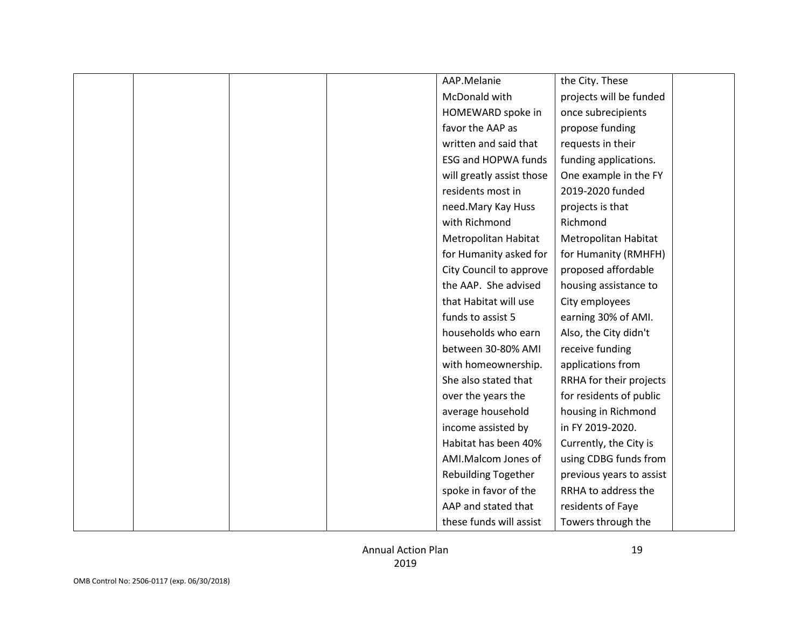|  |  | AAP.Melanie                | the City. These          |  |
|--|--|----------------------------|--------------------------|--|
|  |  | McDonald with              | projects will be funded  |  |
|  |  | HOMEWARD spoke in          | once subrecipients       |  |
|  |  | favor the AAP as           | propose funding          |  |
|  |  | written and said that      | requests in their        |  |
|  |  | <b>ESG and HOPWA funds</b> | funding applications.    |  |
|  |  | will greatly assist those  | One example in the FY    |  |
|  |  | residents most in          | 2019-2020 funded         |  |
|  |  | need.Mary Kay Huss         | projects is that         |  |
|  |  | with Richmond              | Richmond                 |  |
|  |  | Metropolitan Habitat       | Metropolitan Habitat     |  |
|  |  | for Humanity asked for     | for Humanity (RMHFH)     |  |
|  |  | City Council to approve    | proposed affordable      |  |
|  |  | the AAP. She advised       | housing assistance to    |  |
|  |  | that Habitat will use      | City employees           |  |
|  |  | funds to assist 5          | earning 30% of AMI.      |  |
|  |  | households who earn        | Also, the City didn't    |  |
|  |  | between 30-80% AMI         | receive funding          |  |
|  |  | with homeownership.        | applications from        |  |
|  |  | She also stated that       | RRHA for their projects  |  |
|  |  | over the years the         | for residents of public  |  |
|  |  | average household          | housing in Richmond      |  |
|  |  | income assisted by         | in FY 2019-2020.         |  |
|  |  | Habitat has been 40%       | Currently, the City is   |  |
|  |  | AMI.Malcom Jones of        | using CDBG funds from    |  |
|  |  | <b>Rebuilding Together</b> | previous years to assist |  |
|  |  | spoke in favor of the      | RRHA to address the      |  |
|  |  | AAP and stated that        | residents of Faye        |  |
|  |  | these funds will assist    | Towers through the       |  |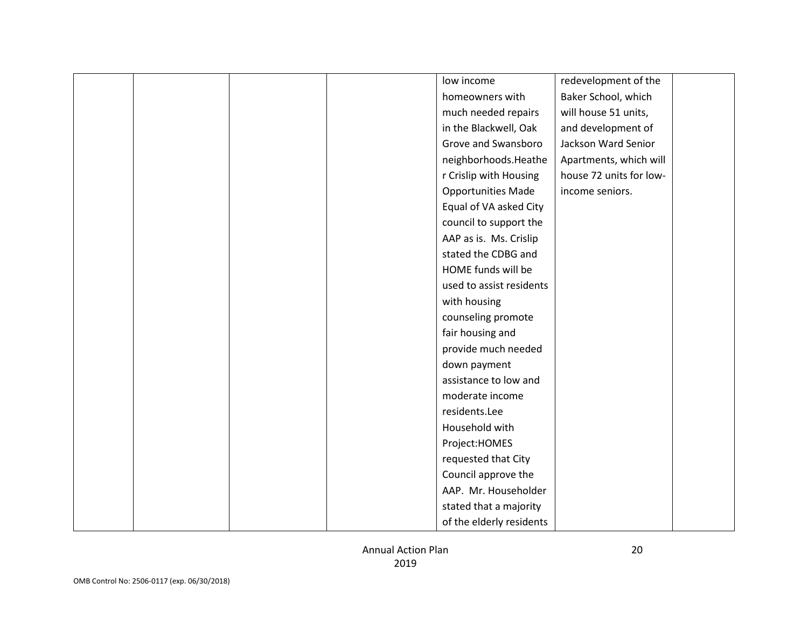|  |  | low income                | redevelopment of the    |  |
|--|--|---------------------------|-------------------------|--|
|  |  | homeowners with           | Baker School, which     |  |
|  |  | much needed repairs       | will house 51 units,    |  |
|  |  | in the Blackwell, Oak     | and development of      |  |
|  |  | Grove and Swansboro       | Jackson Ward Senior     |  |
|  |  | neighborhoods.Heathe      | Apartments, which will  |  |
|  |  | r Crislip with Housing    | house 72 units for low- |  |
|  |  | <b>Opportunities Made</b> | income seniors.         |  |
|  |  | Equal of VA asked City    |                         |  |
|  |  | council to support the    |                         |  |
|  |  | AAP as is. Ms. Crislip    |                         |  |
|  |  | stated the CDBG and       |                         |  |
|  |  | HOME funds will be        |                         |  |
|  |  | used to assist residents  |                         |  |
|  |  | with housing              |                         |  |
|  |  | counseling promote        |                         |  |
|  |  | fair housing and          |                         |  |
|  |  | provide much needed       |                         |  |
|  |  | down payment              |                         |  |
|  |  | assistance to low and     |                         |  |
|  |  | moderate income           |                         |  |
|  |  | residents.Lee             |                         |  |
|  |  | Household with            |                         |  |
|  |  | Project:HOMES             |                         |  |
|  |  | requested that City       |                         |  |
|  |  | Council approve the       |                         |  |
|  |  | AAP. Mr. Householder      |                         |  |
|  |  | stated that a majority    |                         |  |
|  |  | of the elderly residents  |                         |  |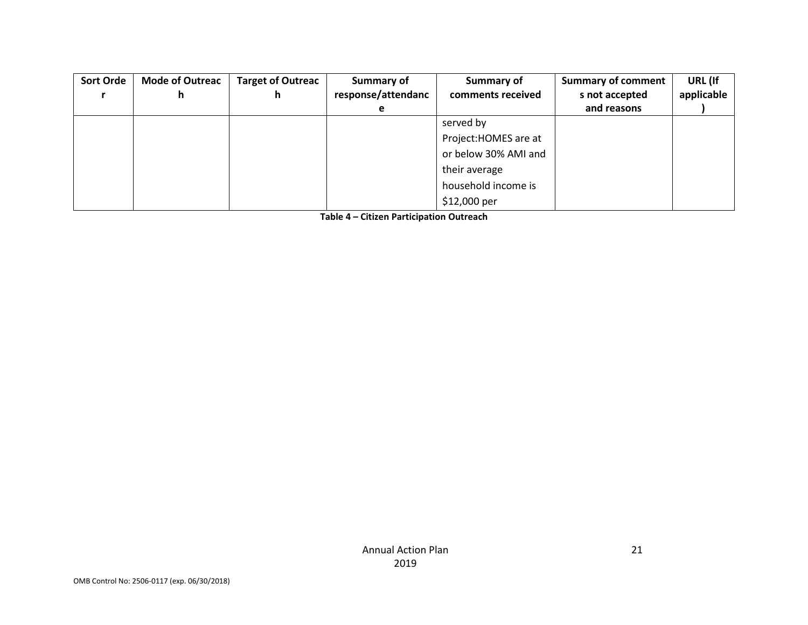| <b>Sort Orde</b> | <b>Mode of Outreac</b><br>n | <b>Target of Outreac</b><br>h | Summary of<br>response/attendanc | Summary of<br>comments received | <b>Summary of comment</b><br>s not accepted | URL (If<br>applicable |
|------------------|-----------------------------|-------------------------------|----------------------------------|---------------------------------|---------------------------------------------|-----------------------|
|                  |                             |                               | e                                |                                 | and reasons                                 |                       |
|                  |                             |                               |                                  | served by                       |                                             |                       |
|                  |                             |                               |                                  | Project: HOMES are at           |                                             |                       |
|                  |                             |                               |                                  | or below 30% AMI and            |                                             |                       |
|                  |                             |                               |                                  | their average                   |                                             |                       |
|                  |                             |                               |                                  | household income is             |                                             |                       |
|                  |                             |                               |                                  | \$12,000 per                    |                                             |                       |

**Table 4 – Citizen Participation Outreach**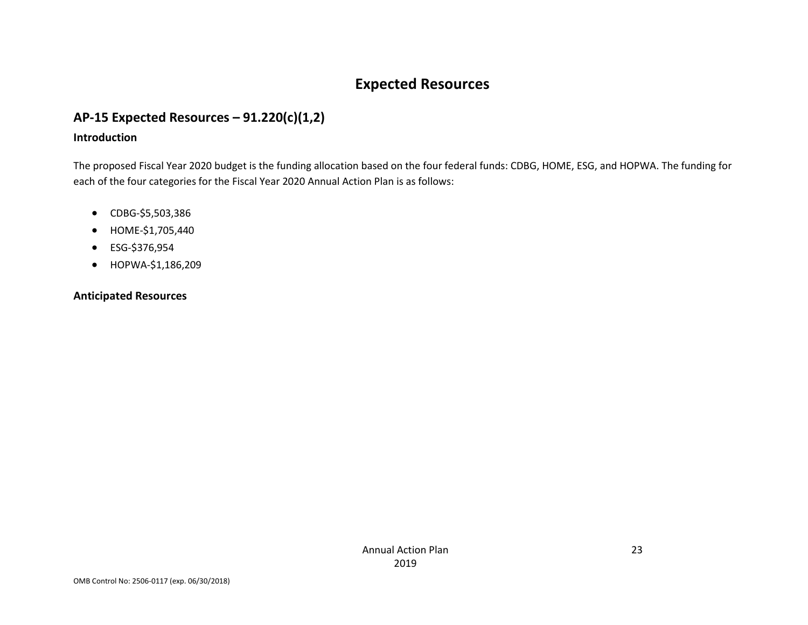## **Expected Resources**

## **AP-15 Expected Resources – 91.220(c)(1,2)**

#### **Introduction**

The proposed Fiscal Year 2020 budget is the funding allocation based on the four federal funds: CDBG, HOME, ESG, and HOPWA. The funding for each of the four categories for the Fiscal Year 2020 Annual Action Plan is as follows:

- CDBG-\$5,503,386
- HOME-\$1,705,440
- ESG-\$376,954
- HOPWA-\$1,186,209

#### **Anticipated Resources**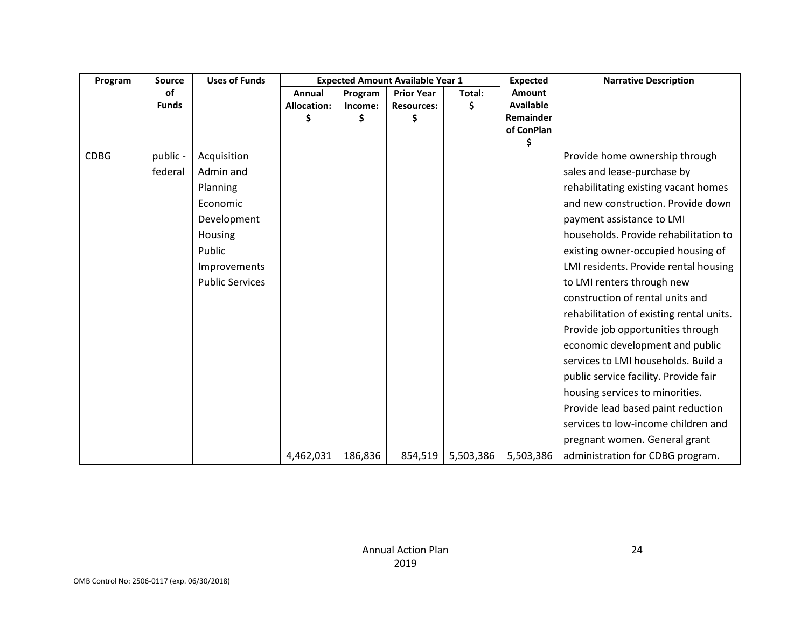| Program     | <b>Source</b> | <b>Uses of Funds</b>   | <b>Expected Amount Available Year 1</b> |              |                        |           | <b>Expected</b>               | <b>Narrative Description</b>             |
|-------------|---------------|------------------------|-----------------------------------------|--------------|------------------------|-----------|-------------------------------|------------------------------------------|
|             | <b>of</b>     |                        | Annual                                  | Program      | <b>Prior Year</b>      | Total:    | <b>Amount</b>                 |                                          |
|             | <b>Funds</b>  |                        | Allocation:<br>Ś                        | Income:<br>Ś | <b>Resources:</b><br>Ś | \$        | <b>Available</b><br>Remainder |                                          |
|             |               |                        |                                         |              |                        |           | of ConPlan                    |                                          |
|             |               |                        |                                         |              |                        |           | \$                            |                                          |
| <b>CDBG</b> | public -      | Acquisition            |                                         |              |                        |           |                               | Provide home ownership through           |
|             | federal       | Admin and              |                                         |              |                        |           |                               | sales and lease-purchase by              |
|             |               | Planning               |                                         |              |                        |           |                               | rehabilitating existing vacant homes     |
|             |               | Economic               |                                         |              |                        |           |                               | and new construction. Provide down       |
|             |               | Development            |                                         |              |                        |           |                               | payment assistance to LMI                |
|             |               | Housing                |                                         |              |                        |           |                               | households. Provide rehabilitation to    |
|             |               | Public                 |                                         |              |                        |           |                               | existing owner-occupied housing of       |
|             |               | Improvements           |                                         |              |                        |           |                               | LMI residents. Provide rental housing    |
|             |               | <b>Public Services</b> |                                         |              |                        |           |                               | to LMI renters through new               |
|             |               |                        |                                         |              |                        |           |                               | construction of rental units and         |
|             |               |                        |                                         |              |                        |           |                               | rehabilitation of existing rental units. |
|             |               |                        |                                         |              |                        |           |                               | Provide job opportunities through        |
|             |               |                        |                                         |              |                        |           |                               | economic development and public          |
|             |               |                        |                                         |              |                        |           |                               | services to LMI households. Build a      |
|             |               |                        |                                         |              |                        |           |                               | public service facility. Provide fair    |
|             |               |                        |                                         |              |                        |           |                               | housing services to minorities.          |
|             |               |                        |                                         |              |                        |           |                               | Provide lead based paint reduction       |
|             |               |                        |                                         |              |                        |           |                               | services to low-income children and      |
|             |               |                        |                                         |              |                        |           |                               | pregnant women. General grant            |
|             |               |                        | 4,462,031                               | 186,836      | 854,519                | 5,503,386 | 5,503,386                     | administration for CDBG program.         |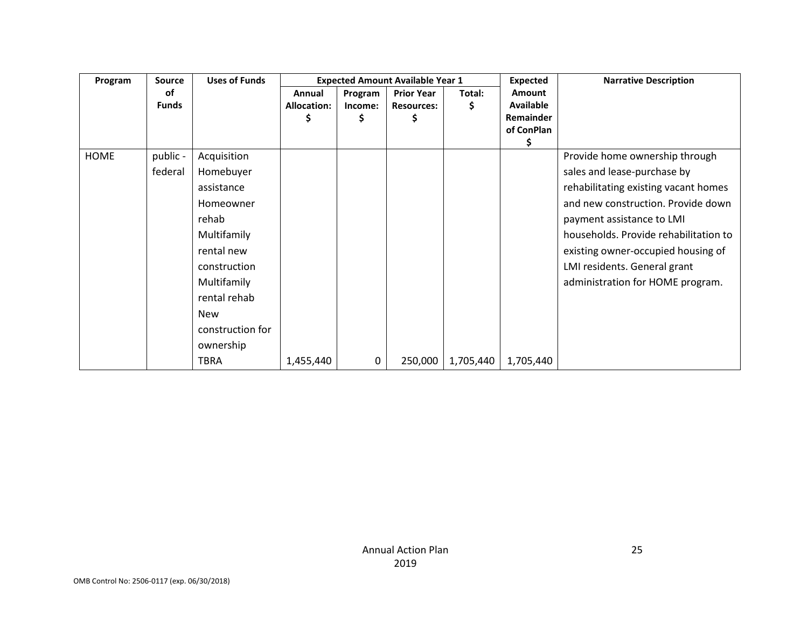| Program     | <b>Source</b> | <b>Uses of Funds</b> |                    |         | <b>Expected Amount Available Year 1</b> |           | <b>Expected</b> | <b>Narrative Description</b>          |
|-------------|---------------|----------------------|--------------------|---------|-----------------------------------------|-----------|-----------------|---------------------------------------|
|             | οf            |                      | Annual             | Program | <b>Prior Year</b>                       | Total:    | <b>Amount</b>   |                                       |
|             | <b>Funds</b>  |                      | <b>Allocation:</b> | Income: | <b>Resources:</b>                       | \$        | Available       |                                       |
|             |               |                      |                    | \$      | Ş                                       |           | Remainder       |                                       |
|             |               |                      |                    |         |                                         |           | of ConPlan      |                                       |
|             |               |                      |                    |         |                                         |           | \$              |                                       |
| <b>HOME</b> | public -      | Acquisition          |                    |         |                                         |           |                 | Provide home ownership through        |
|             | federal       | Homebuyer            |                    |         |                                         |           |                 | sales and lease-purchase by           |
|             |               | assistance           |                    |         |                                         |           |                 | rehabilitating existing vacant homes  |
|             |               | Homeowner            |                    |         |                                         |           |                 | and new construction. Provide down    |
|             |               | rehab                |                    |         |                                         |           |                 | payment assistance to LMI             |
|             |               | Multifamily          |                    |         |                                         |           |                 | households. Provide rehabilitation to |
|             |               | rental new           |                    |         |                                         |           |                 | existing owner-occupied housing of    |
|             |               | construction         |                    |         |                                         |           |                 | LMI residents. General grant          |
|             |               | Multifamily          |                    |         |                                         |           |                 | administration for HOME program.      |
|             |               | rental rehab         |                    |         |                                         |           |                 |                                       |
|             |               | <b>New</b>           |                    |         |                                         |           |                 |                                       |
|             |               | construction for     |                    |         |                                         |           |                 |                                       |
|             |               | ownership            |                    |         |                                         |           |                 |                                       |
|             |               | <b>TBRA</b>          | 1,455,440          | 0       | 250,000                                 | 1,705,440 | 1,705,440       |                                       |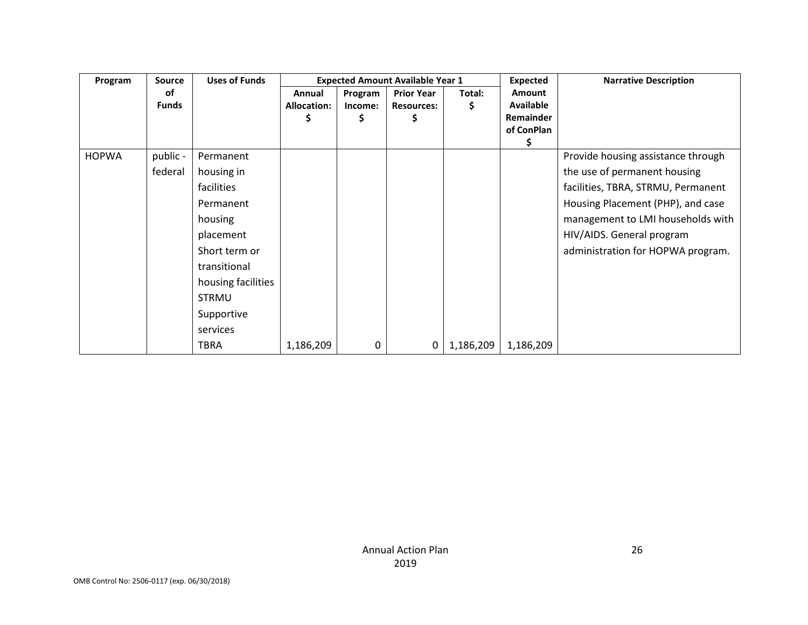| Program      | <b>Source</b>      | <b>Uses of Funds</b> |                                   |                          | <b>Expected Amount Available Year 1</b>      |              | <b>Expected</b>                                              | <b>Narrative Description</b>       |
|--------------|--------------------|----------------------|-----------------------------------|--------------------------|----------------------------------------------|--------------|--------------------------------------------------------------|------------------------------------|
|              | оf<br><b>Funds</b> |                      | Annual<br><b>Allocation:</b><br>S | Program<br>Income:<br>\$ | <b>Prior Year</b><br><b>Resources:</b><br>\$ | Total:<br>\$ | <b>Amount</b><br><b>Available</b><br>Remainder<br>of ConPlan |                                    |
| <b>HOPWA</b> | public -           | Permanent            |                                   |                          |                                              |              |                                                              | Provide housing assistance through |
|              | federal            | housing in           |                                   |                          |                                              |              |                                                              | the use of permanent housing       |
|              |                    | facilities           |                                   |                          |                                              |              |                                                              | facilities, TBRA, STRMU, Permanent |
|              |                    | Permanent            |                                   |                          |                                              |              |                                                              | Housing Placement (PHP), and case  |
|              |                    | housing              |                                   |                          |                                              |              |                                                              | management to LMI households with  |
|              |                    | placement            |                                   |                          |                                              |              |                                                              | HIV/AIDS. General program          |
|              |                    | Short term or        |                                   |                          |                                              |              |                                                              | administration for HOPWA program.  |
|              |                    | transitional         |                                   |                          |                                              |              |                                                              |                                    |
|              |                    | housing facilities   |                                   |                          |                                              |              |                                                              |                                    |
|              |                    | <b>STRMU</b>         |                                   |                          |                                              |              |                                                              |                                    |
|              |                    | Supportive           |                                   |                          |                                              |              |                                                              |                                    |
|              |                    | services             |                                   |                          |                                              |              |                                                              |                                    |
|              |                    | TBRA                 | 1,186,209                         | 0                        | 0                                            | 1,186,209    | 1,186,209                                                    |                                    |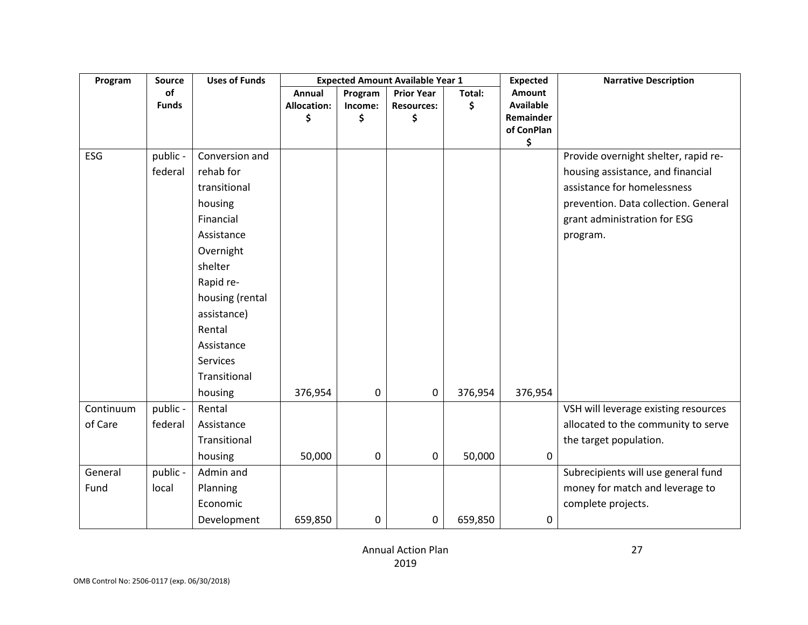| Program   | <b>Source</b> | <b>Uses of Funds</b> | <b>Expected Amount Available Year 1</b> |             | <b>Expected</b>   | <b>Narrative Description</b> |                  |                                      |
|-----------|---------------|----------------------|-----------------------------------------|-------------|-------------------|------------------------------|------------------|--------------------------------------|
|           | of            |                      | Annual                                  | Program     | <b>Prior Year</b> | Total:                       | Amount           |                                      |
|           | <b>Funds</b>  |                      | <b>Allocation:</b>                      | Income:     | <b>Resources:</b> | \$                           | <b>Available</b> |                                      |
|           |               |                      | \$                                      | \$          | \$                |                              | <b>Remainder</b> |                                      |
|           |               |                      |                                         |             |                   |                              | of ConPlan<br>\$ |                                      |
| ESG       | public -      | Conversion and       |                                         |             |                   |                              |                  | Provide overnight shelter, rapid re- |
|           | federal       | rehab for            |                                         |             |                   |                              |                  | housing assistance, and financial    |
|           |               | transitional         |                                         |             |                   |                              |                  | assistance for homelessness          |
|           |               | housing              |                                         |             |                   |                              |                  | prevention. Data collection. General |
|           |               | Financial            |                                         |             |                   |                              |                  | grant administration for ESG         |
|           |               | Assistance           |                                         |             |                   |                              |                  | program.                             |
|           |               | Overnight            |                                         |             |                   |                              |                  |                                      |
|           |               | shelter              |                                         |             |                   |                              |                  |                                      |
|           |               | Rapid re-            |                                         |             |                   |                              |                  |                                      |
|           |               | housing (rental      |                                         |             |                   |                              |                  |                                      |
|           |               | assistance)          |                                         |             |                   |                              |                  |                                      |
|           |               | Rental               |                                         |             |                   |                              |                  |                                      |
|           |               | Assistance           |                                         |             |                   |                              |                  |                                      |
|           |               | Services             |                                         |             |                   |                              |                  |                                      |
|           |               | Transitional         |                                         |             |                   |                              |                  |                                      |
|           |               | housing              | 376,954                                 | 0           | 0                 | 376,954                      | 376,954          |                                      |
| Continuum | public -      | Rental               |                                         |             |                   |                              |                  | VSH will leverage existing resources |
| of Care   | federal       | Assistance           |                                         |             |                   |                              |                  | allocated to the community to serve  |
|           |               | Transitional         |                                         |             |                   |                              |                  | the target population.               |
|           |               | housing              | 50,000                                  | $\mathbf 0$ | 0                 | 50,000                       | 0                |                                      |
| General   | public -      | Admin and            |                                         |             |                   |                              |                  | Subrecipients will use general fund  |
| Fund      | local         | Planning             |                                         |             |                   |                              |                  | money for match and leverage to      |
|           |               | Economic             |                                         |             |                   |                              |                  | complete projects.                   |
|           |               | Development          | 659,850                                 | 0           | 0                 | 659,850                      | 0                |                                      |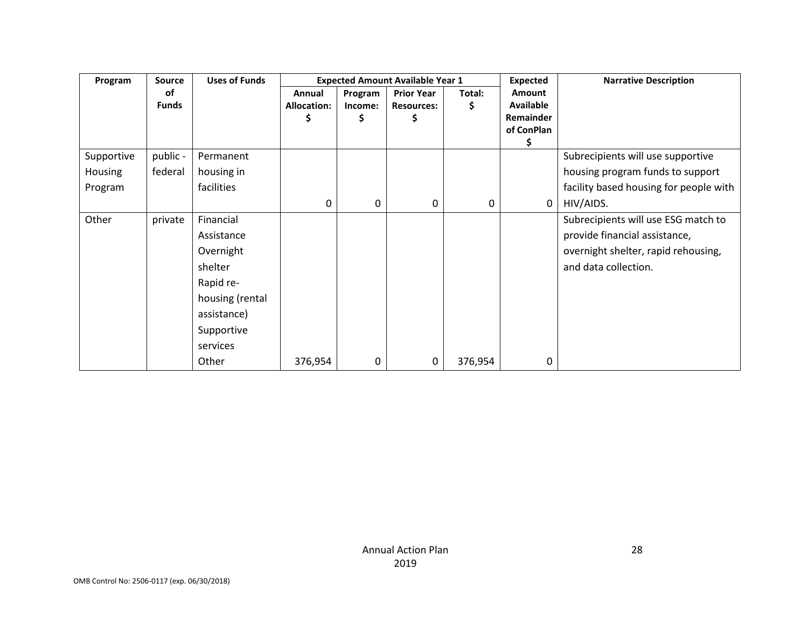| Program    | <b>Source</b> | <b>Uses of Funds</b> |                    |         | <b>Expected Amount Available Year 1</b> |         | <b>Expected</b> | <b>Narrative Description</b>           |
|------------|---------------|----------------------|--------------------|---------|-----------------------------------------|---------|-----------------|----------------------------------------|
|            | οf            |                      | Annual             | Program | <b>Prior Year</b>                       | Total:  | <b>Amount</b>   |                                        |
|            | <b>Funds</b>  |                      | <b>Allocation:</b> | Income: | <b>Resources:</b>                       | \$      | Available       |                                        |
|            |               |                      | Ş                  | \$      | Ş                                       |         | Remainder       |                                        |
|            |               |                      |                    |         |                                         |         | of ConPlan      |                                        |
|            |               |                      |                    |         |                                         |         | \$              |                                        |
| Supportive | public -      | Permanent            |                    |         |                                         |         |                 | Subrecipients will use supportive      |
| Housing    | federal       | housing in           |                    |         |                                         |         |                 | housing program funds to support       |
| Program    |               | facilities           |                    |         |                                         |         |                 | facility based housing for people with |
|            |               |                      | 0                  | 0       | 0                                       | 0       | 0               | HIV/AIDS.                              |
| Other      | private       | Financial            |                    |         |                                         |         |                 | Subrecipients will use ESG match to    |
|            |               | Assistance           |                    |         |                                         |         |                 | provide financial assistance,          |
|            |               | Overnight            |                    |         |                                         |         |                 | overnight shelter, rapid rehousing,    |
|            |               | shelter              |                    |         |                                         |         |                 | and data collection.                   |
|            |               | Rapid re-            |                    |         |                                         |         |                 |                                        |
|            |               | housing (rental      |                    |         |                                         |         |                 |                                        |
|            |               | assistance)          |                    |         |                                         |         |                 |                                        |
|            |               | Supportive           |                    |         |                                         |         |                 |                                        |
|            |               | services             |                    |         |                                         |         |                 |                                        |
|            |               | Other                | 376,954            | 0       | 0                                       | 376,954 | 0               |                                        |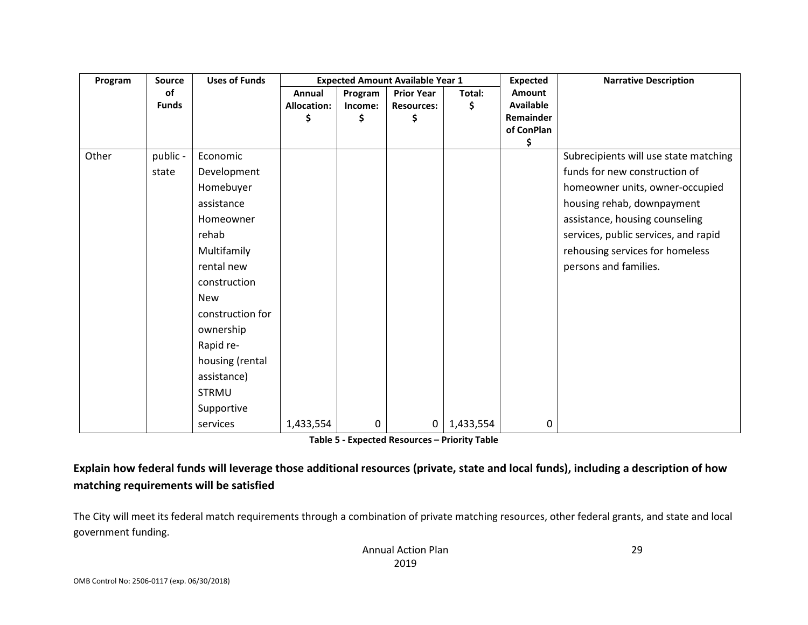| Program | <b>Source</b> | <b>Uses of Funds</b> |                    |         | <b>Expected Amount Available Year 1</b> |           | <b>Expected</b>         | <b>Narrative Description</b>          |
|---------|---------------|----------------------|--------------------|---------|-----------------------------------------|-----------|-------------------------|---------------------------------------|
|         | οf            |                      | Annual             | Program | <b>Prior Year</b>                       | Total:    | Amount                  |                                       |
|         | <b>Funds</b>  |                      | <b>Allocation:</b> | Income: | <b>Resources:</b>                       | \$        | <b>Available</b>        |                                       |
|         |               |                      | Ş                  | \$      | \$                                      |           | Remainder<br>of ConPlan |                                       |
|         |               |                      |                    |         |                                         |           | \$                      |                                       |
| Other   | public -      | Economic             |                    |         |                                         |           |                         | Subrecipients will use state matching |
|         | state         | Development          |                    |         |                                         |           |                         | funds for new construction of         |
|         |               | Homebuyer            |                    |         |                                         |           |                         | homeowner units, owner-occupied       |
|         |               | assistance           |                    |         |                                         |           |                         | housing rehab, downpayment            |
|         |               | Homeowner            |                    |         |                                         |           |                         | assistance, housing counseling        |
|         |               | rehab                |                    |         |                                         |           |                         | services, public services, and rapid  |
|         |               | Multifamily          |                    |         |                                         |           |                         | rehousing services for homeless       |
|         |               | rental new           |                    |         |                                         |           |                         | persons and families.                 |
|         |               | construction         |                    |         |                                         |           |                         |                                       |
|         |               | <b>New</b>           |                    |         |                                         |           |                         |                                       |
|         |               | construction for     |                    |         |                                         |           |                         |                                       |
|         |               | ownership            |                    |         |                                         |           |                         |                                       |
|         |               | Rapid re-            |                    |         |                                         |           |                         |                                       |
|         |               | housing (rental      |                    |         |                                         |           |                         |                                       |
|         |               | assistance)          |                    |         |                                         |           |                         |                                       |
|         |               | <b>STRMU</b>         |                    |         |                                         |           |                         |                                       |
|         |               | Supportive           |                    |         |                                         |           |                         |                                       |
|         |               | services             | 1,433,554          | 0       | $\mathsf 0$                             | 1,433,554 | 0                       |                                       |

**Table 5 - Expected Resources – Priority Table**

**Explain how federal funds will leverage those additional resources (private, state and local funds), including a description of how matching requirements will be satisfied**

The City will meet its federal match requirements through a combination of private matching resources, other federal grants, and state and local government funding.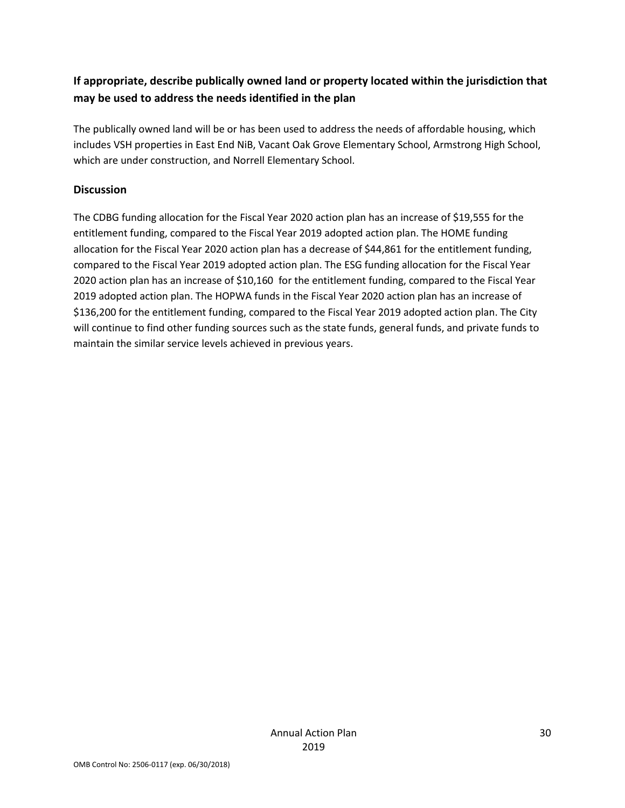## **If appropriate, describe publically owned land or property located within the jurisdiction that may be used to address the needs identified in the plan**

The publically owned land will be or has been used to address the needs of affordable housing, which includes VSH properties in East End NiB, Vacant Oak Grove Elementary School, Armstrong High School, which are under construction, and Norrell Elementary School.

#### **Discussion**

The CDBG funding allocation for the Fiscal Year 2020 action plan has an increase of \$19,555 for the entitlement funding, compared to the Fiscal Year 2019 adopted action plan. The HOME funding allocation for the Fiscal Year 2020 action plan has a decrease of \$44,861 for the entitlement funding, compared to the Fiscal Year 2019 adopted action plan. The ESG funding allocation for the Fiscal Year 2020 action plan has an increase of \$10,160 for the entitlement funding, compared to the Fiscal Year 2019 adopted action plan. The HOPWA funds in the Fiscal Year 2020 action plan has an increase of \$136,200 for the entitlement funding, compared to the Fiscal Year 2019 adopted action plan. The City will continue to find other funding sources such as the state funds, general funds, and private funds to maintain the similar service levels achieved in previous years.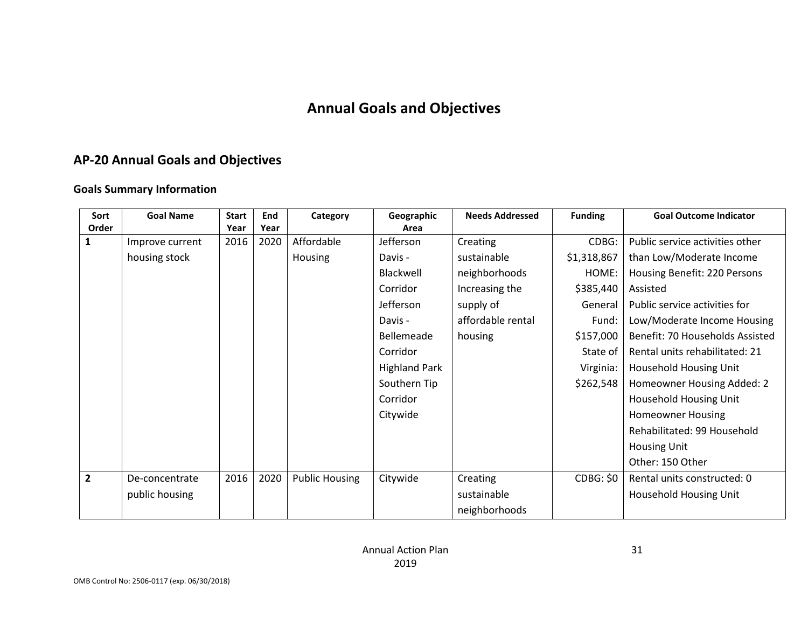## **Annual Goals and Objectives**

## **AP-20 Annual Goals and Objectives**

#### **Goals Summary Information**

| Sort           | <b>Goal Name</b> | <b>Start</b> | End  | Category              | Geographic           | <b>Needs Addressed</b> | <b>Funding</b> | <b>Goal Outcome Indicator</b>   |
|----------------|------------------|--------------|------|-----------------------|----------------------|------------------------|----------------|---------------------------------|
| Order          |                  | Year         | Year |                       | Area                 |                        |                |                                 |
| 1              | Improve current  | 2016         | 2020 | Affordable            | Jefferson            | Creating               | CDBG:          | Public service activities other |
|                | housing stock    |              |      | Housing               | Davis -              | sustainable            | \$1,318,867    | than Low/Moderate Income        |
|                |                  |              |      |                       | Blackwell            | neighborhoods          | HOME:          | Housing Benefit: 220 Persons    |
|                |                  |              |      |                       | Corridor             | Increasing the         | \$385,440      | Assisted                        |
|                |                  |              |      |                       | Jefferson            | supply of              | General        | Public service activities for   |
|                |                  |              |      |                       | Davis -              | affordable rental      | Fund:          | Low/Moderate Income Housing     |
|                |                  |              |      |                       | Bellemeade           | housing                | \$157,000      | Benefit: 70 Households Assisted |
|                |                  |              |      |                       | Corridor             |                        | State of       | Rental units rehabilitated: 21  |
|                |                  |              |      |                       | <b>Highland Park</b> |                        | Virginia:      | <b>Household Housing Unit</b>   |
|                |                  |              |      |                       | Southern Tip         |                        | \$262,548      | Homeowner Housing Added: 2      |
|                |                  |              |      |                       | Corridor             |                        |                | Household Housing Unit          |
|                |                  |              |      |                       | Citywide             |                        |                | <b>Homeowner Housing</b>        |
|                |                  |              |      |                       |                      |                        |                | Rehabilitated: 99 Household     |
|                |                  |              |      |                       |                      |                        |                | <b>Housing Unit</b>             |
|                |                  |              |      |                       |                      |                        |                | Other: 150 Other                |
| $\overline{2}$ | De-concentrate   | 2016         | 2020 | <b>Public Housing</b> | Citywide             | Creating               | CDBG: \$0      | Rental units constructed: 0     |
|                | public housing   |              |      |                       |                      | sustainable            |                | Household Housing Unit          |
|                |                  |              |      |                       |                      | neighborhoods          |                |                                 |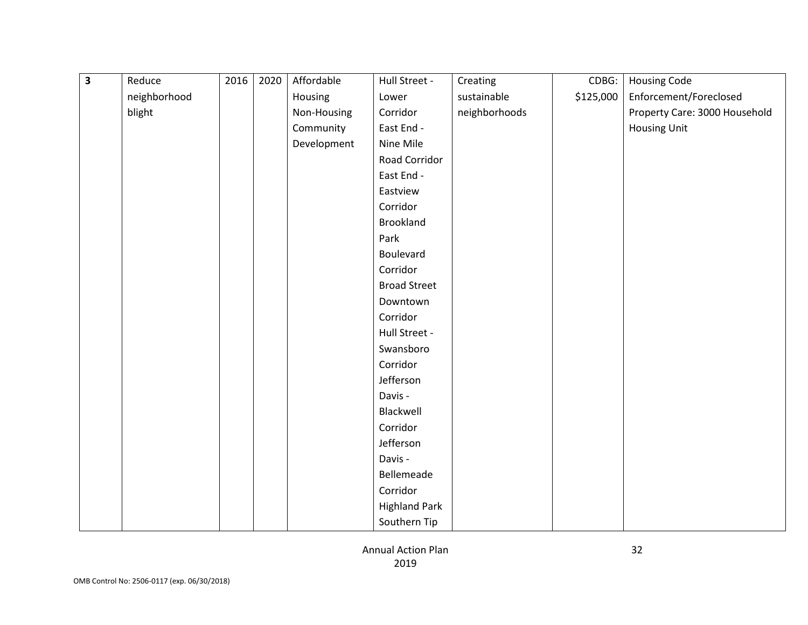| $\overline{\mathbf{3}}$ | Reduce       | 2016 | 2020 | Affordable  | Hull Street -        | Creating      | CDBG:     | <b>Housing Code</b>           |
|-------------------------|--------------|------|------|-------------|----------------------|---------------|-----------|-------------------------------|
|                         | neighborhood |      |      | Housing     | Lower                | sustainable   | \$125,000 | Enforcement/Foreclosed        |
|                         | blight       |      |      | Non-Housing | Corridor             | neighborhoods |           | Property Care: 3000 Household |
|                         |              |      |      | Community   | East End -           |               |           | <b>Housing Unit</b>           |
|                         |              |      |      | Development | Nine Mile            |               |           |                               |
|                         |              |      |      |             | <b>Road Corridor</b> |               |           |                               |
|                         |              |      |      |             | East End -           |               |           |                               |
|                         |              |      |      |             | Eastview             |               |           |                               |
|                         |              |      |      |             | Corridor             |               |           |                               |
|                         |              |      |      |             | <b>Brookland</b>     |               |           |                               |
|                         |              |      |      |             | Park                 |               |           |                               |
|                         |              |      |      |             | Boulevard            |               |           |                               |
|                         |              |      |      |             | Corridor             |               |           |                               |
|                         |              |      |      |             | <b>Broad Street</b>  |               |           |                               |
|                         |              |      |      |             | Downtown             |               |           |                               |
|                         |              |      |      |             | Corridor             |               |           |                               |
|                         |              |      |      |             | Hull Street -        |               |           |                               |
|                         |              |      |      |             | Swansboro            |               |           |                               |
|                         |              |      |      |             | Corridor             |               |           |                               |
|                         |              |      |      |             | Jefferson            |               |           |                               |
|                         |              |      |      |             | Davis -              |               |           |                               |
|                         |              |      |      |             | Blackwell            |               |           |                               |
|                         |              |      |      |             | Corridor             |               |           |                               |
|                         |              |      |      |             | Jefferson            |               |           |                               |
|                         |              |      |      |             | Davis -              |               |           |                               |
|                         |              |      |      |             | Bellemeade           |               |           |                               |
|                         |              |      |      |             | Corridor             |               |           |                               |
|                         |              |      |      |             | <b>Highland Park</b> |               |           |                               |
|                         |              |      |      |             | Southern Tip         |               |           |                               |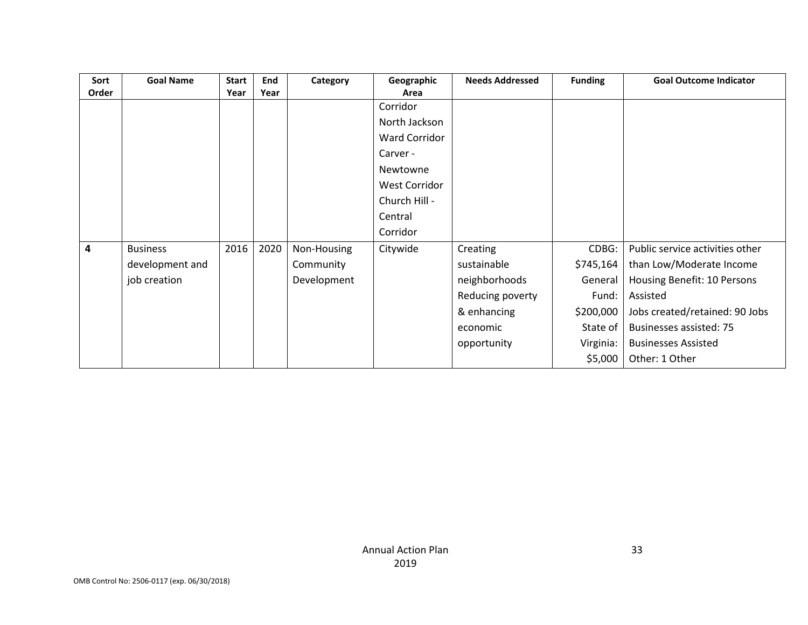| Sort  | <b>Goal Name</b> | <b>Start</b> | <b>End</b> | Category    | Geographic           | <b>Needs Addressed</b> | <b>Funding</b> | <b>Goal Outcome Indicator</b>   |
|-------|------------------|--------------|------------|-------------|----------------------|------------------------|----------------|---------------------------------|
| Order |                  | Year         | Year       |             | Area                 |                        |                |                                 |
|       |                  |              |            |             | Corridor             |                        |                |                                 |
|       |                  |              |            |             | North Jackson        |                        |                |                                 |
|       |                  |              |            |             | <b>Ward Corridor</b> |                        |                |                                 |
|       |                  |              |            |             | Carver -             |                        |                |                                 |
|       |                  |              |            |             | Newtowne             |                        |                |                                 |
|       |                  |              |            |             | <b>West Corridor</b> |                        |                |                                 |
|       |                  |              |            |             | Church Hill -        |                        |                |                                 |
|       |                  |              |            |             | Central              |                        |                |                                 |
|       |                  |              |            |             | Corridor             |                        |                |                                 |
| 4     | <b>Business</b>  | 2016         | 2020       | Non-Housing | Citywide             | Creating               | CDBG:          | Public service activities other |
|       | development and  |              |            | Community   |                      | sustainable            | \$745,164      | than Low/Moderate Income        |
|       | job creation     |              |            | Development |                      | neighborhoods          | General        | Housing Benefit: 10 Persons     |
|       |                  |              |            |             |                      | Reducing poverty       | Fund:          | Assisted                        |
|       |                  |              |            |             |                      | & enhancing            | \$200,000      | Jobs created/retained: 90 Jobs  |
|       |                  |              |            |             |                      | economic               | State of       | <b>Businesses assisted: 75</b>  |
|       |                  |              |            |             |                      | opportunity            | Virginia:      | <b>Businesses Assisted</b>      |
|       |                  |              |            |             |                      |                        | \$5,000        | Other: 1 Other                  |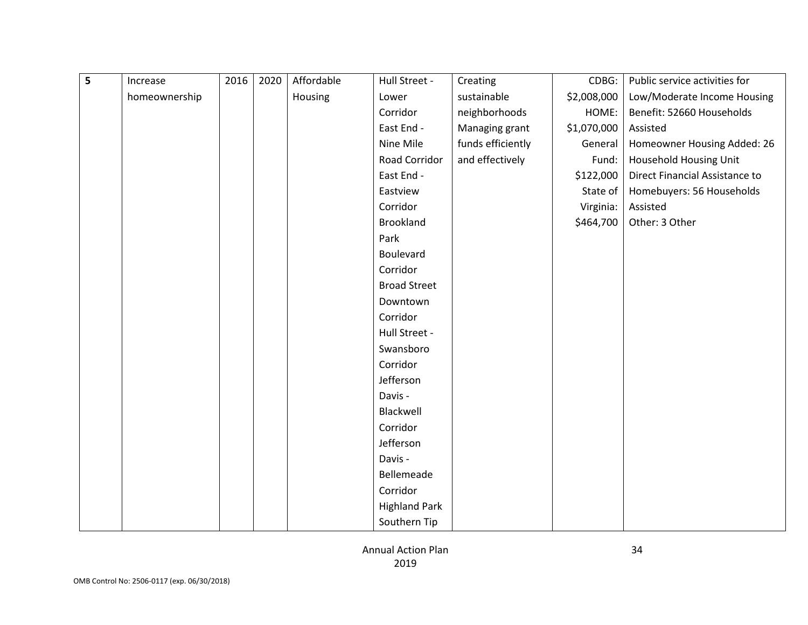| 5 | Increase      | 2016 | 2020 | Affordable | Hull Street -        | Creating          | CDBG:       | Public service activities for  |
|---|---------------|------|------|------------|----------------------|-------------------|-------------|--------------------------------|
|   | homeownership |      |      | Housing    | Lower                | sustainable       | \$2,008,000 | Low/Moderate Income Housing    |
|   |               |      |      |            | Corridor             | neighborhoods     | HOME:       | Benefit: 52660 Households      |
|   |               |      |      |            | East End -           | Managing grant    | \$1,070,000 | Assisted                       |
|   |               |      |      |            | Nine Mile            | funds efficiently | General     | Homeowner Housing Added: 26    |
|   |               |      |      |            | Road Corridor        | and effectively   | Fund:       | <b>Household Housing Unit</b>  |
|   |               |      |      |            | East End -           |                   | \$122,000   | Direct Financial Assistance to |
|   |               |      |      |            | Eastview             |                   | State of    | Homebuyers: 56 Households      |
|   |               |      |      |            | Corridor             |                   | Virginia:   | Assisted                       |
|   |               |      |      |            | <b>Brookland</b>     |                   | \$464,700   | Other: 3 Other                 |
|   |               |      |      |            | Park                 |                   |             |                                |
|   |               |      |      |            | <b>Boulevard</b>     |                   |             |                                |
|   |               |      |      |            | Corridor             |                   |             |                                |
|   |               |      |      |            | <b>Broad Street</b>  |                   |             |                                |
|   |               |      |      |            | Downtown             |                   |             |                                |
|   |               |      |      |            | Corridor             |                   |             |                                |
|   |               |      |      |            | Hull Street -        |                   |             |                                |
|   |               |      |      |            | Swansboro            |                   |             |                                |
|   |               |      |      |            | Corridor             |                   |             |                                |
|   |               |      |      |            | Jefferson            |                   |             |                                |
|   |               |      |      |            | Davis -              |                   |             |                                |
|   |               |      |      |            | Blackwell            |                   |             |                                |
|   |               |      |      |            | Corridor             |                   |             |                                |
|   |               |      |      |            | Jefferson            |                   |             |                                |
|   |               |      |      |            | Davis -              |                   |             |                                |
|   |               |      |      |            | Bellemeade           |                   |             |                                |
|   |               |      |      |            | Corridor             |                   |             |                                |
|   |               |      |      |            | <b>Highland Park</b> |                   |             |                                |
|   |               |      |      |            | Southern Tip         |                   |             |                                |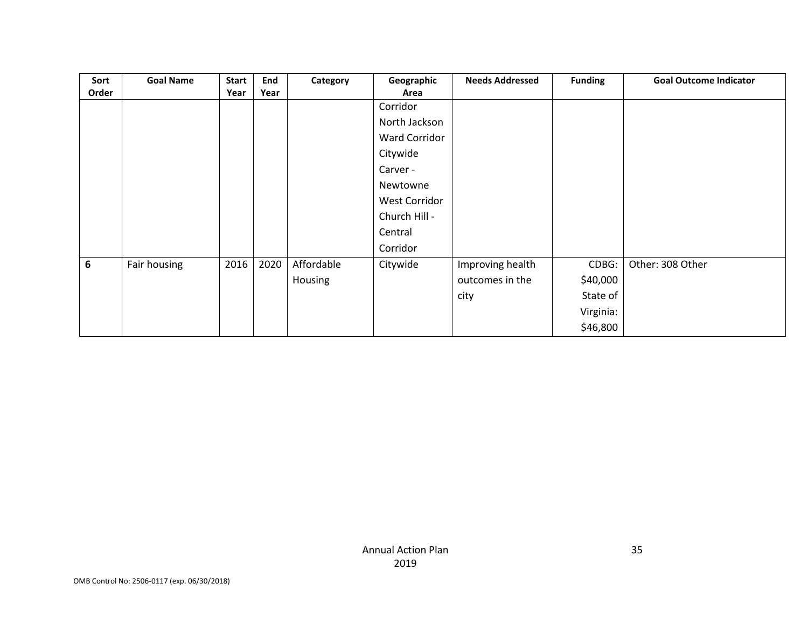| Sort            | <b>Goal Name</b> | <b>Start</b> | End  | Category   | Geographic    | <b>Needs Addressed</b> | <b>Funding</b> | <b>Goal Outcome Indicator</b> |
|-----------------|------------------|--------------|------|------------|---------------|------------------------|----------------|-------------------------------|
| Order           |                  | Year         | Year |            | Area          |                        |                |                               |
|                 |                  |              |      |            | Corridor      |                        |                |                               |
|                 |                  |              |      |            | North Jackson |                        |                |                               |
|                 |                  |              |      |            | Ward Corridor |                        |                |                               |
|                 |                  |              |      |            | Citywide      |                        |                |                               |
|                 |                  |              |      |            | Carver -      |                        |                |                               |
|                 |                  |              |      |            | Newtowne      |                        |                |                               |
|                 |                  |              |      |            | West Corridor |                        |                |                               |
|                 |                  |              |      |            | Church Hill - |                        |                |                               |
|                 |                  |              |      |            | Central       |                        |                |                               |
|                 |                  |              |      |            | Corridor      |                        |                |                               |
| $6\phantom{1}6$ | Fair housing     | 2016         | 2020 | Affordable | Citywide      | Improving health       | CDBG:          | Other: 308 Other              |
|                 |                  |              |      | Housing    |               | outcomes in the        | \$40,000       |                               |
|                 |                  |              |      |            |               | city                   | State of       |                               |
|                 |                  |              |      |            |               |                        | Virginia:      |                               |
|                 |                  |              |      |            |               |                        | \$46,800       |                               |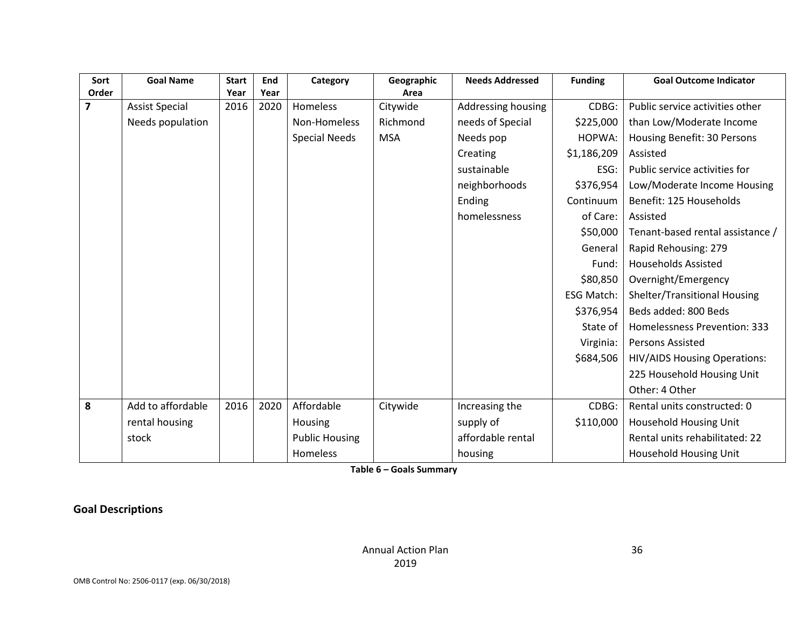| Sort<br>Order           | <b>Goal Name</b>      | <b>Start</b><br>Year | End<br>Year | Category              | Geographic<br>Area | <b>Needs Addressed</b> | <b>Funding</b>    | <b>Goal Outcome Indicator</b>       |
|-------------------------|-----------------------|----------------------|-------------|-----------------------|--------------------|------------------------|-------------------|-------------------------------------|
| $\overline{\mathbf{z}}$ | <b>Assist Special</b> | 2016                 | 2020        | <b>Homeless</b>       | Citywide           | Addressing housing     | CDBG:             | Public service activities other     |
|                         |                       |                      |             |                       |                    |                        |                   |                                     |
|                         | Needs population      |                      |             | Non-Homeless          | Richmond           | needs of Special       | \$225,000         | than Low/Moderate Income            |
|                         |                       |                      |             | <b>Special Needs</b>  | <b>MSA</b>         | Needs pop              | HOPWA:            | Housing Benefit: 30 Persons         |
|                         |                       |                      |             |                       |                    | Creating               | \$1,186,209       | Assisted                            |
|                         |                       |                      |             |                       |                    | sustainable            | ESG:              | Public service activities for       |
|                         |                       |                      |             |                       |                    | neighborhoods          | \$376,954         | Low/Moderate Income Housing         |
|                         |                       |                      |             |                       |                    | Ending                 | Continuum         | Benefit: 125 Households             |
|                         |                       |                      |             |                       |                    | homelessness           | of Care:          | Assisted                            |
|                         |                       |                      |             |                       |                    |                        | \$50,000          | Tenant-based rental assistance /    |
|                         |                       |                      |             |                       |                    |                        | General           | Rapid Rehousing: 279                |
|                         |                       |                      |             |                       |                    |                        | Fund:             | <b>Households Assisted</b>          |
|                         |                       |                      |             |                       |                    |                        | \$80,850          | Overnight/Emergency                 |
|                         |                       |                      |             |                       |                    |                        | <b>ESG Match:</b> | Shelter/Transitional Housing        |
|                         |                       |                      |             |                       |                    |                        | \$376,954         | Beds added: 800 Beds                |
|                         |                       |                      |             |                       |                    |                        | State of          | Homelessness Prevention: 333        |
|                         |                       |                      |             |                       |                    |                        | Virginia:         | Persons Assisted                    |
|                         |                       |                      |             |                       |                    |                        | \$684,506         | <b>HIV/AIDS Housing Operations:</b> |
|                         |                       |                      |             |                       |                    |                        |                   | 225 Household Housing Unit          |
|                         |                       |                      |             |                       |                    |                        |                   | Other: 4 Other                      |
| 8                       | Add to affordable     | 2016                 | 2020        | Affordable            | Citywide           | Increasing the         | CDBG:             | Rental units constructed: 0         |
|                         | rental housing        |                      |             | Housing               |                    | supply of              | \$110,000         | <b>Household Housing Unit</b>       |
|                         | stock                 |                      |             | <b>Public Housing</b> |                    | affordable rental      |                   | Rental units rehabilitated: 22      |
|                         |                       |                      |             | Homeless              |                    | housing                |                   | <b>Household Housing Unit</b>       |

**Table 6 – Goals Summary**

**Goal Descriptions**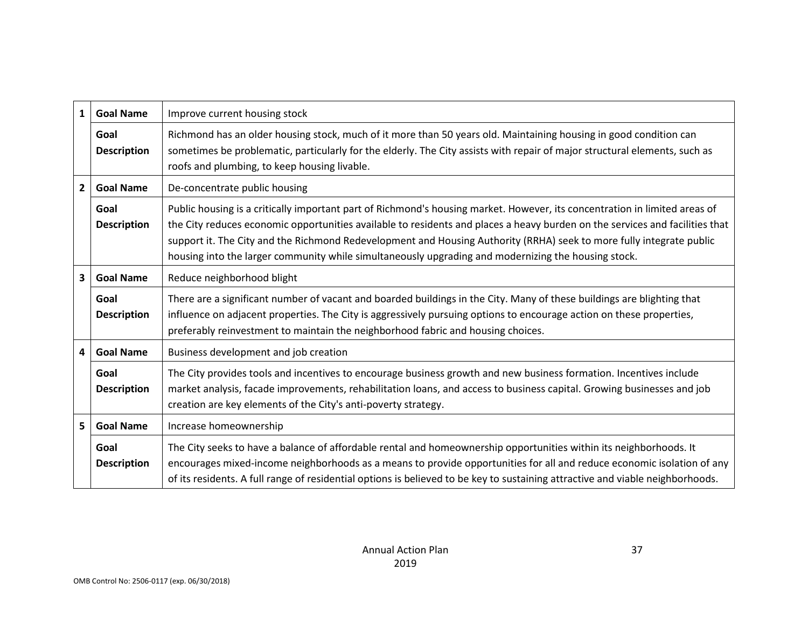| $\mathbf{1}$                                                   | <b>Goal Name</b>                                  | Improve current housing stock                                                                                                                                                                                                                                                                                                                                                                                                                                                             |  |
|----------------------------------------------------------------|---------------------------------------------------|-------------------------------------------------------------------------------------------------------------------------------------------------------------------------------------------------------------------------------------------------------------------------------------------------------------------------------------------------------------------------------------------------------------------------------------------------------------------------------------------|--|
|                                                                | Goal<br><b>Description</b>                        | Richmond has an older housing stock, much of it more than 50 years old. Maintaining housing in good condition can<br>sometimes be problematic, particularly for the elderly. The City assists with repair of major structural elements, such as<br>roofs and plumbing, to keep housing livable.                                                                                                                                                                                           |  |
| $\mathbf{2}$                                                   | <b>Goal Name</b><br>De-concentrate public housing |                                                                                                                                                                                                                                                                                                                                                                                                                                                                                           |  |
| Goal<br><b>Description</b>                                     |                                                   | Public housing is a critically important part of Richmond's housing market. However, its concentration in limited areas of<br>the City reduces economic opportunities available to residents and places a heavy burden on the services and facilities that<br>support it. The City and the Richmond Redevelopment and Housing Authority (RRHA) seek to more fully integrate public<br>housing into the larger community while simultaneously upgrading and modernizing the housing stock. |  |
| 3                                                              | Reduce neighborhood blight<br><b>Goal Name</b>    |                                                                                                                                                                                                                                                                                                                                                                                                                                                                                           |  |
|                                                                | Goal<br><b>Description</b>                        | There are a significant number of vacant and boarded buildings in the City. Many of these buildings are blighting that<br>influence on adjacent properties. The City is aggressively pursuing options to encourage action on these properties,<br>preferably reinvestment to maintain the neighborhood fabric and housing choices.                                                                                                                                                        |  |
| <b>Goal Name</b><br>Business development and job creation<br>4 |                                                   |                                                                                                                                                                                                                                                                                                                                                                                                                                                                                           |  |
|                                                                | Goal<br><b>Description</b>                        | The City provides tools and incentives to encourage business growth and new business formation. Incentives include<br>market analysis, facade improvements, rehabilitation loans, and access to business capital. Growing businesses and job<br>creation are key elements of the City's anti-poverty strategy.                                                                                                                                                                            |  |
| 5                                                              | <b>Goal Name</b><br>Increase homeownership        |                                                                                                                                                                                                                                                                                                                                                                                                                                                                                           |  |
| Goal<br><b>Description</b>                                     |                                                   | The City seeks to have a balance of affordable rental and homeownership opportunities within its neighborhoods. It<br>encourages mixed-income neighborhoods as a means to provide opportunities for all and reduce economic isolation of any<br>of its residents. A full range of residential options is believed to be key to sustaining attractive and viable neighborhoods.                                                                                                            |  |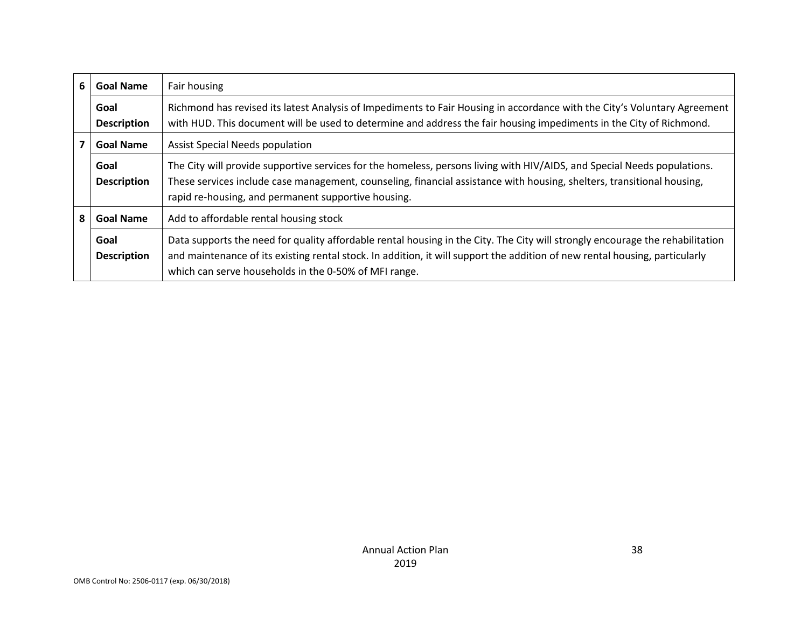| 6                                                                                   | <b>Goal Name</b>           | Fair housing                                                                                                                                                                                                                                                                                              |  |
|-------------------------------------------------------------------------------------|----------------------------|-----------------------------------------------------------------------------------------------------------------------------------------------------------------------------------------------------------------------------------------------------------------------------------------------------------|--|
|                                                                                     | Goal<br><b>Description</b> | Richmond has revised its latest Analysis of Impediments to Fair Housing in accordance with the City's Voluntary Agreement<br>with HUD. This document will be used to determine and address the fair housing impediments in the City of Richmond.                                                          |  |
|                                                                                     | <b>Goal Name</b>           | <b>Assist Special Needs population</b>                                                                                                                                                                                                                                                                    |  |
|                                                                                     | Goal<br><b>Description</b> | The City will provide supportive services for the homeless, persons living with HIV/AIDS, and Special Needs populations.<br>These services include case management, counseling, financial assistance with housing, shelters, transitional housing,<br>rapid re-housing, and permanent supportive housing. |  |
| Add to affordable rental housing stock<br>8<br><b>Goal Name</b>                     |                            |                                                                                                                                                                                                                                                                                                           |  |
| Goal<br><b>Description</b><br>which can serve households in the 0-50% of MFI range. |                            | Data supports the need for quality affordable rental housing in the City. The City will strongly encourage the rehabilitation<br>and maintenance of its existing rental stock. In addition, it will support the addition of new rental housing, particularly                                              |  |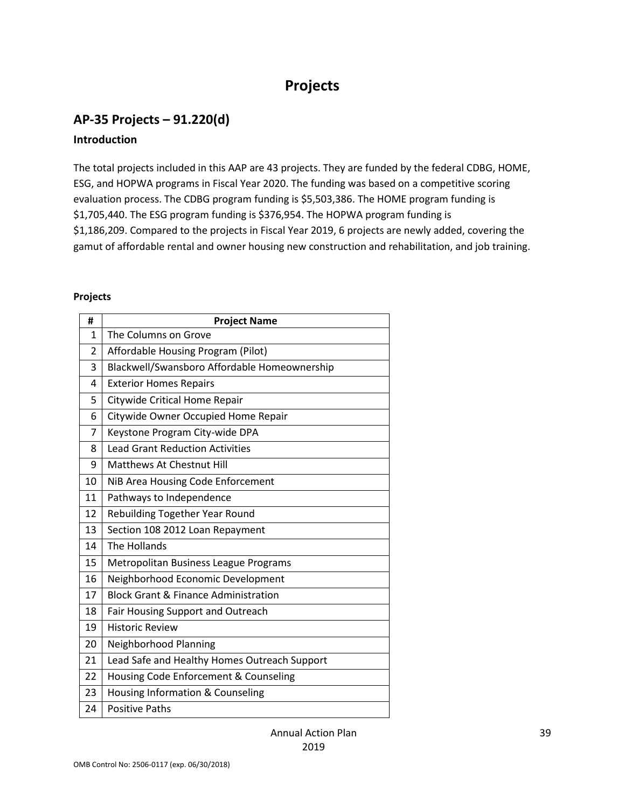# **Projects**

## **AP-35 Projects – 91.220(d)**

### **Introduction**

The total projects included in this AAP are 43 projects. They are funded by the federal CDBG, HOME, ESG, and HOPWA programs in Fiscal Year 2020. The funding was based on a competitive scoring evaluation process. The CDBG program funding is \$5,503,386. The HOME program funding is \$1,705,440. The ESG program funding is \$376,954. The HOPWA program funding is \$1,186,209. Compared to the projects in Fiscal Year 2019, 6 projects are newly added, covering the gamut of affordable rental and owner housing new construction and rehabilitation, and job training.

#### **Projects**

| #                                           | <b>Project Name</b>                             |  |
|---------------------------------------------|-------------------------------------------------|--|
| $\mathbf{1}$                                | The Columns on Grove                            |  |
| 2                                           | Affordable Housing Program (Pilot)              |  |
| 3                                           | Blackwell/Swansboro Affordable Homeownership    |  |
| 4                                           | <b>Exterior Homes Repairs</b>                   |  |
| 5                                           | Citywide Critical Home Repair                   |  |
| 6                                           | Citywide Owner Occupied Home Repair             |  |
| $\overline{7}$                              | Keystone Program City-wide DPA                  |  |
| 8                                           | <b>Lead Grant Reduction Activities</b>          |  |
| 9                                           | Matthews At Chestnut Hill                       |  |
| 10                                          | NiB Area Housing Code Enforcement               |  |
| 11<br>Pathways to Independence              |                                                 |  |
| 12                                          | Rebuilding Together Year Round                  |  |
| 13                                          | Section 108 2012 Loan Repayment                 |  |
| The Hollands<br>14                          |                                                 |  |
| 15<br>Metropolitan Business League Programs |                                                 |  |
| 16<br>Neighborhood Economic Development     |                                                 |  |
| 17                                          | <b>Block Grant &amp; Finance Administration</b> |  |
| 18                                          | Fair Housing Support and Outreach               |  |
| 19                                          | <b>Historic Review</b>                          |  |
| 20                                          | Neighborhood Planning                           |  |
| 21                                          | Lead Safe and Healthy Homes Outreach Support    |  |
| 22                                          | Housing Code Enforcement & Counseling           |  |
| 23                                          | Housing Information & Counseling                |  |
| 24                                          | <b>Positive Paths</b>                           |  |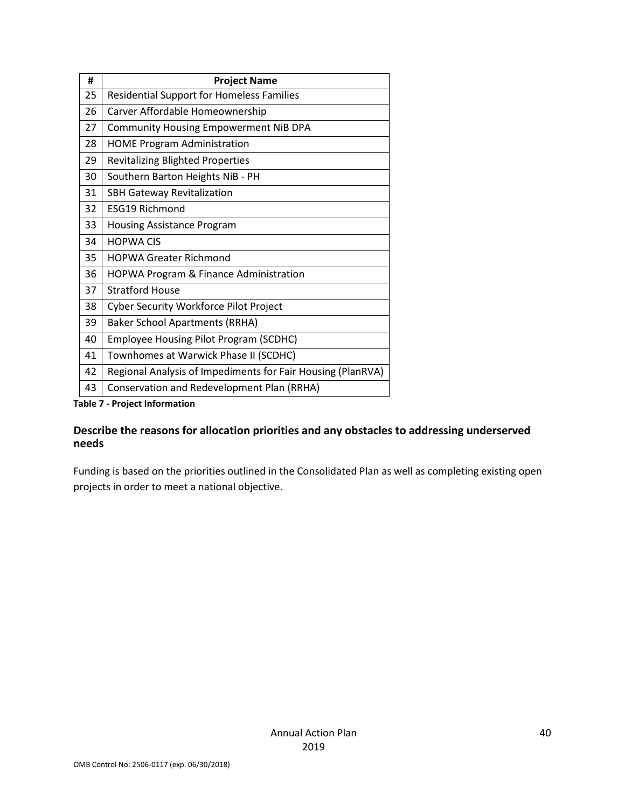| #  | <b>Project Name</b>                                         |  |
|----|-------------------------------------------------------------|--|
| 25 | <b>Residential Support for Homeless Families</b>            |  |
| 26 | Carver Affordable Homeownership                             |  |
| 27 | <b>Community Housing Empowerment NiB DPA</b>                |  |
| 28 | <b>HOME Program Administration</b>                          |  |
| 29 | <b>Revitalizing Blighted Properties</b>                     |  |
| 30 | Southern Barton Heights NiB - PH                            |  |
| 31 | <b>SBH Gateway Revitalization</b>                           |  |
| 32 | <b>ESG19 Richmond</b>                                       |  |
| 33 | <b>Housing Assistance Program</b>                           |  |
| 34 | <b>HOPWA CIS</b>                                            |  |
| 35 | <b>HOPWA Greater Richmond</b>                               |  |
| 36 | <b>HOPWA Program &amp; Finance Administration</b>           |  |
| 37 | <b>Stratford House</b>                                      |  |
| 38 | <b>Cyber Security Workforce Pilot Project</b>               |  |
| 39 | <b>Baker School Apartments (RRHA)</b>                       |  |
| 40 | <b>Employee Housing Pilot Program (SCDHC)</b>               |  |
| 41 | Townhomes at Warwick Phase II (SCDHC)                       |  |
| 42 | Regional Analysis of Impediments for Fair Housing (PlanRVA) |  |
| 43 | Conservation and Redevelopment Plan (RRHA)                  |  |

**Table 7 - Project Information**

### **Describe the reasons for allocation priorities and any obstacles to addressing underserved needs**

Funding is based on the priorities outlined in the Consolidated Plan as well as completing existing open projects in order to meet a national objective.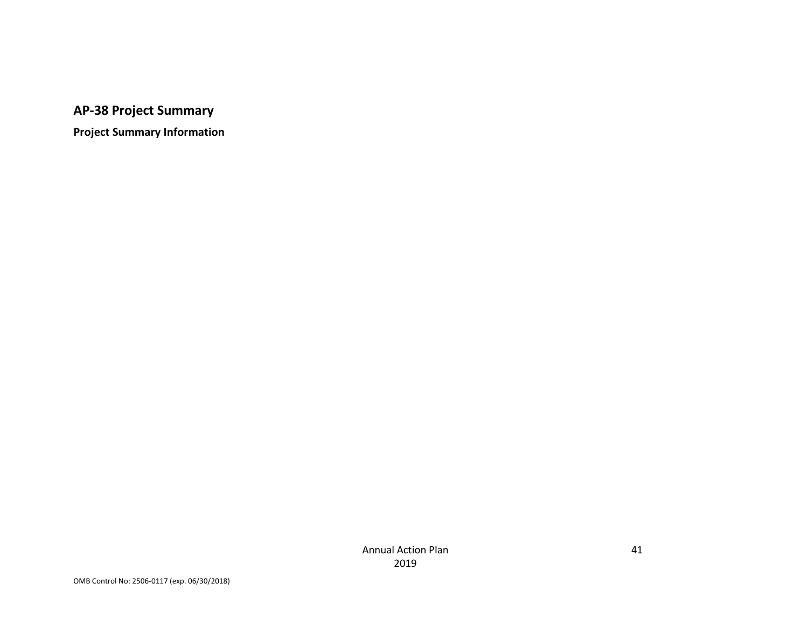**AP-38 Project Summary**

**Project Summary Information**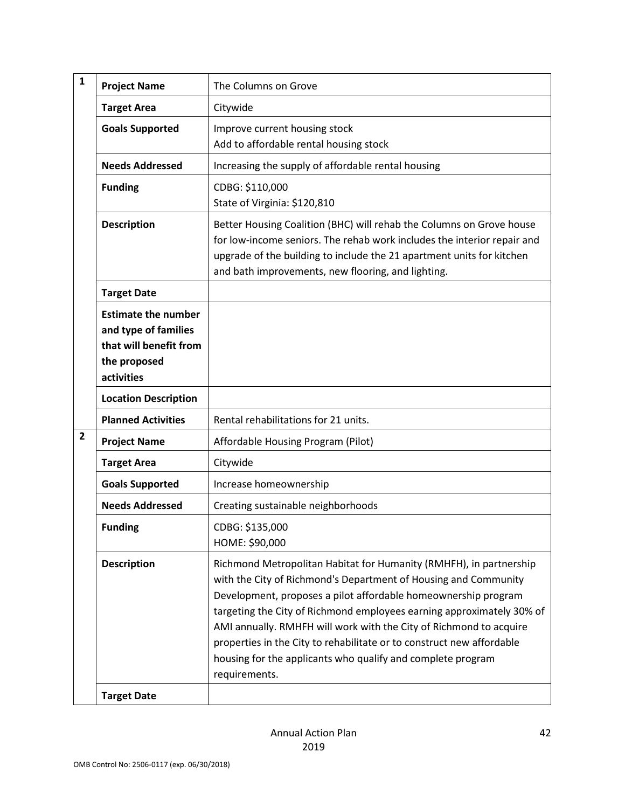| $\mathbf{1}$   | <b>Project Name</b>                                                                                        | The Columns on Grove                                                                                                                                                                                                                                                                                                                                                                                                                                                                                            |
|----------------|------------------------------------------------------------------------------------------------------------|-----------------------------------------------------------------------------------------------------------------------------------------------------------------------------------------------------------------------------------------------------------------------------------------------------------------------------------------------------------------------------------------------------------------------------------------------------------------------------------------------------------------|
|                | <b>Target Area</b>                                                                                         | Citywide                                                                                                                                                                                                                                                                                                                                                                                                                                                                                                        |
|                | <b>Goals Supported</b>                                                                                     | Improve current housing stock<br>Add to affordable rental housing stock                                                                                                                                                                                                                                                                                                                                                                                                                                         |
|                | <b>Needs Addressed</b>                                                                                     | Increasing the supply of affordable rental housing                                                                                                                                                                                                                                                                                                                                                                                                                                                              |
|                | <b>Funding</b>                                                                                             | CDBG: \$110,000<br>State of Virginia: \$120,810                                                                                                                                                                                                                                                                                                                                                                                                                                                                 |
|                | <b>Description</b>                                                                                         | Better Housing Coalition (BHC) will rehab the Columns on Grove house<br>for low-income seniors. The rehab work includes the interior repair and<br>upgrade of the building to include the 21 apartment units for kitchen<br>and bath improvements, new flooring, and lighting.                                                                                                                                                                                                                                  |
|                | <b>Target Date</b>                                                                                         |                                                                                                                                                                                                                                                                                                                                                                                                                                                                                                                 |
|                | <b>Estimate the number</b><br>and type of families<br>that will benefit from<br>the proposed<br>activities |                                                                                                                                                                                                                                                                                                                                                                                                                                                                                                                 |
|                | <b>Location Description</b>                                                                                |                                                                                                                                                                                                                                                                                                                                                                                                                                                                                                                 |
|                | <b>Planned Activities</b>                                                                                  | Rental rehabilitations for 21 units.                                                                                                                                                                                                                                                                                                                                                                                                                                                                            |
| $\overline{2}$ | <b>Project Name</b>                                                                                        | Affordable Housing Program (Pilot)                                                                                                                                                                                                                                                                                                                                                                                                                                                                              |
|                | <b>Target Area</b>                                                                                         | Citywide                                                                                                                                                                                                                                                                                                                                                                                                                                                                                                        |
|                | <b>Goals Supported</b>                                                                                     | Increase homeownership                                                                                                                                                                                                                                                                                                                                                                                                                                                                                          |
|                | <b>Needs Addressed</b>                                                                                     | Creating sustainable neighborhoods                                                                                                                                                                                                                                                                                                                                                                                                                                                                              |
|                | <b>Funding</b>                                                                                             | CDBG: \$135,000<br>HOME: \$90,000                                                                                                                                                                                                                                                                                                                                                                                                                                                                               |
|                | <b>Description</b>                                                                                         | Richmond Metropolitan Habitat for Humanity (RMHFH), in partnership<br>with the City of Richmond's Department of Housing and Community<br>Development, proposes a pilot affordable homeownership program<br>targeting the City of Richmond employees earning approximately 30% of<br>AMI annually. RMHFH will work with the City of Richmond to acquire<br>properties in the City to rehabilitate or to construct new affordable<br>housing for the applicants who qualify and complete program<br>requirements. |
|                | <b>Target Date</b>                                                                                         |                                                                                                                                                                                                                                                                                                                                                                                                                                                                                                                 |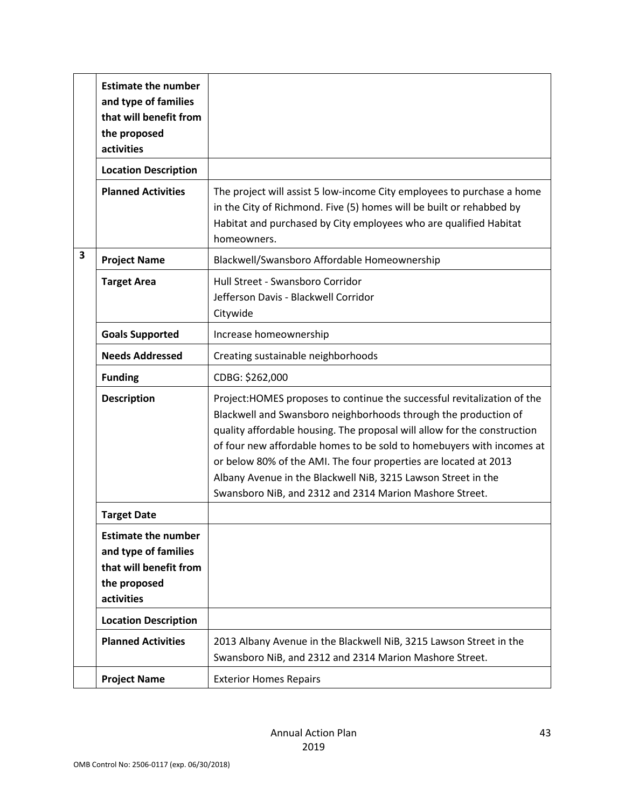|   | <b>Estimate the number</b><br>and type of families<br>that will benefit from<br>the proposed<br>activities |                                                                                                                                                                                                                                                                                                                                                                                                                                                                                                  |
|---|------------------------------------------------------------------------------------------------------------|--------------------------------------------------------------------------------------------------------------------------------------------------------------------------------------------------------------------------------------------------------------------------------------------------------------------------------------------------------------------------------------------------------------------------------------------------------------------------------------------------|
|   | <b>Location Description</b>                                                                                |                                                                                                                                                                                                                                                                                                                                                                                                                                                                                                  |
|   | <b>Planned Activities</b>                                                                                  | The project will assist 5 low-income City employees to purchase a home<br>in the City of Richmond. Five (5) homes will be built or rehabbed by<br>Habitat and purchased by City employees who are qualified Habitat<br>homeowners.                                                                                                                                                                                                                                                               |
| 3 | <b>Project Name</b>                                                                                        | Blackwell/Swansboro Affordable Homeownership                                                                                                                                                                                                                                                                                                                                                                                                                                                     |
|   | <b>Target Area</b>                                                                                         | Hull Street - Swansboro Corridor<br>Jefferson Davis - Blackwell Corridor<br>Citywide                                                                                                                                                                                                                                                                                                                                                                                                             |
|   | <b>Goals Supported</b>                                                                                     | Increase homeownership                                                                                                                                                                                                                                                                                                                                                                                                                                                                           |
|   | <b>Needs Addressed</b>                                                                                     | Creating sustainable neighborhoods                                                                                                                                                                                                                                                                                                                                                                                                                                                               |
|   | <b>Funding</b>                                                                                             | CDBG: \$262,000                                                                                                                                                                                                                                                                                                                                                                                                                                                                                  |
|   | <b>Description</b>                                                                                         | Project: HOMES proposes to continue the successful revitalization of the<br>Blackwell and Swansboro neighborhoods through the production of<br>quality affordable housing. The proposal will allow for the construction<br>of four new affordable homes to be sold to homebuyers with incomes at<br>or below 80% of the AMI. The four properties are located at 2013<br>Albany Avenue in the Blackwell NiB, 3215 Lawson Street in the<br>Swansboro NiB, and 2312 and 2314 Marion Mashore Street. |
|   | <b>Target Date</b>                                                                                         |                                                                                                                                                                                                                                                                                                                                                                                                                                                                                                  |
|   | <b>Estimate the number</b><br>and type of families<br>that will benefit from<br>the proposed<br>activities |                                                                                                                                                                                                                                                                                                                                                                                                                                                                                                  |
|   | <b>Location Description</b>                                                                                |                                                                                                                                                                                                                                                                                                                                                                                                                                                                                                  |
|   | <b>Planned Activities</b>                                                                                  | 2013 Albany Avenue in the Blackwell NiB, 3215 Lawson Street in the<br>Swansboro NiB, and 2312 and 2314 Marion Mashore Street.                                                                                                                                                                                                                                                                                                                                                                    |
|   | <b>Project Name</b>                                                                                        | <b>Exterior Homes Repairs</b>                                                                                                                                                                                                                                                                                                                                                                                                                                                                    |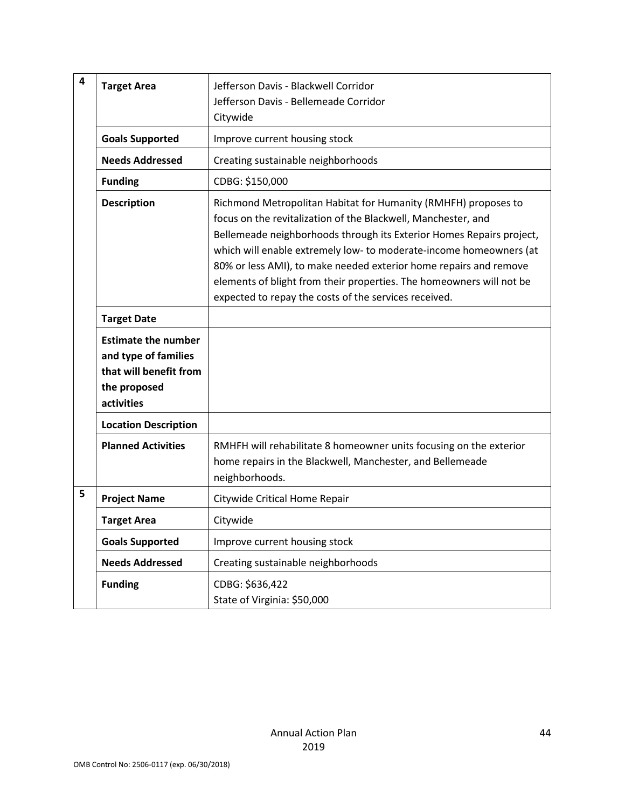| 4 | <b>Target Area</b>                                                                                         | Jefferson Davis - Blackwell Corridor<br>Jefferson Davis - Bellemeade Corridor<br>Citywide                                                                                                                                                                                                                                                                                                                                                                                           |
|---|------------------------------------------------------------------------------------------------------------|-------------------------------------------------------------------------------------------------------------------------------------------------------------------------------------------------------------------------------------------------------------------------------------------------------------------------------------------------------------------------------------------------------------------------------------------------------------------------------------|
|   | <b>Goals Supported</b>                                                                                     | Improve current housing stock                                                                                                                                                                                                                                                                                                                                                                                                                                                       |
|   | <b>Needs Addressed</b>                                                                                     | Creating sustainable neighborhoods                                                                                                                                                                                                                                                                                                                                                                                                                                                  |
|   | <b>Funding</b>                                                                                             | CDBG: \$150,000                                                                                                                                                                                                                                                                                                                                                                                                                                                                     |
|   | <b>Description</b>                                                                                         | Richmond Metropolitan Habitat for Humanity (RMHFH) proposes to<br>focus on the revitalization of the Blackwell, Manchester, and<br>Bellemeade neighborhoods through its Exterior Homes Repairs project,<br>which will enable extremely low- to moderate-income homeowners (at<br>80% or less AMI), to make needed exterior home repairs and remove<br>elements of blight from their properties. The homeowners will not be<br>expected to repay the costs of the services received. |
|   | <b>Target Date</b>                                                                                         |                                                                                                                                                                                                                                                                                                                                                                                                                                                                                     |
|   | <b>Estimate the number</b><br>and type of families<br>that will benefit from<br>the proposed<br>activities |                                                                                                                                                                                                                                                                                                                                                                                                                                                                                     |
|   | <b>Location Description</b>                                                                                |                                                                                                                                                                                                                                                                                                                                                                                                                                                                                     |
|   | <b>Planned Activities</b>                                                                                  | RMHFH will rehabilitate 8 homeowner units focusing on the exterior<br>home repairs in the Blackwell, Manchester, and Bellemeade<br>neighborhoods.                                                                                                                                                                                                                                                                                                                                   |
| 5 | <b>Project Name</b>                                                                                        | Citywide Critical Home Repair                                                                                                                                                                                                                                                                                                                                                                                                                                                       |
|   | <b>Target Area</b>                                                                                         | Citywide                                                                                                                                                                                                                                                                                                                                                                                                                                                                            |
|   | <b>Goals Supported</b>                                                                                     | Improve current housing stock                                                                                                                                                                                                                                                                                                                                                                                                                                                       |
|   | <b>Needs Addressed</b>                                                                                     | Creating sustainable neighborhoods                                                                                                                                                                                                                                                                                                                                                                                                                                                  |
|   | <b>Funding</b>                                                                                             | CDBG: \$636,422<br>State of Virginia: \$50,000                                                                                                                                                                                                                                                                                                                                                                                                                                      |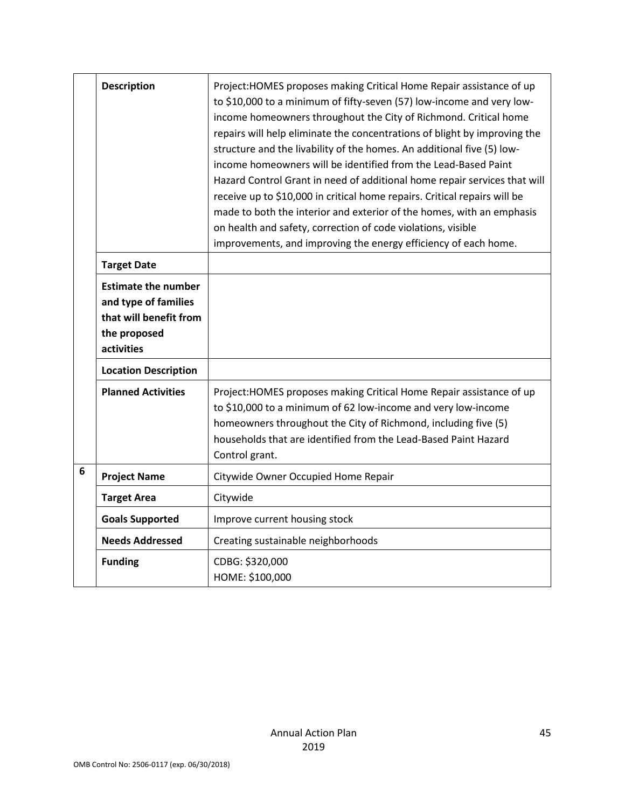|   | <b>Description</b><br><b>Target Date</b><br><b>Estimate the number</b> | Project: HOMES proposes making Critical Home Repair assistance of up<br>to \$10,000 to a minimum of fifty-seven (57) low-income and very low-<br>income homeowners throughout the City of Richmond. Critical home<br>repairs will help eliminate the concentrations of blight by improving the<br>structure and the livability of the homes. An additional five (5) low-<br>income homeowners will be identified from the Lead-Based Paint<br>Hazard Control Grant in need of additional home repair services that will<br>receive up to \$10,000 in critical home repairs. Critical repairs will be<br>made to both the interior and exterior of the homes, with an emphasis<br>on health and safety, correction of code violations, visible<br>improvements, and improving the energy efficiency of each home. |
|---|------------------------------------------------------------------------|------------------------------------------------------------------------------------------------------------------------------------------------------------------------------------------------------------------------------------------------------------------------------------------------------------------------------------------------------------------------------------------------------------------------------------------------------------------------------------------------------------------------------------------------------------------------------------------------------------------------------------------------------------------------------------------------------------------------------------------------------------------------------------------------------------------|
|   | and type of families                                                   |                                                                                                                                                                                                                                                                                                                                                                                                                                                                                                                                                                                                                                                                                                                                                                                                                  |
|   | that will benefit from<br>the proposed                                 |                                                                                                                                                                                                                                                                                                                                                                                                                                                                                                                                                                                                                                                                                                                                                                                                                  |
|   | activities                                                             |                                                                                                                                                                                                                                                                                                                                                                                                                                                                                                                                                                                                                                                                                                                                                                                                                  |
|   | <b>Location Description</b>                                            |                                                                                                                                                                                                                                                                                                                                                                                                                                                                                                                                                                                                                                                                                                                                                                                                                  |
|   | <b>Planned Activities</b>                                              | Project: HOMES proposes making Critical Home Repair assistance of up<br>to \$10,000 to a minimum of 62 low-income and very low-income<br>homeowners throughout the City of Richmond, including five (5)<br>households that are identified from the Lead-Based Paint Hazard<br>Control grant.                                                                                                                                                                                                                                                                                                                                                                                                                                                                                                                     |
| 6 | <b>Project Name</b>                                                    | Citywide Owner Occupied Home Repair                                                                                                                                                                                                                                                                                                                                                                                                                                                                                                                                                                                                                                                                                                                                                                              |
|   | <b>Target Area</b>                                                     | Citywide                                                                                                                                                                                                                                                                                                                                                                                                                                                                                                                                                                                                                                                                                                                                                                                                         |
|   | <b>Goals Supported</b>                                                 | Improve current housing stock                                                                                                                                                                                                                                                                                                                                                                                                                                                                                                                                                                                                                                                                                                                                                                                    |
|   | <b>Needs Addressed</b>                                                 | Creating sustainable neighborhoods                                                                                                                                                                                                                                                                                                                                                                                                                                                                                                                                                                                                                                                                                                                                                                               |
|   | <b>Funding</b>                                                         | CDBG: \$320,000                                                                                                                                                                                                                                                                                                                                                                                                                                                                                                                                                                                                                                                                                                                                                                                                  |
|   |                                                                        | HOME: \$100,000                                                                                                                                                                                                                                                                                                                                                                                                                                                                                                                                                                                                                                                                                                                                                                                                  |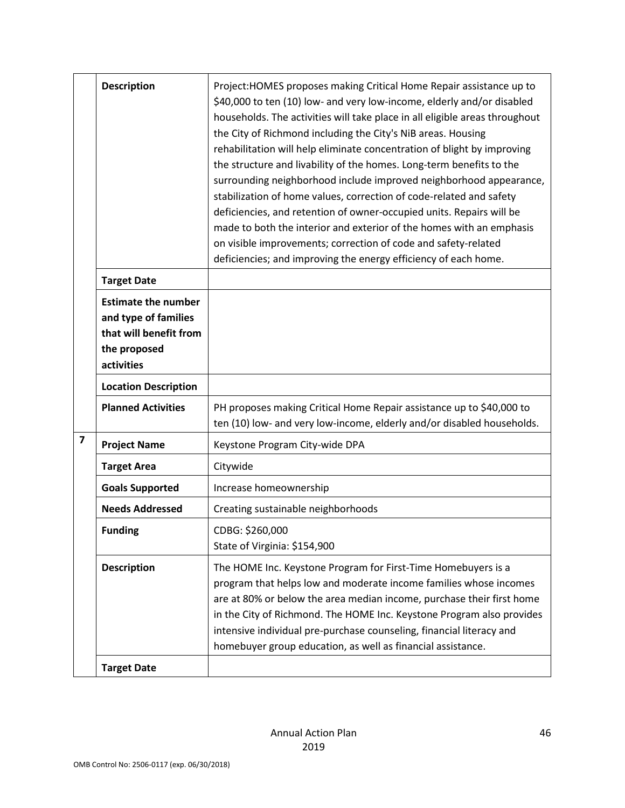|                         | <b>Description</b>                                                                                         | Project: HOMES proposes making Critical Home Repair assistance up to<br>\$40,000 to ten (10) low- and very low-income, elderly and/or disabled<br>households. The activities will take place in all eligible areas throughout<br>the City of Richmond including the City's NiB areas. Housing<br>rehabilitation will help eliminate concentration of blight by improving<br>the structure and livability of the homes. Long-term benefits to the<br>surrounding neighborhood include improved neighborhood appearance,<br>stabilization of home values, correction of code-related and safety<br>deficiencies, and retention of owner-occupied units. Repairs will be<br>made to both the interior and exterior of the homes with an emphasis<br>on visible improvements; correction of code and safety-related<br>deficiencies; and improving the energy efficiency of each home. |
|-------------------------|------------------------------------------------------------------------------------------------------------|------------------------------------------------------------------------------------------------------------------------------------------------------------------------------------------------------------------------------------------------------------------------------------------------------------------------------------------------------------------------------------------------------------------------------------------------------------------------------------------------------------------------------------------------------------------------------------------------------------------------------------------------------------------------------------------------------------------------------------------------------------------------------------------------------------------------------------------------------------------------------------|
|                         | <b>Target Date</b>                                                                                         |                                                                                                                                                                                                                                                                                                                                                                                                                                                                                                                                                                                                                                                                                                                                                                                                                                                                                    |
|                         | <b>Estimate the number</b><br>and type of families<br>that will benefit from<br>the proposed<br>activities |                                                                                                                                                                                                                                                                                                                                                                                                                                                                                                                                                                                                                                                                                                                                                                                                                                                                                    |
|                         | <b>Location Description</b>                                                                                |                                                                                                                                                                                                                                                                                                                                                                                                                                                                                                                                                                                                                                                                                                                                                                                                                                                                                    |
|                         | <b>Planned Activities</b>                                                                                  | PH proposes making Critical Home Repair assistance up to \$40,000 to<br>ten (10) low- and very low-income, elderly and/or disabled households.                                                                                                                                                                                                                                                                                                                                                                                                                                                                                                                                                                                                                                                                                                                                     |
| $\overline{\mathbf{z}}$ | <b>Project Name</b>                                                                                        | Keystone Program City-wide DPA                                                                                                                                                                                                                                                                                                                                                                                                                                                                                                                                                                                                                                                                                                                                                                                                                                                     |
|                         | <b>Target Area</b>                                                                                         | Citywide                                                                                                                                                                                                                                                                                                                                                                                                                                                                                                                                                                                                                                                                                                                                                                                                                                                                           |
|                         | <b>Goals Supported</b>                                                                                     | Increase homeownership                                                                                                                                                                                                                                                                                                                                                                                                                                                                                                                                                                                                                                                                                                                                                                                                                                                             |
|                         | <b>Needs Addressed</b>                                                                                     | Creating sustainable neighborhoods                                                                                                                                                                                                                                                                                                                                                                                                                                                                                                                                                                                                                                                                                                                                                                                                                                                 |
|                         | <b>Funding</b>                                                                                             | CDBG: \$260,000<br>State of Virginia: \$154,900                                                                                                                                                                                                                                                                                                                                                                                                                                                                                                                                                                                                                                                                                                                                                                                                                                    |
|                         | <b>Description</b>                                                                                         | The HOME Inc. Keystone Program for First-Time Homebuyers is a<br>program that helps low and moderate income families whose incomes<br>are at 80% or below the area median income, purchase their first home<br>in the City of Richmond. The HOME Inc. Keystone Program also provides<br>intensive individual pre-purchase counseling, financial literacy and<br>homebuyer group education, as well as financial assistance.                                                                                                                                                                                                                                                                                                                                                                                                                                                        |
|                         | <b>Target Date</b>                                                                                         |                                                                                                                                                                                                                                                                                                                                                                                                                                                                                                                                                                                                                                                                                                                                                                                                                                                                                    |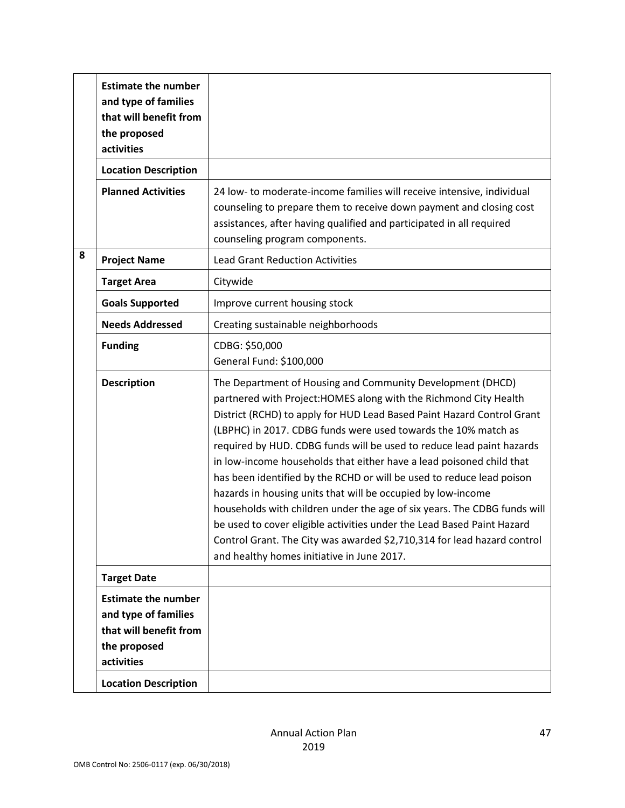| <b>Estimate the number</b>                                                                                 |                                                                                                                                                                                                                                                                                                                                                                                                                                                                                                                                                                                                                                                                                                                                                                                                                                                      |
|------------------------------------------------------------------------------------------------------------|------------------------------------------------------------------------------------------------------------------------------------------------------------------------------------------------------------------------------------------------------------------------------------------------------------------------------------------------------------------------------------------------------------------------------------------------------------------------------------------------------------------------------------------------------------------------------------------------------------------------------------------------------------------------------------------------------------------------------------------------------------------------------------------------------------------------------------------------------|
| and type of families<br>that will benefit from<br>the proposed<br>activities                               |                                                                                                                                                                                                                                                                                                                                                                                                                                                                                                                                                                                                                                                                                                                                                                                                                                                      |
| <b>Location Description</b>                                                                                |                                                                                                                                                                                                                                                                                                                                                                                                                                                                                                                                                                                                                                                                                                                                                                                                                                                      |
| <b>Planned Activities</b>                                                                                  | 24 low- to moderate-income families will receive intensive, individual<br>counseling to prepare them to receive down payment and closing cost<br>assistances, after having qualified and participated in all required<br>counseling program components.                                                                                                                                                                                                                                                                                                                                                                                                                                                                                                                                                                                              |
| <b>Project Name</b>                                                                                        | <b>Lead Grant Reduction Activities</b>                                                                                                                                                                                                                                                                                                                                                                                                                                                                                                                                                                                                                                                                                                                                                                                                               |
| <b>Target Area</b>                                                                                         | Citywide                                                                                                                                                                                                                                                                                                                                                                                                                                                                                                                                                                                                                                                                                                                                                                                                                                             |
| <b>Goals Supported</b>                                                                                     | Improve current housing stock                                                                                                                                                                                                                                                                                                                                                                                                                                                                                                                                                                                                                                                                                                                                                                                                                        |
| <b>Needs Addressed</b>                                                                                     | Creating sustainable neighborhoods                                                                                                                                                                                                                                                                                                                                                                                                                                                                                                                                                                                                                                                                                                                                                                                                                   |
| <b>Funding</b>                                                                                             | CDBG: \$50,000<br>General Fund: \$100,000                                                                                                                                                                                                                                                                                                                                                                                                                                                                                                                                                                                                                                                                                                                                                                                                            |
| <b>Description</b>                                                                                         | The Department of Housing and Community Development (DHCD)<br>partnered with Project: HOMES along with the Richmond City Health<br>District (RCHD) to apply for HUD Lead Based Paint Hazard Control Grant<br>(LBPHC) in 2017. CDBG funds were used towards the 10% match as<br>required by HUD. CDBG funds will be used to reduce lead paint hazards<br>in low-income households that either have a lead poisoned child that<br>has been identified by the RCHD or will be used to reduce lead poison<br>hazards in housing units that will be occupied by low-income<br>households with children under the age of six years. The CDBG funds will<br>be used to cover eligible activities under the Lead Based Paint Hazard<br>Control Grant. The City was awarded \$2,710,314 for lead hazard control<br>and healthy homes initiative in June 2017. |
| <b>Target Date</b>                                                                                         |                                                                                                                                                                                                                                                                                                                                                                                                                                                                                                                                                                                                                                                                                                                                                                                                                                                      |
| <b>Estimate the number</b><br>and type of families<br>that will benefit from<br>the proposed<br>activities |                                                                                                                                                                                                                                                                                                                                                                                                                                                                                                                                                                                                                                                                                                                                                                                                                                                      |
|                                                                                                            | <b>Location Description</b>                                                                                                                                                                                                                                                                                                                                                                                                                                                                                                                                                                                                                                                                                                                                                                                                                          |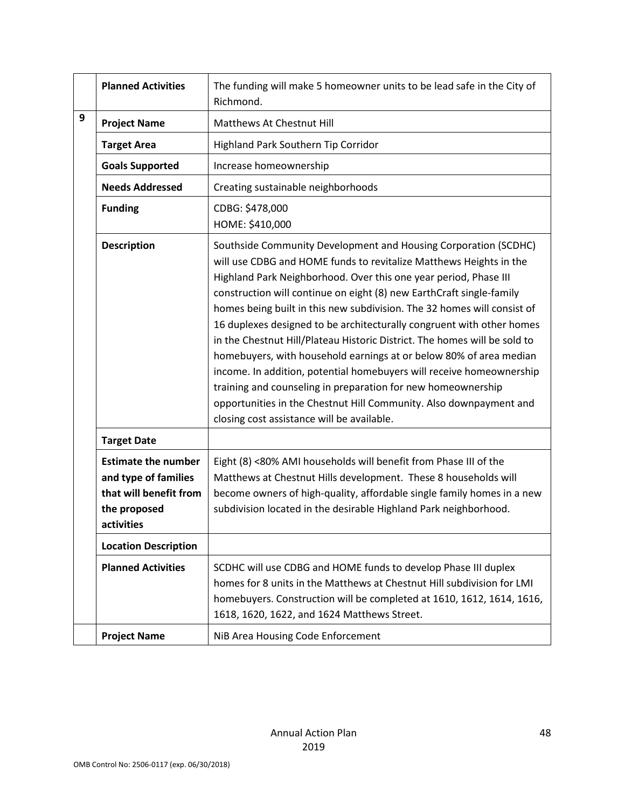|   | <b>Planned Activities</b>                                                                                  | The funding will make 5 homeowner units to be lead safe in the City of<br>Richmond.                                                                                                                                                                                                                                                                                                                                                                                                                                                                                                                                                                                                                                                                                                                                                                  |
|---|------------------------------------------------------------------------------------------------------------|------------------------------------------------------------------------------------------------------------------------------------------------------------------------------------------------------------------------------------------------------------------------------------------------------------------------------------------------------------------------------------------------------------------------------------------------------------------------------------------------------------------------------------------------------------------------------------------------------------------------------------------------------------------------------------------------------------------------------------------------------------------------------------------------------------------------------------------------------|
| 9 | <b>Project Name</b>                                                                                        | Matthews At Chestnut Hill                                                                                                                                                                                                                                                                                                                                                                                                                                                                                                                                                                                                                                                                                                                                                                                                                            |
|   | <b>Target Area</b>                                                                                         | Highland Park Southern Tip Corridor                                                                                                                                                                                                                                                                                                                                                                                                                                                                                                                                                                                                                                                                                                                                                                                                                  |
|   | <b>Goals Supported</b>                                                                                     | Increase homeownership                                                                                                                                                                                                                                                                                                                                                                                                                                                                                                                                                                                                                                                                                                                                                                                                                               |
|   | <b>Needs Addressed</b>                                                                                     | Creating sustainable neighborhoods                                                                                                                                                                                                                                                                                                                                                                                                                                                                                                                                                                                                                                                                                                                                                                                                                   |
|   | <b>Funding</b>                                                                                             | CDBG: \$478,000<br>HOME: \$410,000                                                                                                                                                                                                                                                                                                                                                                                                                                                                                                                                                                                                                                                                                                                                                                                                                   |
|   | <b>Description</b>                                                                                         | Southside Community Development and Housing Corporation (SCDHC)<br>will use CDBG and HOME funds to revitalize Matthews Heights in the<br>Highland Park Neighborhood. Over this one year period, Phase III<br>construction will continue on eight (8) new EarthCraft single-family<br>homes being built in this new subdivision. The 32 homes will consist of<br>16 duplexes designed to be architecturally congruent with other homes<br>in the Chestnut Hill/Plateau Historic District. The homes will be sold to<br>homebuyers, with household earnings at or below 80% of area median<br>income. In addition, potential homebuyers will receive homeownership<br>training and counseling in preparation for new homeownership<br>opportunities in the Chestnut Hill Community. Also downpayment and<br>closing cost assistance will be available. |
|   | <b>Target Date</b>                                                                                         |                                                                                                                                                                                                                                                                                                                                                                                                                                                                                                                                                                                                                                                                                                                                                                                                                                                      |
|   | <b>Estimate the number</b><br>and type of families<br>that will benefit from<br>the proposed<br>activities | Eight (8) <80% AMI households will benefit from Phase III of the<br>Matthews at Chestnut Hills development. These 8 households will<br>become owners of high-quality, affordable single family homes in a new<br>subdivision located in the desirable Highland Park neighborhood.                                                                                                                                                                                                                                                                                                                                                                                                                                                                                                                                                                    |
|   | <b>Location Description</b>                                                                                |                                                                                                                                                                                                                                                                                                                                                                                                                                                                                                                                                                                                                                                                                                                                                                                                                                                      |
|   | <b>Planned Activities</b>                                                                                  | SCDHC will use CDBG and HOME funds to develop Phase III duplex<br>homes for 8 units in the Matthews at Chestnut Hill subdivision for LMI<br>homebuyers. Construction will be completed at 1610, 1612, 1614, 1616,<br>1618, 1620, 1622, and 1624 Matthews Street.                                                                                                                                                                                                                                                                                                                                                                                                                                                                                                                                                                                     |
|   | <b>Project Name</b>                                                                                        | NiB Area Housing Code Enforcement                                                                                                                                                                                                                                                                                                                                                                                                                                                                                                                                                                                                                                                                                                                                                                                                                    |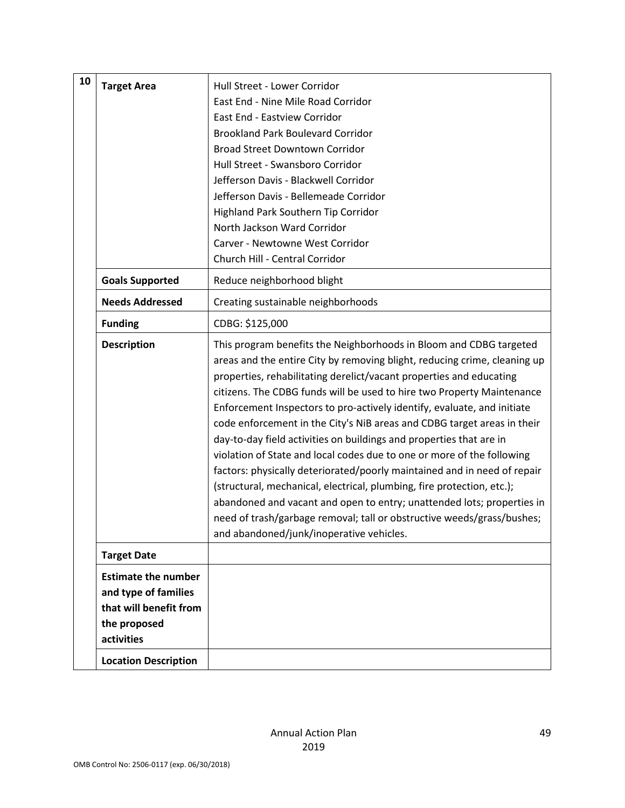| 10 | <b>Target Area</b>                                                                                         | Hull Street - Lower Corridor<br>East End - Nine Mile Road Corridor<br>East End - Eastview Corridor<br><b>Brookland Park Boulevard Corridor</b><br><b>Broad Street Downtown Corridor</b><br>Hull Street - Swansboro Corridor<br>Jefferson Davis - Blackwell Corridor<br>Jefferson Davis - Bellemeade Corridor<br>Highland Park Southern Tip Corridor<br>North Jackson Ward Corridor<br>Carver - Newtowne West Corridor<br>Church Hill - Central Corridor                                                                                                                                                                                                                                                                                                                                                                                                                                                                                                       |
|----|------------------------------------------------------------------------------------------------------------|---------------------------------------------------------------------------------------------------------------------------------------------------------------------------------------------------------------------------------------------------------------------------------------------------------------------------------------------------------------------------------------------------------------------------------------------------------------------------------------------------------------------------------------------------------------------------------------------------------------------------------------------------------------------------------------------------------------------------------------------------------------------------------------------------------------------------------------------------------------------------------------------------------------------------------------------------------------|
|    | <b>Goals Supported</b>                                                                                     | Reduce neighborhood blight                                                                                                                                                                                                                                                                                                                                                                                                                                                                                                                                                                                                                                                                                                                                                                                                                                                                                                                                    |
|    | <b>Needs Addressed</b>                                                                                     | Creating sustainable neighborhoods                                                                                                                                                                                                                                                                                                                                                                                                                                                                                                                                                                                                                                                                                                                                                                                                                                                                                                                            |
|    | <b>Funding</b>                                                                                             | CDBG: \$125,000                                                                                                                                                                                                                                                                                                                                                                                                                                                                                                                                                                                                                                                                                                                                                                                                                                                                                                                                               |
|    | <b>Description</b>                                                                                         | This program benefits the Neighborhoods in Bloom and CDBG targeted<br>areas and the entire City by removing blight, reducing crime, cleaning up<br>properties, rehabilitating derelict/vacant properties and educating<br>citizens. The CDBG funds will be used to hire two Property Maintenance<br>Enforcement Inspectors to pro-actively identify, evaluate, and initiate<br>code enforcement in the City's NiB areas and CDBG target areas in their<br>day-to-day field activities on buildings and properties that are in<br>violation of State and local codes due to one or more of the following<br>factors: physically deteriorated/poorly maintained and in need of repair<br>(structural, mechanical, electrical, plumbing, fire protection, etc.);<br>abandoned and vacant and open to entry; unattended lots; properties in<br>need of trash/garbage removal; tall or obstructive weeds/grass/bushes;<br>and abandoned/junk/inoperative vehicles. |
|    | <b>Target Date</b>                                                                                         |                                                                                                                                                                                                                                                                                                                                                                                                                                                                                                                                                                                                                                                                                                                                                                                                                                                                                                                                                               |
|    | <b>Estimate the number</b><br>and type of families<br>that will benefit from<br>the proposed<br>activities |                                                                                                                                                                                                                                                                                                                                                                                                                                                                                                                                                                                                                                                                                                                                                                                                                                                                                                                                                               |
|    | <b>Location Description</b>                                                                                |                                                                                                                                                                                                                                                                                                                                                                                                                                                                                                                                                                                                                                                                                                                                                                                                                                                                                                                                                               |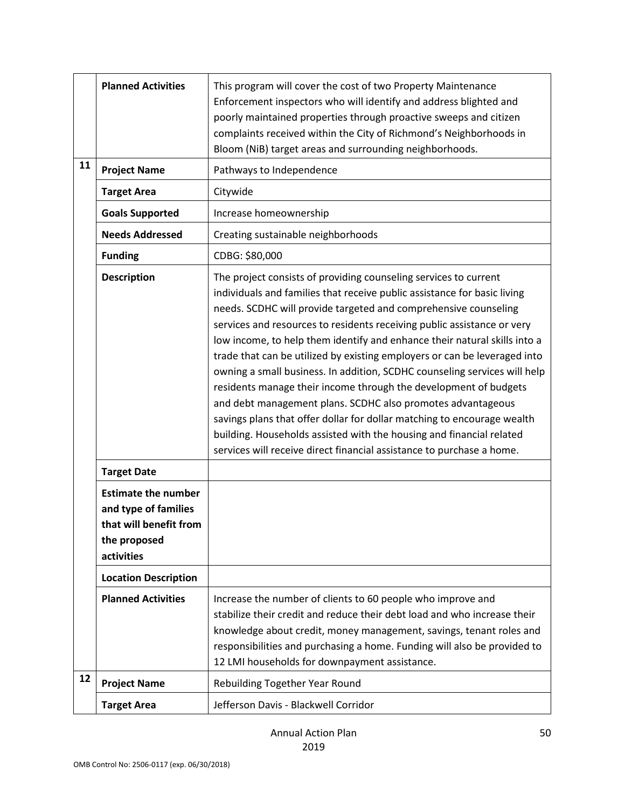|    | <b>Planned Activities</b>                                                                                  | This program will cover the cost of two Property Maintenance<br>Enforcement inspectors who will identify and address blighted and<br>poorly maintained properties through proactive sweeps and citizen<br>complaints received within the City of Richmond's Neighborhoods in<br>Bloom (NiB) target areas and surrounding neighborhoods.                                                                                                                                                                                                                                                                                                                                                                                                                                                                                                                                                          |
|----|------------------------------------------------------------------------------------------------------------|--------------------------------------------------------------------------------------------------------------------------------------------------------------------------------------------------------------------------------------------------------------------------------------------------------------------------------------------------------------------------------------------------------------------------------------------------------------------------------------------------------------------------------------------------------------------------------------------------------------------------------------------------------------------------------------------------------------------------------------------------------------------------------------------------------------------------------------------------------------------------------------------------|
| 11 | <b>Project Name</b>                                                                                        | Pathways to Independence                                                                                                                                                                                                                                                                                                                                                                                                                                                                                                                                                                                                                                                                                                                                                                                                                                                                         |
|    | <b>Target Area</b>                                                                                         | Citywide                                                                                                                                                                                                                                                                                                                                                                                                                                                                                                                                                                                                                                                                                                                                                                                                                                                                                         |
|    | <b>Goals Supported</b>                                                                                     | Increase homeownership                                                                                                                                                                                                                                                                                                                                                                                                                                                                                                                                                                                                                                                                                                                                                                                                                                                                           |
|    | <b>Needs Addressed</b>                                                                                     | Creating sustainable neighborhoods                                                                                                                                                                                                                                                                                                                                                                                                                                                                                                                                                                                                                                                                                                                                                                                                                                                               |
|    | <b>Funding</b>                                                                                             | CDBG: \$80,000                                                                                                                                                                                                                                                                                                                                                                                                                                                                                                                                                                                                                                                                                                                                                                                                                                                                                   |
|    | <b>Description</b>                                                                                         | The project consists of providing counseling services to current<br>individuals and families that receive public assistance for basic living<br>needs. SCDHC will provide targeted and comprehensive counseling<br>services and resources to residents receiving public assistance or very<br>low income, to help them identify and enhance their natural skills into a<br>trade that can be utilized by existing employers or can be leveraged into<br>owning a small business. In addition, SCDHC counseling services will help<br>residents manage their income through the development of budgets<br>and debt management plans. SCDHC also promotes advantageous<br>savings plans that offer dollar for dollar matching to encourage wealth<br>building. Households assisted with the housing and financial related<br>services will receive direct financial assistance to purchase a home. |
|    | <b>Target Date</b>                                                                                         |                                                                                                                                                                                                                                                                                                                                                                                                                                                                                                                                                                                                                                                                                                                                                                                                                                                                                                  |
|    | <b>Estimate the number</b><br>and type of families<br>that will benefit from<br>the proposed<br>activities |                                                                                                                                                                                                                                                                                                                                                                                                                                                                                                                                                                                                                                                                                                                                                                                                                                                                                                  |
|    | <b>Location Description</b>                                                                                |                                                                                                                                                                                                                                                                                                                                                                                                                                                                                                                                                                                                                                                                                                                                                                                                                                                                                                  |
|    | <b>Planned Activities</b>                                                                                  | Increase the number of clients to 60 people who improve and<br>stabilize their credit and reduce their debt load and who increase their<br>knowledge about credit, money management, savings, tenant roles and<br>responsibilities and purchasing a home. Funding will also be provided to<br>12 LMI households for downpayment assistance.                                                                                                                                                                                                                                                                                                                                                                                                                                                                                                                                                      |
| 12 | <b>Project Name</b>                                                                                        | Rebuilding Together Year Round                                                                                                                                                                                                                                                                                                                                                                                                                                                                                                                                                                                                                                                                                                                                                                                                                                                                   |
|    | <b>Target Area</b>                                                                                         | Jefferson Davis - Blackwell Corridor                                                                                                                                                                                                                                                                                                                                                                                                                                                                                                                                                                                                                                                                                                                                                                                                                                                             |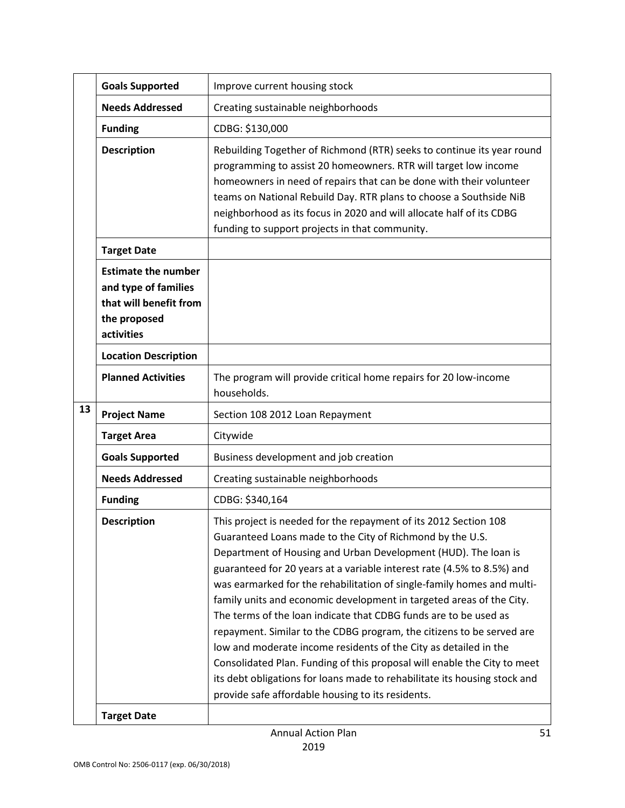|    | <b>Goals Supported</b>                                                                                     | Improve current housing stock                                                                                                                                                                                                                                                                                                                                                                                                                                                                                                                                                                                                                                                                                                                                                                                                                              |
|----|------------------------------------------------------------------------------------------------------------|------------------------------------------------------------------------------------------------------------------------------------------------------------------------------------------------------------------------------------------------------------------------------------------------------------------------------------------------------------------------------------------------------------------------------------------------------------------------------------------------------------------------------------------------------------------------------------------------------------------------------------------------------------------------------------------------------------------------------------------------------------------------------------------------------------------------------------------------------------|
|    | <b>Needs Addressed</b>                                                                                     | Creating sustainable neighborhoods                                                                                                                                                                                                                                                                                                                                                                                                                                                                                                                                                                                                                                                                                                                                                                                                                         |
|    | <b>Funding</b>                                                                                             | CDBG: \$130,000                                                                                                                                                                                                                                                                                                                                                                                                                                                                                                                                                                                                                                                                                                                                                                                                                                            |
|    | <b>Description</b>                                                                                         | Rebuilding Together of Richmond (RTR) seeks to continue its year round<br>programming to assist 20 homeowners. RTR will target low income<br>homeowners in need of repairs that can be done with their volunteer<br>teams on National Rebuild Day. RTR plans to choose a Southside NiB<br>neighborhood as its focus in 2020 and will allocate half of its CDBG<br>funding to support projects in that community.                                                                                                                                                                                                                                                                                                                                                                                                                                           |
|    | <b>Target Date</b>                                                                                         |                                                                                                                                                                                                                                                                                                                                                                                                                                                                                                                                                                                                                                                                                                                                                                                                                                                            |
|    | <b>Estimate the number</b><br>and type of families<br>that will benefit from<br>the proposed<br>activities |                                                                                                                                                                                                                                                                                                                                                                                                                                                                                                                                                                                                                                                                                                                                                                                                                                                            |
|    | <b>Location Description</b>                                                                                |                                                                                                                                                                                                                                                                                                                                                                                                                                                                                                                                                                                                                                                                                                                                                                                                                                                            |
|    | <b>Planned Activities</b>                                                                                  | The program will provide critical home repairs for 20 low-income<br>households.                                                                                                                                                                                                                                                                                                                                                                                                                                                                                                                                                                                                                                                                                                                                                                            |
| 13 | <b>Project Name</b>                                                                                        | Section 108 2012 Loan Repayment                                                                                                                                                                                                                                                                                                                                                                                                                                                                                                                                                                                                                                                                                                                                                                                                                            |
|    | <b>Target Area</b>                                                                                         | Citywide                                                                                                                                                                                                                                                                                                                                                                                                                                                                                                                                                                                                                                                                                                                                                                                                                                                   |
|    | <b>Goals Supported</b>                                                                                     | Business development and job creation                                                                                                                                                                                                                                                                                                                                                                                                                                                                                                                                                                                                                                                                                                                                                                                                                      |
|    | <b>Needs Addressed</b>                                                                                     | Creating sustainable neighborhoods                                                                                                                                                                                                                                                                                                                                                                                                                                                                                                                                                                                                                                                                                                                                                                                                                         |
|    | <b>Funding</b>                                                                                             | CDBG: \$340,164                                                                                                                                                                                                                                                                                                                                                                                                                                                                                                                                                                                                                                                                                                                                                                                                                                            |
|    | <b>Description</b>                                                                                         | This project is needed for the repayment of its 2012 Section 108<br>Guaranteed Loans made to the City of Richmond by the U.S.<br>Department of Housing and Urban Development (HUD). The loan is<br>guaranteed for 20 years at a variable interest rate (4.5% to 8.5%) and<br>was earmarked for the rehabilitation of single-family homes and multi-<br>family units and economic development in targeted areas of the City.<br>The terms of the loan indicate that CDBG funds are to be used as<br>repayment. Similar to the CDBG program, the citizens to be served are<br>low and moderate income residents of the City as detailed in the<br>Consolidated Plan. Funding of this proposal will enable the City to meet<br>its debt obligations for loans made to rehabilitate its housing stock and<br>provide safe affordable housing to its residents. |
|    | <b>Target Date</b>                                                                                         |                                                                                                                                                                                                                                                                                                                                                                                                                                                                                                                                                                                                                                                                                                                                                                                                                                                            |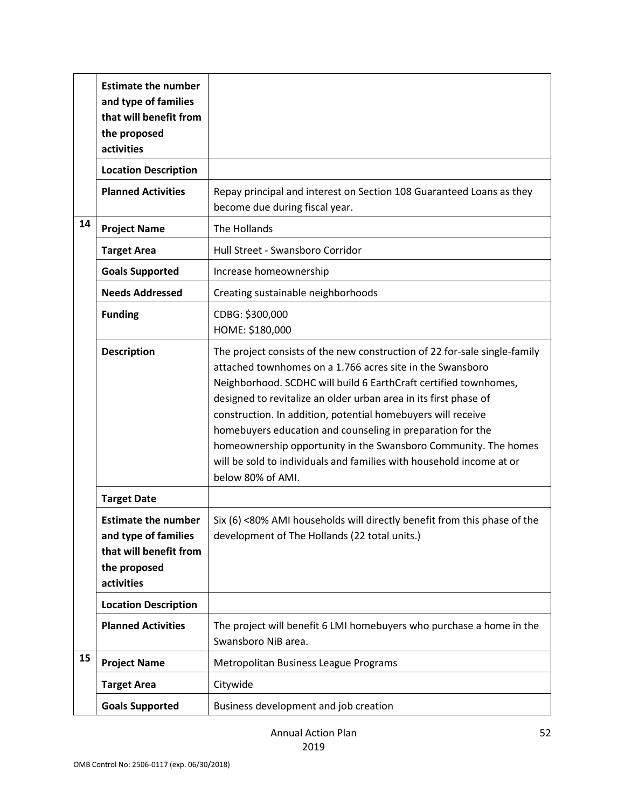|    | <b>Estimate the number</b><br>and type of families<br>that will benefit from<br>the proposed<br>activities |                                                                                                                                                                                                                                                                                                                                                                                                                                                                                                                                                                              |
|----|------------------------------------------------------------------------------------------------------------|------------------------------------------------------------------------------------------------------------------------------------------------------------------------------------------------------------------------------------------------------------------------------------------------------------------------------------------------------------------------------------------------------------------------------------------------------------------------------------------------------------------------------------------------------------------------------|
|    | <b>Location Description</b>                                                                                |                                                                                                                                                                                                                                                                                                                                                                                                                                                                                                                                                                              |
|    | <b>Planned Activities</b>                                                                                  | Repay principal and interest on Section 108 Guaranteed Loans as they<br>become due during fiscal year.                                                                                                                                                                                                                                                                                                                                                                                                                                                                       |
| 14 | <b>Project Name</b>                                                                                        | The Hollands                                                                                                                                                                                                                                                                                                                                                                                                                                                                                                                                                                 |
|    | <b>Target Area</b>                                                                                         | Hull Street - Swansboro Corridor                                                                                                                                                                                                                                                                                                                                                                                                                                                                                                                                             |
|    | <b>Goals Supported</b>                                                                                     | Increase homeownership                                                                                                                                                                                                                                                                                                                                                                                                                                                                                                                                                       |
|    | <b>Needs Addressed</b>                                                                                     | Creating sustainable neighborhoods                                                                                                                                                                                                                                                                                                                                                                                                                                                                                                                                           |
|    | <b>Funding</b>                                                                                             | CDBG: \$300,000<br>HOME: \$180,000                                                                                                                                                                                                                                                                                                                                                                                                                                                                                                                                           |
|    | <b>Description</b>                                                                                         | The project consists of the new construction of 22 for-sale single-family<br>attached townhomes on a 1.766 acres site in the Swansboro<br>Neighborhood. SCDHC will build 6 EarthCraft certified townhomes,<br>designed to revitalize an older urban area in its first phase of<br>construction. In addition, potential homebuyers will receive<br>homebuyers education and counseling in preparation for the<br>homeownership opportunity in the Swansboro Community. The homes<br>will be sold to individuals and families with household income at or<br>below 80% of AMI. |
|    | <b>Target Date</b>                                                                                         |                                                                                                                                                                                                                                                                                                                                                                                                                                                                                                                                                                              |
|    | <b>Estimate the number</b><br>and type of families<br>that will benefit from<br>the proposed<br>activities | Six (6) <80% AMI households will directly benefit from this phase of the<br>development of The Hollands (22 total units.)                                                                                                                                                                                                                                                                                                                                                                                                                                                    |
|    | <b>Location Description</b>                                                                                |                                                                                                                                                                                                                                                                                                                                                                                                                                                                                                                                                                              |
|    | <b>Planned Activities</b>                                                                                  | The project will benefit 6 LMI homebuyers who purchase a home in the<br>Swansboro NiB area.                                                                                                                                                                                                                                                                                                                                                                                                                                                                                  |
| 15 | <b>Project Name</b>                                                                                        | Metropolitan Business League Programs                                                                                                                                                                                                                                                                                                                                                                                                                                                                                                                                        |
|    | <b>Target Area</b>                                                                                         | Citywide                                                                                                                                                                                                                                                                                                                                                                                                                                                                                                                                                                     |
|    | <b>Goals Supported</b>                                                                                     | Business development and job creation                                                                                                                                                                                                                                                                                                                                                                                                                                                                                                                                        |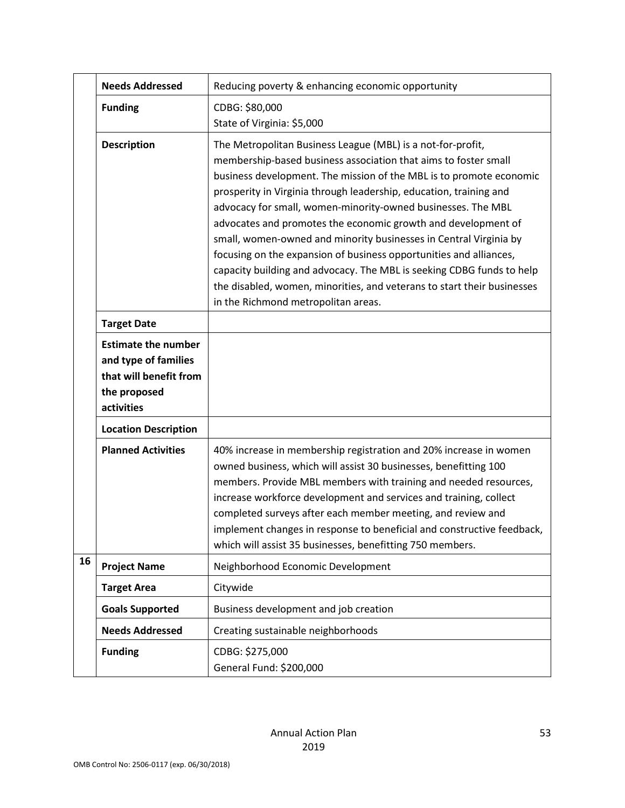|    | <b>Needs Addressed</b>                                                                                     | Reducing poverty & enhancing economic opportunity                                                                                                                                                                                                                                                                                                                                                                                                                                                                                                                                                                                                                                                                                                  |
|----|------------------------------------------------------------------------------------------------------------|----------------------------------------------------------------------------------------------------------------------------------------------------------------------------------------------------------------------------------------------------------------------------------------------------------------------------------------------------------------------------------------------------------------------------------------------------------------------------------------------------------------------------------------------------------------------------------------------------------------------------------------------------------------------------------------------------------------------------------------------------|
|    | <b>Funding</b>                                                                                             | CDBG: \$80,000<br>State of Virginia: \$5,000                                                                                                                                                                                                                                                                                                                                                                                                                                                                                                                                                                                                                                                                                                       |
|    | <b>Description</b>                                                                                         | The Metropolitan Business League (MBL) is a not-for-profit,<br>membership-based business association that aims to foster small<br>business development. The mission of the MBL is to promote economic<br>prosperity in Virginia through leadership, education, training and<br>advocacy for small, women-minority-owned businesses. The MBL<br>advocates and promotes the economic growth and development of<br>small, women-owned and minority businesses in Central Virginia by<br>focusing on the expansion of business opportunities and alliances,<br>capacity building and advocacy. The MBL is seeking CDBG funds to help<br>the disabled, women, minorities, and veterans to start their businesses<br>in the Richmond metropolitan areas. |
|    | <b>Target Date</b>                                                                                         |                                                                                                                                                                                                                                                                                                                                                                                                                                                                                                                                                                                                                                                                                                                                                    |
|    | <b>Estimate the number</b><br>and type of families<br>that will benefit from<br>the proposed<br>activities |                                                                                                                                                                                                                                                                                                                                                                                                                                                                                                                                                                                                                                                                                                                                                    |
|    | <b>Location Description</b>                                                                                |                                                                                                                                                                                                                                                                                                                                                                                                                                                                                                                                                                                                                                                                                                                                                    |
|    | <b>Planned Activities</b>                                                                                  | 40% increase in membership registration and 20% increase in women<br>owned business, which will assist 30 businesses, benefitting 100<br>members. Provide MBL members with training and needed resources,<br>increase workforce development and services and training, collect<br>completed surveys after each member meeting, and review and<br>implement changes in response to beneficial and constructive feedback,<br>which will assist 35 businesses, benefitting 750 members.                                                                                                                                                                                                                                                               |
| 16 | <b>Project Name</b>                                                                                        | Neighborhood Economic Development                                                                                                                                                                                                                                                                                                                                                                                                                                                                                                                                                                                                                                                                                                                  |
|    | <b>Target Area</b>                                                                                         | Citywide                                                                                                                                                                                                                                                                                                                                                                                                                                                                                                                                                                                                                                                                                                                                           |
|    | <b>Goals Supported</b>                                                                                     | Business development and job creation                                                                                                                                                                                                                                                                                                                                                                                                                                                                                                                                                                                                                                                                                                              |
|    | <b>Needs Addressed</b>                                                                                     | Creating sustainable neighborhoods                                                                                                                                                                                                                                                                                                                                                                                                                                                                                                                                                                                                                                                                                                                 |
|    | <b>Funding</b>                                                                                             | CDBG: \$275,000<br>General Fund: \$200,000                                                                                                                                                                                                                                                                                                                                                                                                                                                                                                                                                                                                                                                                                                         |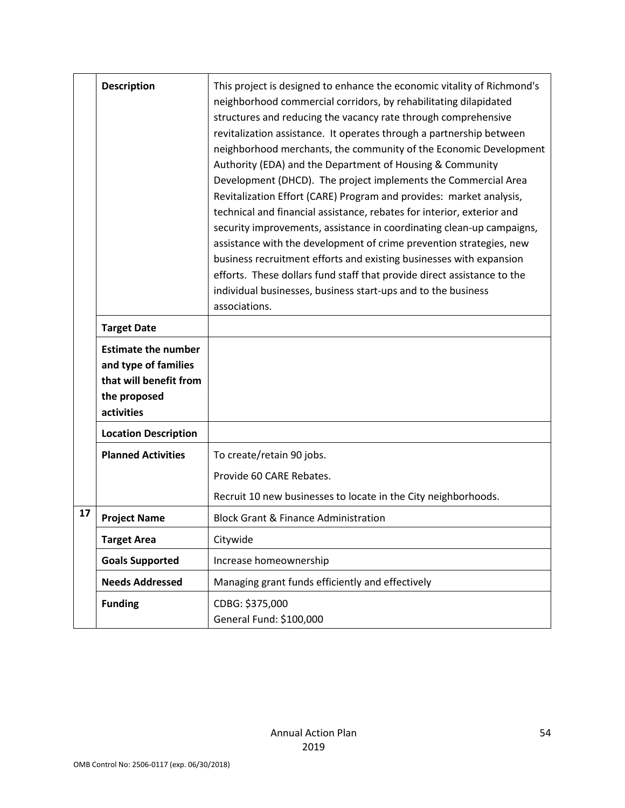|    | <b>Description</b>                                                                                         | This project is designed to enhance the economic vitality of Richmond's<br>neighborhood commercial corridors, by rehabilitating dilapidated<br>structures and reducing the vacancy rate through comprehensive<br>revitalization assistance. It operates through a partnership between<br>neighborhood merchants, the community of the Economic Development<br>Authority (EDA) and the Department of Housing & Community<br>Development (DHCD). The project implements the Commercial Area<br>Revitalization Effort (CARE) Program and provides: market analysis,<br>technical and financial assistance, rebates for interior, exterior and<br>security improvements, assistance in coordinating clean-up campaigns,<br>assistance with the development of crime prevention strategies, new<br>business recruitment efforts and existing businesses with expansion<br>efforts. These dollars fund staff that provide direct assistance to the<br>individual businesses, business start-ups and to the business<br>associations. |
|----|------------------------------------------------------------------------------------------------------------|--------------------------------------------------------------------------------------------------------------------------------------------------------------------------------------------------------------------------------------------------------------------------------------------------------------------------------------------------------------------------------------------------------------------------------------------------------------------------------------------------------------------------------------------------------------------------------------------------------------------------------------------------------------------------------------------------------------------------------------------------------------------------------------------------------------------------------------------------------------------------------------------------------------------------------------------------------------------------------------------------------------------------------|
|    | <b>Target Date</b>                                                                                         |                                                                                                                                                                                                                                                                                                                                                                                                                                                                                                                                                                                                                                                                                                                                                                                                                                                                                                                                                                                                                                |
|    | <b>Estimate the number</b><br>and type of families<br>that will benefit from<br>the proposed<br>activities |                                                                                                                                                                                                                                                                                                                                                                                                                                                                                                                                                                                                                                                                                                                                                                                                                                                                                                                                                                                                                                |
|    | <b>Location Description</b>                                                                                |                                                                                                                                                                                                                                                                                                                                                                                                                                                                                                                                                                                                                                                                                                                                                                                                                                                                                                                                                                                                                                |
|    | <b>Planned Activities</b>                                                                                  | To create/retain 90 jobs.<br>Provide 60 CARE Rebates.<br>Recruit 10 new businesses to locate in the City neighborhoods.                                                                                                                                                                                                                                                                                                                                                                                                                                                                                                                                                                                                                                                                                                                                                                                                                                                                                                        |
| 17 | <b>Project Name</b>                                                                                        | <b>Block Grant &amp; Finance Administration</b>                                                                                                                                                                                                                                                                                                                                                                                                                                                                                                                                                                                                                                                                                                                                                                                                                                                                                                                                                                                |
|    | <b>Target Area</b>                                                                                         | Citywide                                                                                                                                                                                                                                                                                                                                                                                                                                                                                                                                                                                                                                                                                                                                                                                                                                                                                                                                                                                                                       |
|    | <b>Goals Supported</b>                                                                                     | Increase homeownership                                                                                                                                                                                                                                                                                                                                                                                                                                                                                                                                                                                                                                                                                                                                                                                                                                                                                                                                                                                                         |
|    | <b>Needs Addressed</b>                                                                                     | Managing grant funds efficiently and effectively                                                                                                                                                                                                                                                                                                                                                                                                                                                                                                                                                                                                                                                                                                                                                                                                                                                                                                                                                                               |
|    | <b>Funding</b>                                                                                             | CDBG: \$375,000<br>General Fund: \$100,000                                                                                                                                                                                                                                                                                                                                                                                                                                                                                                                                                                                                                                                                                                                                                                                                                                                                                                                                                                                     |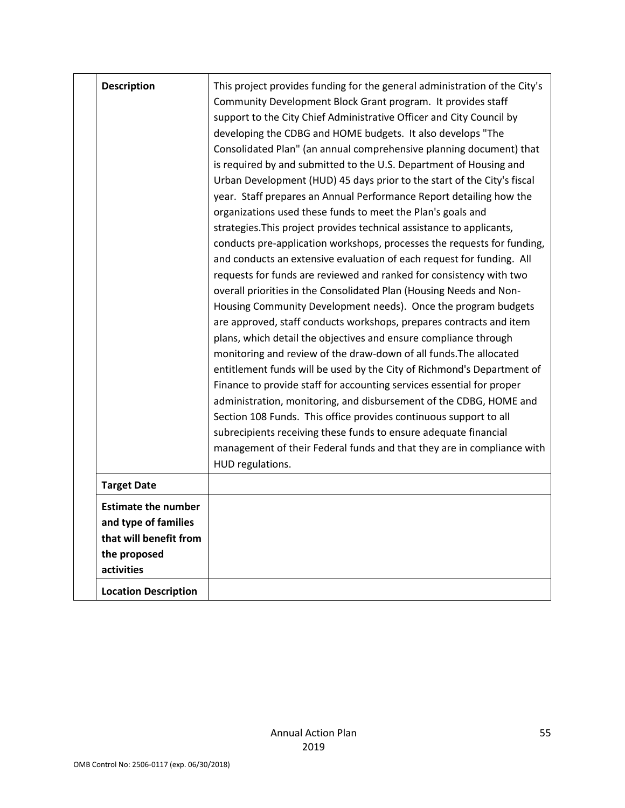| <b>Description</b>                                                                                         | This project provides funding for the general administration of the City's<br>Community Development Block Grant program. It provides staff<br>support to the City Chief Administrative Officer and City Council by<br>developing the CDBG and HOME budgets. It also develops "The<br>Consolidated Plan" (an annual comprehensive planning document) that<br>is required by and submitted to the U.S. Department of Housing and<br>Urban Development (HUD) 45 days prior to the start of the City's fiscal<br>year. Staff prepares an Annual Performance Report detailing how the<br>organizations used these funds to meet the Plan's goals and<br>strategies. This project provides technical assistance to applicants,<br>conducts pre-application workshops, processes the requests for funding,<br>and conducts an extensive evaluation of each request for funding. All<br>requests for funds are reviewed and ranked for consistency with two<br>overall priorities in the Consolidated Plan (Housing Needs and Non-<br>Housing Community Development needs). Once the program budgets<br>are approved, staff conducts workshops, prepares contracts and item<br>plans, which detail the objectives and ensure compliance through<br>monitoring and review of the draw-down of all funds. The allocated<br>entitlement funds will be used by the City of Richmond's Department of<br>Finance to provide staff for accounting services essential for proper<br>administration, monitoring, and disbursement of the CDBG, HOME and<br>Section 108 Funds. This office provides continuous support to all<br>subrecipients receiving these funds to ensure adequate financial<br>management of their Federal funds and that they are in compliance with<br>HUD regulations. |
|------------------------------------------------------------------------------------------------------------|-------------------------------------------------------------------------------------------------------------------------------------------------------------------------------------------------------------------------------------------------------------------------------------------------------------------------------------------------------------------------------------------------------------------------------------------------------------------------------------------------------------------------------------------------------------------------------------------------------------------------------------------------------------------------------------------------------------------------------------------------------------------------------------------------------------------------------------------------------------------------------------------------------------------------------------------------------------------------------------------------------------------------------------------------------------------------------------------------------------------------------------------------------------------------------------------------------------------------------------------------------------------------------------------------------------------------------------------------------------------------------------------------------------------------------------------------------------------------------------------------------------------------------------------------------------------------------------------------------------------------------------------------------------------------------------------------------------------------------------------------------------------------------|
| <b>Target Date</b>                                                                                         |                                                                                                                                                                                                                                                                                                                                                                                                                                                                                                                                                                                                                                                                                                                                                                                                                                                                                                                                                                                                                                                                                                                                                                                                                                                                                                                                                                                                                                                                                                                                                                                                                                                                                                                                                                               |
| <b>Estimate the number</b><br>and type of families<br>that will benefit from<br>the proposed<br>activities |                                                                                                                                                                                                                                                                                                                                                                                                                                                                                                                                                                                                                                                                                                                                                                                                                                                                                                                                                                                                                                                                                                                                                                                                                                                                                                                                                                                                                                                                                                                                                                                                                                                                                                                                                                               |
| <b>Location Description</b>                                                                                |                                                                                                                                                                                                                                                                                                                                                                                                                                                                                                                                                                                                                                                                                                                                                                                                                                                                                                                                                                                                                                                                                                                                                                                                                                                                                                                                                                                                                                                                                                                                                                                                                                                                                                                                                                               |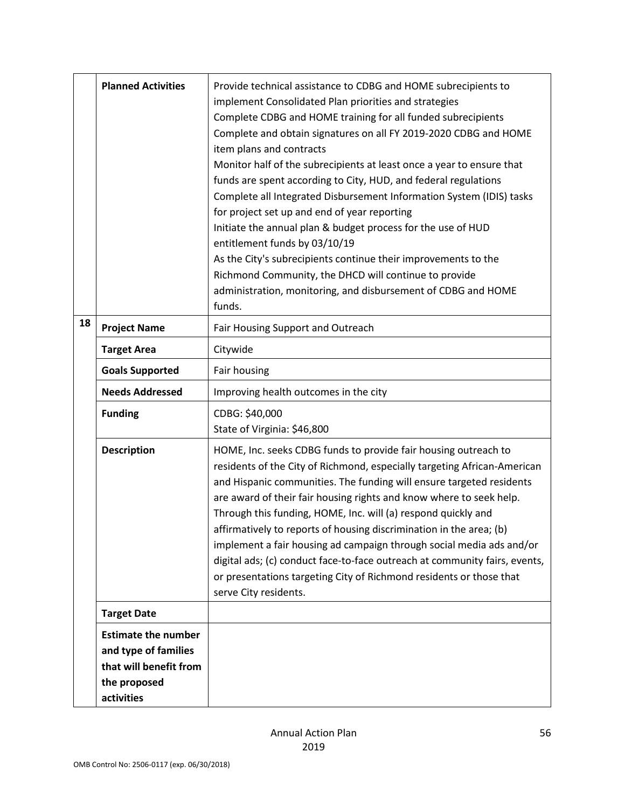|    | <b>Planned Activities</b>                                                                                  | Provide technical assistance to CDBG and HOME subrecipients to<br>implement Consolidated Plan priorities and strategies<br>Complete CDBG and HOME training for all funded subrecipients<br>Complete and obtain signatures on all FY 2019-2020 CDBG and HOME<br>item plans and contracts<br>Monitor half of the subrecipients at least once a year to ensure that<br>funds are spent according to City, HUD, and federal regulations<br>Complete all Integrated Disbursement Information System (IDIS) tasks<br>for project set up and end of year reporting<br>Initiate the annual plan & budget process for the use of HUD<br>entitlement funds by 03/10/19<br>As the City's subrecipients continue their improvements to the<br>Richmond Community, the DHCD will continue to provide<br>administration, monitoring, and disbursement of CDBG and HOME<br>funds. |
|----|------------------------------------------------------------------------------------------------------------|--------------------------------------------------------------------------------------------------------------------------------------------------------------------------------------------------------------------------------------------------------------------------------------------------------------------------------------------------------------------------------------------------------------------------------------------------------------------------------------------------------------------------------------------------------------------------------------------------------------------------------------------------------------------------------------------------------------------------------------------------------------------------------------------------------------------------------------------------------------------|
| 18 | <b>Project Name</b>                                                                                        | Fair Housing Support and Outreach                                                                                                                                                                                                                                                                                                                                                                                                                                                                                                                                                                                                                                                                                                                                                                                                                                  |
|    | <b>Target Area</b>                                                                                         | Citywide                                                                                                                                                                                                                                                                                                                                                                                                                                                                                                                                                                                                                                                                                                                                                                                                                                                           |
|    | <b>Goals Supported</b>                                                                                     | Fair housing                                                                                                                                                                                                                                                                                                                                                                                                                                                                                                                                                                                                                                                                                                                                                                                                                                                       |
|    | <b>Needs Addressed</b>                                                                                     | Improving health outcomes in the city                                                                                                                                                                                                                                                                                                                                                                                                                                                                                                                                                                                                                                                                                                                                                                                                                              |
|    | <b>Funding</b>                                                                                             | CDBG: \$40,000<br>State of Virginia: \$46,800                                                                                                                                                                                                                                                                                                                                                                                                                                                                                                                                                                                                                                                                                                                                                                                                                      |
|    | <b>Description</b>                                                                                         | HOME, Inc. seeks CDBG funds to provide fair housing outreach to<br>residents of the City of Richmond, especially targeting African-American<br>and Hispanic communities. The funding will ensure targeted residents<br>are award of their fair housing rights and know where to seek help.<br>Through this funding, HOME, Inc. will (a) respond quickly and<br>affirmatively to reports of housing discrimination in the area; (b)<br>implement a fair housing ad campaign through social media ads and/or<br>digital ads; (c) conduct face-to-face outreach at community fairs, events,<br>or presentations targeting City of Richmond residents or those that<br>serve City residents.                                                                                                                                                                           |
|    | <b>Target Date</b>                                                                                         |                                                                                                                                                                                                                                                                                                                                                                                                                                                                                                                                                                                                                                                                                                                                                                                                                                                                    |
|    | <b>Estimate the number</b><br>and type of families<br>that will benefit from<br>the proposed<br>activities |                                                                                                                                                                                                                                                                                                                                                                                                                                                                                                                                                                                                                                                                                                                                                                                                                                                                    |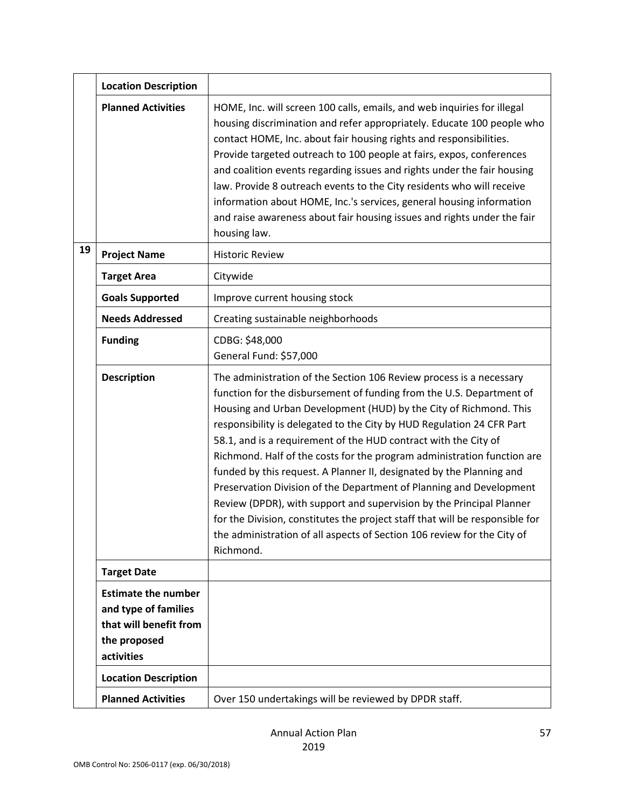|    | <b>Location Description</b>                                                                                |                                                                                                                                                                                                                                                                                                                                                                                                                                                                                                                                                                                                                                                                                                                                                                                                                                        |
|----|------------------------------------------------------------------------------------------------------------|----------------------------------------------------------------------------------------------------------------------------------------------------------------------------------------------------------------------------------------------------------------------------------------------------------------------------------------------------------------------------------------------------------------------------------------------------------------------------------------------------------------------------------------------------------------------------------------------------------------------------------------------------------------------------------------------------------------------------------------------------------------------------------------------------------------------------------------|
|    | <b>Planned Activities</b>                                                                                  | HOME, Inc. will screen 100 calls, emails, and web inquiries for illegal<br>housing discrimination and refer appropriately. Educate 100 people who<br>contact HOME, Inc. about fair housing rights and responsibilities.<br>Provide targeted outreach to 100 people at fairs, expos, conferences<br>and coalition events regarding issues and rights under the fair housing<br>law. Provide 8 outreach events to the City residents who will receive<br>information about HOME, Inc.'s services, general housing information<br>and raise awareness about fair housing issues and rights under the fair<br>housing law.                                                                                                                                                                                                                 |
| 19 | <b>Project Name</b>                                                                                        | <b>Historic Review</b>                                                                                                                                                                                                                                                                                                                                                                                                                                                                                                                                                                                                                                                                                                                                                                                                                 |
|    | <b>Target Area</b>                                                                                         | Citywide                                                                                                                                                                                                                                                                                                                                                                                                                                                                                                                                                                                                                                                                                                                                                                                                                               |
|    | <b>Goals Supported</b>                                                                                     | Improve current housing stock                                                                                                                                                                                                                                                                                                                                                                                                                                                                                                                                                                                                                                                                                                                                                                                                          |
|    | <b>Needs Addressed</b>                                                                                     | Creating sustainable neighborhoods                                                                                                                                                                                                                                                                                                                                                                                                                                                                                                                                                                                                                                                                                                                                                                                                     |
|    | <b>Funding</b>                                                                                             | CDBG: \$48,000<br>General Fund: \$57,000                                                                                                                                                                                                                                                                                                                                                                                                                                                                                                                                                                                                                                                                                                                                                                                               |
|    | <b>Description</b>                                                                                         | The administration of the Section 106 Review process is a necessary<br>function for the disbursement of funding from the U.S. Department of<br>Housing and Urban Development (HUD) by the City of Richmond. This<br>responsibility is delegated to the City by HUD Regulation 24 CFR Part<br>58.1, and is a requirement of the HUD contract with the City of<br>Richmond. Half of the costs for the program administration function are<br>funded by this request. A Planner II, designated by the Planning and<br>Preservation Division of the Department of Planning and Development<br>Review (DPDR), with support and supervision by the Principal Planner<br>for the Division, constitutes the project staff that will be responsible for<br>the administration of all aspects of Section 106 review for the City of<br>Richmond. |
|    | <b>Target Date</b>                                                                                         |                                                                                                                                                                                                                                                                                                                                                                                                                                                                                                                                                                                                                                                                                                                                                                                                                                        |
|    | <b>Estimate the number</b><br>and type of families<br>that will benefit from<br>the proposed<br>activities |                                                                                                                                                                                                                                                                                                                                                                                                                                                                                                                                                                                                                                                                                                                                                                                                                                        |
|    | <b>Location Description</b>                                                                                |                                                                                                                                                                                                                                                                                                                                                                                                                                                                                                                                                                                                                                                                                                                                                                                                                                        |
|    | <b>Planned Activities</b>                                                                                  | Over 150 undertakings will be reviewed by DPDR staff.                                                                                                                                                                                                                                                                                                                                                                                                                                                                                                                                                                                                                                                                                                                                                                                  |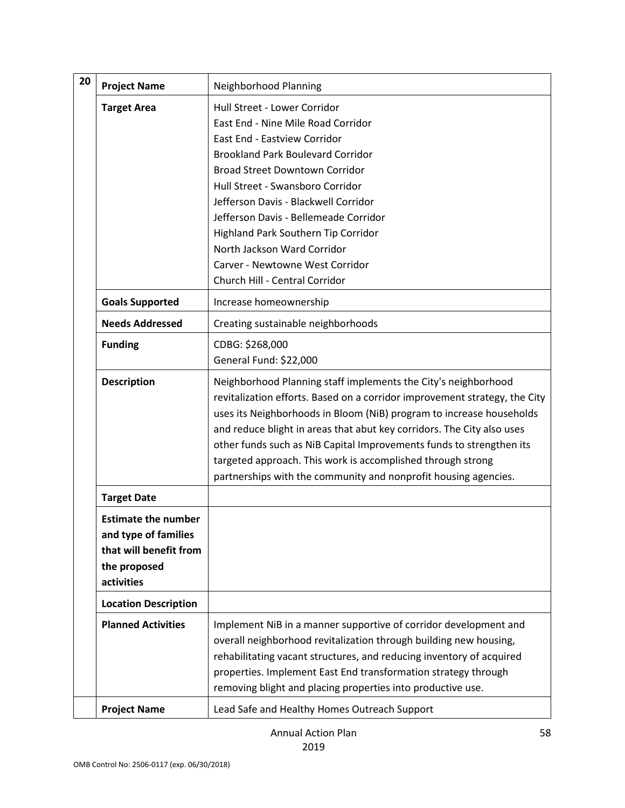| 20 | <b>Project Name</b>                                                                                        | Neighborhood Planning                                                                                                                                                                                                                                                                                                                                                                                                                                                                                    |
|----|------------------------------------------------------------------------------------------------------------|----------------------------------------------------------------------------------------------------------------------------------------------------------------------------------------------------------------------------------------------------------------------------------------------------------------------------------------------------------------------------------------------------------------------------------------------------------------------------------------------------------|
|    | <b>Target Area</b>                                                                                         | Hull Street - Lower Corridor<br>East End - Nine Mile Road Corridor<br>East End - Eastview Corridor<br><b>Brookland Park Boulevard Corridor</b><br><b>Broad Street Downtown Corridor</b><br>Hull Street - Swansboro Corridor<br>Jefferson Davis - Blackwell Corridor<br>Jefferson Davis - Bellemeade Corridor<br>Highland Park Southern Tip Corridor<br>North Jackson Ward Corridor<br>Carver - Newtowne West Corridor<br>Church Hill - Central Corridor                                                  |
|    | <b>Goals Supported</b>                                                                                     | Increase homeownership                                                                                                                                                                                                                                                                                                                                                                                                                                                                                   |
|    | <b>Needs Addressed</b>                                                                                     | Creating sustainable neighborhoods                                                                                                                                                                                                                                                                                                                                                                                                                                                                       |
|    | <b>Funding</b>                                                                                             | CDBG: \$268,000<br>General Fund: \$22,000                                                                                                                                                                                                                                                                                                                                                                                                                                                                |
|    | <b>Description</b>                                                                                         | Neighborhood Planning staff implements the City's neighborhood<br>revitalization efforts. Based on a corridor improvement strategy, the City<br>uses its Neighborhoods in Bloom (NiB) program to increase households<br>and reduce blight in areas that abut key corridors. The City also uses<br>other funds such as NiB Capital Improvements funds to strengthen its<br>targeted approach. This work is accomplished through strong<br>partnerships with the community and nonprofit housing agencies. |
|    | <b>Target Date</b>                                                                                         |                                                                                                                                                                                                                                                                                                                                                                                                                                                                                                          |
|    | <b>Estimate the number</b><br>and type of families<br>that will benefit from<br>the proposed<br>activities |                                                                                                                                                                                                                                                                                                                                                                                                                                                                                                          |
|    | <b>Location Description</b>                                                                                |                                                                                                                                                                                                                                                                                                                                                                                                                                                                                                          |
|    | <b>Planned Activities</b>                                                                                  | Implement NiB in a manner supportive of corridor development and<br>overall neighborhood revitalization through building new housing,<br>rehabilitating vacant structures, and reducing inventory of acquired<br>properties. Implement East End transformation strategy through<br>removing blight and placing properties into productive use.                                                                                                                                                           |
|    | <b>Project Name</b>                                                                                        | Lead Safe and Healthy Homes Outreach Support                                                                                                                                                                                                                                                                                                                                                                                                                                                             |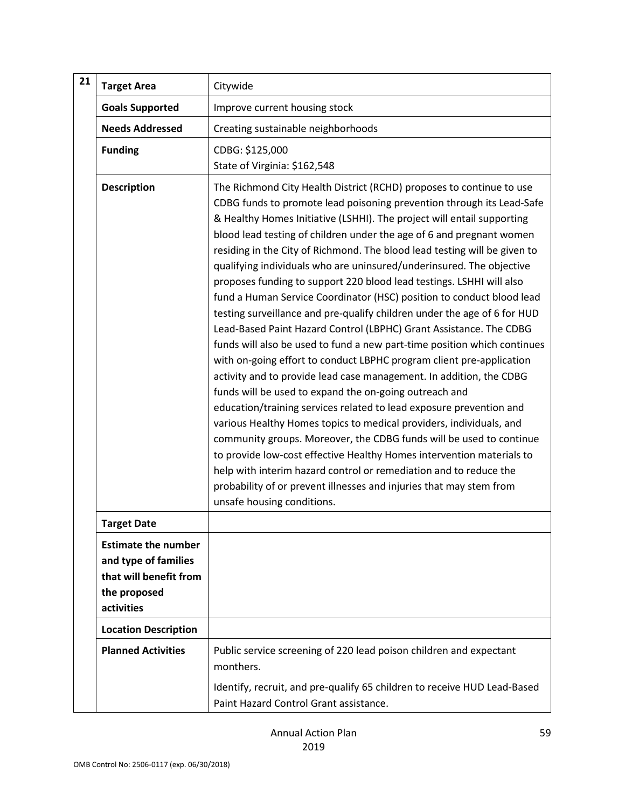| 21 | <b>Target Area</b>                                                                                         | Citywide                                                                                                                                                                                                                                                                                                                                                                                                                                                                                                                                                                                                                                                                                                                                                                                                                                                                                                                                                                                                                                                                                                                                                                                                                                                                                                                                                                                                                                                                                                             |
|----|------------------------------------------------------------------------------------------------------------|----------------------------------------------------------------------------------------------------------------------------------------------------------------------------------------------------------------------------------------------------------------------------------------------------------------------------------------------------------------------------------------------------------------------------------------------------------------------------------------------------------------------------------------------------------------------------------------------------------------------------------------------------------------------------------------------------------------------------------------------------------------------------------------------------------------------------------------------------------------------------------------------------------------------------------------------------------------------------------------------------------------------------------------------------------------------------------------------------------------------------------------------------------------------------------------------------------------------------------------------------------------------------------------------------------------------------------------------------------------------------------------------------------------------------------------------------------------------------------------------------------------------|
|    | <b>Goals Supported</b>                                                                                     | Improve current housing stock                                                                                                                                                                                                                                                                                                                                                                                                                                                                                                                                                                                                                                                                                                                                                                                                                                                                                                                                                                                                                                                                                                                                                                                                                                                                                                                                                                                                                                                                                        |
|    | <b>Needs Addressed</b>                                                                                     | Creating sustainable neighborhoods                                                                                                                                                                                                                                                                                                                                                                                                                                                                                                                                                                                                                                                                                                                                                                                                                                                                                                                                                                                                                                                                                                                                                                                                                                                                                                                                                                                                                                                                                   |
|    | <b>Funding</b>                                                                                             | CDBG: \$125,000<br>State of Virginia: \$162,548                                                                                                                                                                                                                                                                                                                                                                                                                                                                                                                                                                                                                                                                                                                                                                                                                                                                                                                                                                                                                                                                                                                                                                                                                                                                                                                                                                                                                                                                      |
|    | <b>Description</b>                                                                                         | The Richmond City Health District (RCHD) proposes to continue to use<br>CDBG funds to promote lead poisoning prevention through its Lead-Safe<br>& Healthy Homes Initiative (LSHHI). The project will entail supporting<br>blood lead testing of children under the age of 6 and pregnant women<br>residing in the City of Richmond. The blood lead testing will be given to<br>qualifying individuals who are uninsured/underinsured. The objective<br>proposes funding to support 220 blood lead testings. LSHHI will also<br>fund a Human Service Coordinator (HSC) position to conduct blood lead<br>testing surveillance and pre-qualify children under the age of 6 for HUD<br>Lead-Based Paint Hazard Control (LBPHC) Grant Assistance. The CDBG<br>funds will also be used to fund a new part-time position which continues<br>with on-going effort to conduct LBPHC program client pre-application<br>activity and to provide lead case management. In addition, the CDBG<br>funds will be used to expand the on-going outreach and<br>education/training services related to lead exposure prevention and<br>various Healthy Homes topics to medical providers, individuals, and<br>community groups. Moreover, the CDBG funds will be used to continue<br>to provide low-cost effective Healthy Homes intervention materials to<br>help with interim hazard control or remediation and to reduce the<br>probability of or prevent illnesses and injuries that may stem from<br>unsafe housing conditions. |
|    | <b>Target Date</b>                                                                                         |                                                                                                                                                                                                                                                                                                                                                                                                                                                                                                                                                                                                                                                                                                                                                                                                                                                                                                                                                                                                                                                                                                                                                                                                                                                                                                                                                                                                                                                                                                                      |
|    | <b>Estimate the number</b><br>and type of families<br>that will benefit from<br>the proposed<br>activities |                                                                                                                                                                                                                                                                                                                                                                                                                                                                                                                                                                                                                                                                                                                                                                                                                                                                                                                                                                                                                                                                                                                                                                                                                                                                                                                                                                                                                                                                                                                      |
|    | <b>Location Description</b>                                                                                |                                                                                                                                                                                                                                                                                                                                                                                                                                                                                                                                                                                                                                                                                                                                                                                                                                                                                                                                                                                                                                                                                                                                                                                                                                                                                                                                                                                                                                                                                                                      |
|    | <b>Planned Activities</b>                                                                                  | Public service screening of 220 lead poison children and expectant<br>monthers.                                                                                                                                                                                                                                                                                                                                                                                                                                                                                                                                                                                                                                                                                                                                                                                                                                                                                                                                                                                                                                                                                                                                                                                                                                                                                                                                                                                                                                      |
|    |                                                                                                            | Identify, recruit, and pre-qualify 65 children to receive HUD Lead-Based<br>Paint Hazard Control Grant assistance.                                                                                                                                                                                                                                                                                                                                                                                                                                                                                                                                                                                                                                                                                                                                                                                                                                                                                                                                                                                                                                                                                                                                                                                                                                                                                                                                                                                                   |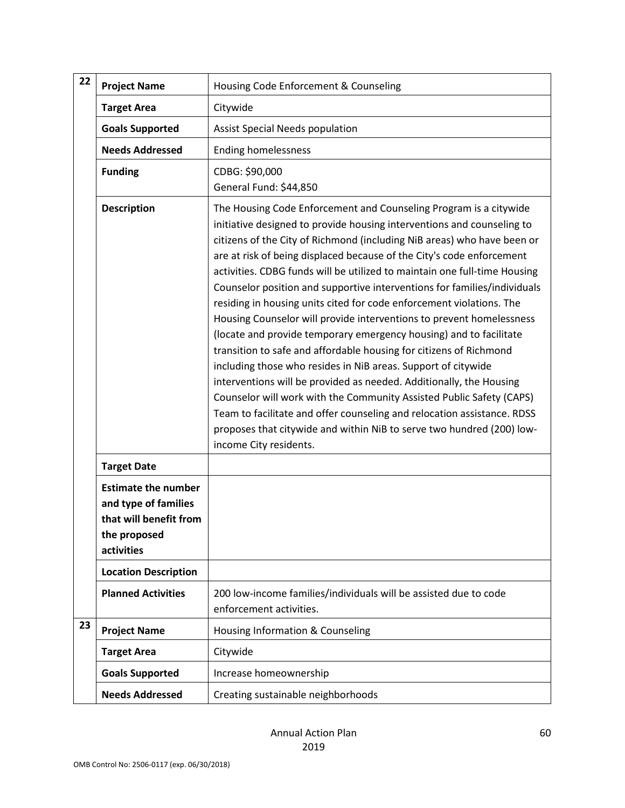| 22 | <b>Project Name</b>                                                                                        | Housing Code Enforcement & Counseling                                                                                                                                                                                                                                                                                                                                                                                                                                                                                                                                                                                                                                                                                                                                                                                                                                                                                                                                                                                                                                                                                                              |
|----|------------------------------------------------------------------------------------------------------------|----------------------------------------------------------------------------------------------------------------------------------------------------------------------------------------------------------------------------------------------------------------------------------------------------------------------------------------------------------------------------------------------------------------------------------------------------------------------------------------------------------------------------------------------------------------------------------------------------------------------------------------------------------------------------------------------------------------------------------------------------------------------------------------------------------------------------------------------------------------------------------------------------------------------------------------------------------------------------------------------------------------------------------------------------------------------------------------------------------------------------------------------------|
|    | <b>Target Area</b>                                                                                         | Citywide                                                                                                                                                                                                                                                                                                                                                                                                                                                                                                                                                                                                                                                                                                                                                                                                                                                                                                                                                                                                                                                                                                                                           |
|    | <b>Goals Supported</b>                                                                                     | <b>Assist Special Needs population</b>                                                                                                                                                                                                                                                                                                                                                                                                                                                                                                                                                                                                                                                                                                                                                                                                                                                                                                                                                                                                                                                                                                             |
|    | <b>Needs Addressed</b>                                                                                     | <b>Ending homelessness</b>                                                                                                                                                                                                                                                                                                                                                                                                                                                                                                                                                                                                                                                                                                                                                                                                                                                                                                                                                                                                                                                                                                                         |
|    | <b>Funding</b>                                                                                             | CDBG: \$90,000<br>General Fund: \$44,850                                                                                                                                                                                                                                                                                                                                                                                                                                                                                                                                                                                                                                                                                                                                                                                                                                                                                                                                                                                                                                                                                                           |
|    | <b>Description</b>                                                                                         | The Housing Code Enforcement and Counseling Program is a citywide<br>initiative designed to provide housing interventions and counseling to<br>citizens of the City of Richmond (including NiB areas) who have been or<br>are at risk of being displaced because of the City's code enforcement<br>activities. CDBG funds will be utilized to maintain one full-time Housing<br>Counselor position and supportive interventions for families/individuals<br>residing in housing units cited for code enforcement violations. The<br>Housing Counselor will provide interventions to prevent homelessness<br>(locate and provide temporary emergency housing) and to facilitate<br>transition to safe and affordable housing for citizens of Richmond<br>including those who resides in NiB areas. Support of citywide<br>interventions will be provided as needed. Additionally, the Housing<br>Counselor will work with the Community Assisted Public Safety (CAPS)<br>Team to facilitate and offer counseling and relocation assistance. RDSS<br>proposes that citywide and within NiB to serve two hundred (200) low-<br>income City residents. |
|    | <b>Target Date</b>                                                                                         |                                                                                                                                                                                                                                                                                                                                                                                                                                                                                                                                                                                                                                                                                                                                                                                                                                                                                                                                                                                                                                                                                                                                                    |
|    | <b>Estimate the number</b><br>and type of families<br>that will benefit from<br>the proposed<br>activities |                                                                                                                                                                                                                                                                                                                                                                                                                                                                                                                                                                                                                                                                                                                                                                                                                                                                                                                                                                                                                                                                                                                                                    |
|    | <b>Location Description</b>                                                                                |                                                                                                                                                                                                                                                                                                                                                                                                                                                                                                                                                                                                                                                                                                                                                                                                                                                                                                                                                                                                                                                                                                                                                    |
|    | <b>Planned Activities</b>                                                                                  | 200 low-income families/individuals will be assisted due to code<br>enforcement activities.                                                                                                                                                                                                                                                                                                                                                                                                                                                                                                                                                                                                                                                                                                                                                                                                                                                                                                                                                                                                                                                        |
| 23 | <b>Project Name</b>                                                                                        | Housing Information & Counseling                                                                                                                                                                                                                                                                                                                                                                                                                                                                                                                                                                                                                                                                                                                                                                                                                                                                                                                                                                                                                                                                                                                   |
|    | <b>Target Area</b>                                                                                         | Citywide                                                                                                                                                                                                                                                                                                                                                                                                                                                                                                                                                                                                                                                                                                                                                                                                                                                                                                                                                                                                                                                                                                                                           |
|    | <b>Goals Supported</b>                                                                                     | Increase homeownership                                                                                                                                                                                                                                                                                                                                                                                                                                                                                                                                                                                                                                                                                                                                                                                                                                                                                                                                                                                                                                                                                                                             |
|    | <b>Needs Addressed</b>                                                                                     | Creating sustainable neighborhoods                                                                                                                                                                                                                                                                                                                                                                                                                                                                                                                                                                                                                                                                                                                                                                                                                                                                                                                                                                                                                                                                                                                 |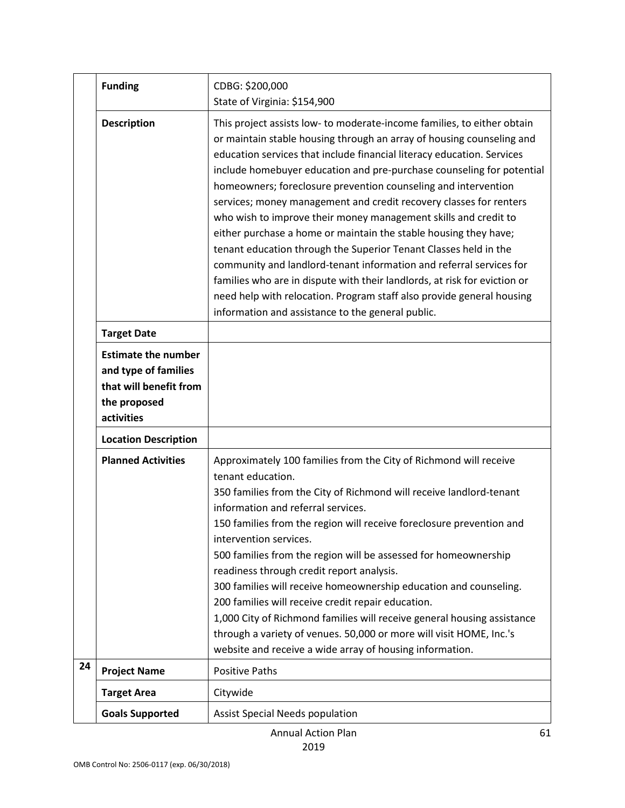|    | <b>Funding</b>                                                                                             | CDBG: \$200,000<br>State of Virginia: \$154,900                                                                                                                                                                                                                                                                                                                                                                                                                                                                                                                                                                                                                                                                                                                                                                                                                                                                                          |
|----|------------------------------------------------------------------------------------------------------------|------------------------------------------------------------------------------------------------------------------------------------------------------------------------------------------------------------------------------------------------------------------------------------------------------------------------------------------------------------------------------------------------------------------------------------------------------------------------------------------------------------------------------------------------------------------------------------------------------------------------------------------------------------------------------------------------------------------------------------------------------------------------------------------------------------------------------------------------------------------------------------------------------------------------------------------|
|    | <b>Description</b>                                                                                         | This project assists low- to moderate-income families, to either obtain<br>or maintain stable housing through an array of housing counseling and<br>education services that include financial literacy education. Services<br>include homebuyer education and pre-purchase counseling for potential<br>homeowners; foreclosure prevention counseling and intervention<br>services; money management and credit recovery classes for renters<br>who wish to improve their money management skills and credit to<br>either purchase a home or maintain the stable housing they have;<br>tenant education through the Superior Tenant Classes held in the<br>community and landlord-tenant information and referral services for<br>families who are in dispute with their landlords, at risk for eviction or<br>need help with relocation. Program staff also provide general housing<br>information and assistance to the general public. |
|    | <b>Target Date</b>                                                                                         |                                                                                                                                                                                                                                                                                                                                                                                                                                                                                                                                                                                                                                                                                                                                                                                                                                                                                                                                          |
|    | <b>Estimate the number</b><br>and type of families<br>that will benefit from<br>the proposed<br>activities |                                                                                                                                                                                                                                                                                                                                                                                                                                                                                                                                                                                                                                                                                                                                                                                                                                                                                                                                          |
|    | <b>Location Description</b>                                                                                |                                                                                                                                                                                                                                                                                                                                                                                                                                                                                                                                                                                                                                                                                                                                                                                                                                                                                                                                          |
|    | <b>Planned Activities</b>                                                                                  | Approximately 100 families from the City of Richmond will receive<br>tenant education.<br>350 families from the City of Richmond will receive landlord-tenant<br>information and referral services.<br>150 families from the region will receive foreclosure prevention and<br>intervention services.<br>500 families from the region will be assessed for homeownership<br>readiness through credit report analysis.<br>300 families will receive homeownership education and counseling.<br>200 families will receive credit repair education.<br>1,000 City of Richmond families will receive general housing assistance<br>through a variety of venues. 50,000 or more will visit HOME, Inc.'s<br>website and receive a wide array of housing information.                                                                                                                                                                           |
| 24 | <b>Project Name</b>                                                                                        | <b>Positive Paths</b>                                                                                                                                                                                                                                                                                                                                                                                                                                                                                                                                                                                                                                                                                                                                                                                                                                                                                                                    |
|    | <b>Target Area</b>                                                                                         | Citywide                                                                                                                                                                                                                                                                                                                                                                                                                                                                                                                                                                                                                                                                                                                                                                                                                                                                                                                                 |
|    | <b>Goals Supported</b>                                                                                     | <b>Assist Special Needs population</b>                                                                                                                                                                                                                                                                                                                                                                                                                                                                                                                                                                                                                                                                                                                                                                                                                                                                                                   |

Annual Action Plan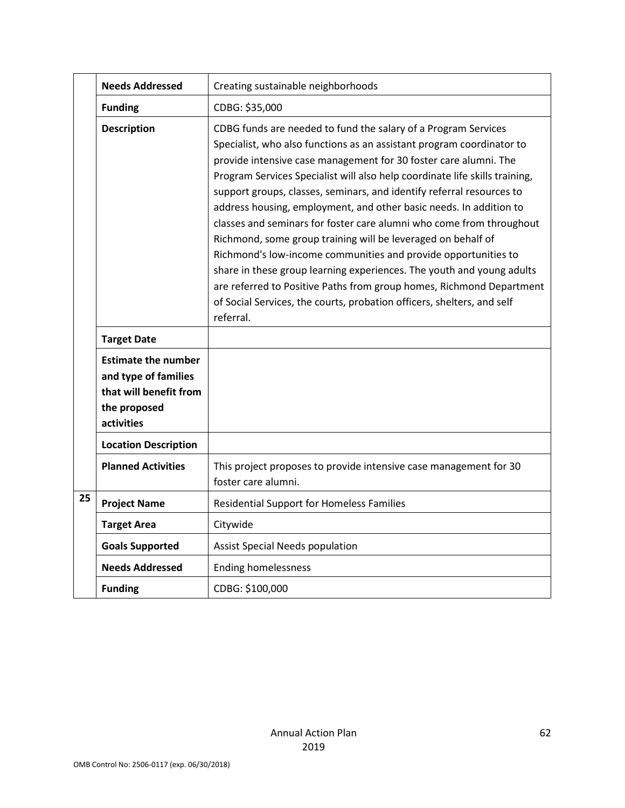|    | <b>Needs Addressed</b>                                                                                     | Creating sustainable neighborhoods                                                                                                                                                                                                                                                                                                                                                                                                                                                                                                                                                                                                                                                                                                                                                                                                                                                          |
|----|------------------------------------------------------------------------------------------------------------|---------------------------------------------------------------------------------------------------------------------------------------------------------------------------------------------------------------------------------------------------------------------------------------------------------------------------------------------------------------------------------------------------------------------------------------------------------------------------------------------------------------------------------------------------------------------------------------------------------------------------------------------------------------------------------------------------------------------------------------------------------------------------------------------------------------------------------------------------------------------------------------------|
|    | <b>Funding</b>                                                                                             | CDBG: \$35,000                                                                                                                                                                                                                                                                                                                                                                                                                                                                                                                                                                                                                                                                                                                                                                                                                                                                              |
|    | <b>Description</b>                                                                                         | CDBG funds are needed to fund the salary of a Program Services<br>Specialist, who also functions as an assistant program coordinator to<br>provide intensive case management for 30 foster care alumni. The<br>Program Services Specialist will also help coordinate life skills training,<br>support groups, classes, seminars, and identify referral resources to<br>address housing, employment, and other basic needs. In addition to<br>classes and seminars for foster care alumni who come from throughout<br>Richmond, some group training will be leveraged on behalf of<br>Richmond's low-income communities and provide opportunities to<br>share in these group learning experiences. The youth and young adults<br>are referred to Positive Paths from group homes, Richmond Department<br>of Social Services, the courts, probation officers, shelters, and self<br>referral. |
|    | <b>Target Date</b>                                                                                         |                                                                                                                                                                                                                                                                                                                                                                                                                                                                                                                                                                                                                                                                                                                                                                                                                                                                                             |
|    | <b>Estimate the number</b><br>and type of families<br>that will benefit from<br>the proposed<br>activities |                                                                                                                                                                                                                                                                                                                                                                                                                                                                                                                                                                                                                                                                                                                                                                                                                                                                                             |
|    | <b>Location Description</b>                                                                                |                                                                                                                                                                                                                                                                                                                                                                                                                                                                                                                                                                                                                                                                                                                                                                                                                                                                                             |
|    | <b>Planned Activities</b>                                                                                  | This project proposes to provide intensive case management for 30<br>foster care alumni.                                                                                                                                                                                                                                                                                                                                                                                                                                                                                                                                                                                                                                                                                                                                                                                                    |
| 25 | <b>Project Name</b>                                                                                        | <b>Residential Support for Homeless Families</b>                                                                                                                                                                                                                                                                                                                                                                                                                                                                                                                                                                                                                                                                                                                                                                                                                                            |
|    | <b>Target Area</b>                                                                                         | Citywide                                                                                                                                                                                                                                                                                                                                                                                                                                                                                                                                                                                                                                                                                                                                                                                                                                                                                    |
|    | <b>Goals Supported</b>                                                                                     | <b>Assist Special Needs population</b>                                                                                                                                                                                                                                                                                                                                                                                                                                                                                                                                                                                                                                                                                                                                                                                                                                                      |
|    | <b>Needs Addressed</b>                                                                                     | <b>Ending homelessness</b>                                                                                                                                                                                                                                                                                                                                                                                                                                                                                                                                                                                                                                                                                                                                                                                                                                                                  |
|    | <b>Funding</b>                                                                                             | CDBG: \$100,000                                                                                                                                                                                                                                                                                                                                                                                                                                                                                                                                                                                                                                                                                                                                                                                                                                                                             |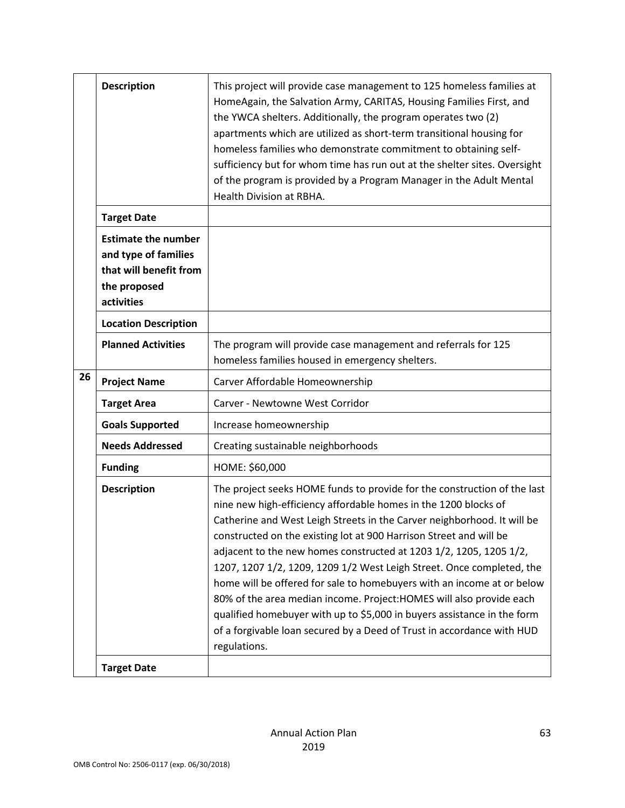|    | <b>Description</b>                                                                                         | This project will provide case management to 125 homeless families at<br>HomeAgain, the Salvation Army, CARITAS, Housing Families First, and<br>the YWCA shelters. Additionally, the program operates two (2)<br>apartments which are utilized as short-term transitional housing for<br>homeless families who demonstrate commitment to obtaining self-<br>sufficiency but for whom time has run out at the shelter sites. Oversight<br>of the program is provided by a Program Manager in the Adult Mental<br>Health Division at RBHA.                                                                                                                                                                                                                           |
|----|------------------------------------------------------------------------------------------------------------|--------------------------------------------------------------------------------------------------------------------------------------------------------------------------------------------------------------------------------------------------------------------------------------------------------------------------------------------------------------------------------------------------------------------------------------------------------------------------------------------------------------------------------------------------------------------------------------------------------------------------------------------------------------------------------------------------------------------------------------------------------------------|
|    | <b>Target Date</b>                                                                                         |                                                                                                                                                                                                                                                                                                                                                                                                                                                                                                                                                                                                                                                                                                                                                                    |
|    | <b>Estimate the number</b><br>and type of families<br>that will benefit from<br>the proposed<br>activities |                                                                                                                                                                                                                                                                                                                                                                                                                                                                                                                                                                                                                                                                                                                                                                    |
|    | <b>Location Description</b>                                                                                |                                                                                                                                                                                                                                                                                                                                                                                                                                                                                                                                                                                                                                                                                                                                                                    |
|    | <b>Planned Activities</b>                                                                                  | The program will provide case management and referrals for 125<br>homeless families housed in emergency shelters.                                                                                                                                                                                                                                                                                                                                                                                                                                                                                                                                                                                                                                                  |
| 26 | <b>Project Name</b>                                                                                        | Carver Affordable Homeownership                                                                                                                                                                                                                                                                                                                                                                                                                                                                                                                                                                                                                                                                                                                                    |
|    | <b>Target Area</b>                                                                                         | Carver - Newtowne West Corridor                                                                                                                                                                                                                                                                                                                                                                                                                                                                                                                                                                                                                                                                                                                                    |
|    | <b>Goals Supported</b>                                                                                     | Increase homeownership                                                                                                                                                                                                                                                                                                                                                                                                                                                                                                                                                                                                                                                                                                                                             |
|    | <b>Needs Addressed</b>                                                                                     | Creating sustainable neighborhoods                                                                                                                                                                                                                                                                                                                                                                                                                                                                                                                                                                                                                                                                                                                                 |
|    | <b>Funding</b>                                                                                             | HOME: \$60,000                                                                                                                                                                                                                                                                                                                                                                                                                                                                                                                                                                                                                                                                                                                                                     |
|    | <b>Description</b>                                                                                         | The project seeks HOME funds to provide for the construction of the last<br>nine new high-efficiency affordable homes in the 1200 blocks of<br>Catherine and West Leigh Streets in the Carver neighborhood. It will be<br>constructed on the existing lot at 900 Harrison Street and will be<br>adjacent to the new homes constructed at 1203 1/2, 1205, 1205 1/2,<br>1207, 1207 1/2, 1209, 1209 1/2 West Leigh Street. Once completed, the<br>home will be offered for sale to homebuyers with an income at or below<br>80% of the area median income. Project: HOMES will also provide each<br>qualified homebuyer with up to \$5,000 in buyers assistance in the form<br>of a forgivable loan secured by a Deed of Trust in accordance with HUD<br>regulations. |
|    | <b>Target Date</b>                                                                                         |                                                                                                                                                                                                                                                                                                                                                                                                                                                                                                                                                                                                                                                                                                                                                                    |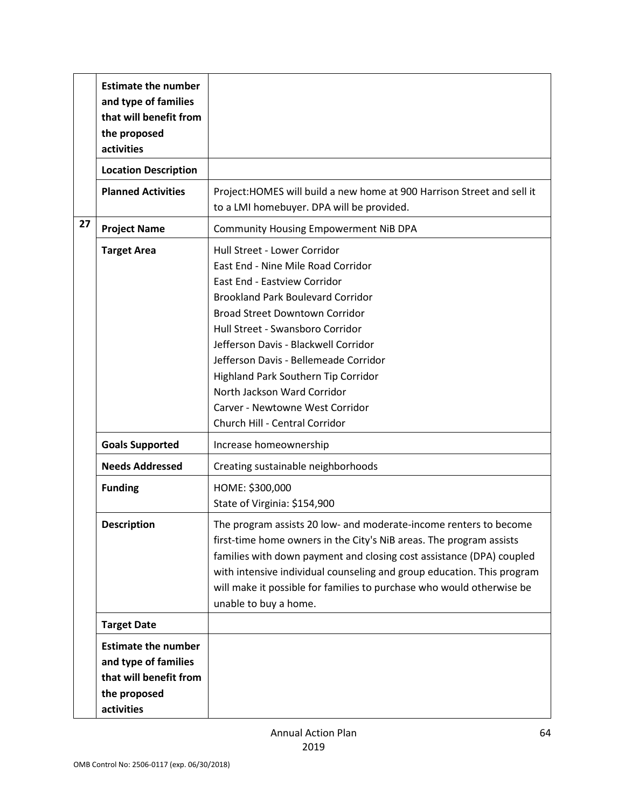|    | <b>Estimate the number</b><br>and type of families<br>that will benefit from<br>the proposed<br>activities |                                                                                                                                                                                                                                                                                                                                                                                                                                                                |
|----|------------------------------------------------------------------------------------------------------------|----------------------------------------------------------------------------------------------------------------------------------------------------------------------------------------------------------------------------------------------------------------------------------------------------------------------------------------------------------------------------------------------------------------------------------------------------------------|
|    | <b>Location Description</b>                                                                                |                                                                                                                                                                                                                                                                                                                                                                                                                                                                |
|    | <b>Planned Activities</b>                                                                                  | Project: HOMES will build a new home at 900 Harrison Street and sell it<br>to a LMI homebuyer. DPA will be provided.                                                                                                                                                                                                                                                                                                                                           |
| 27 | <b>Project Name</b>                                                                                        | <b>Community Housing Empowerment NiB DPA</b>                                                                                                                                                                                                                                                                                                                                                                                                                   |
|    | <b>Target Area</b>                                                                                         | Hull Street - Lower Corridor<br>East End - Nine Mile Road Corridor<br><b>East End - Eastview Corridor</b><br><b>Brookland Park Boulevard Corridor</b><br><b>Broad Street Downtown Corridor</b><br>Hull Street - Swansboro Corridor<br>Jefferson Davis - Blackwell Corridor<br>Jefferson Davis - Bellemeade Corridor<br>Highland Park Southern Tip Corridor<br>North Jackson Ward Corridor<br>Carver - Newtowne West Corridor<br>Church Hill - Central Corridor |
|    | <b>Goals Supported</b>                                                                                     | Increase homeownership                                                                                                                                                                                                                                                                                                                                                                                                                                         |
|    | <b>Needs Addressed</b>                                                                                     | Creating sustainable neighborhoods                                                                                                                                                                                                                                                                                                                                                                                                                             |
|    | <b>Funding</b>                                                                                             | HOME: \$300,000<br>State of Virginia: \$154,900                                                                                                                                                                                                                                                                                                                                                                                                                |
|    | <b>Description</b>                                                                                         | The program assists 20 low- and moderate-income renters to become<br>first-time home owners in the City's NiB areas. The program assists<br>families with down payment and closing cost assistance (DPA) coupled<br>with intensive individual counseling and group education. This program<br>will make it possible for families to purchase who would otherwise be<br>unable to buy a home.                                                                   |
|    | <b>Target Date</b>                                                                                         |                                                                                                                                                                                                                                                                                                                                                                                                                                                                |
|    | <b>Estimate the number</b><br>and type of families<br>that will benefit from<br>the proposed<br>activities |                                                                                                                                                                                                                                                                                                                                                                                                                                                                |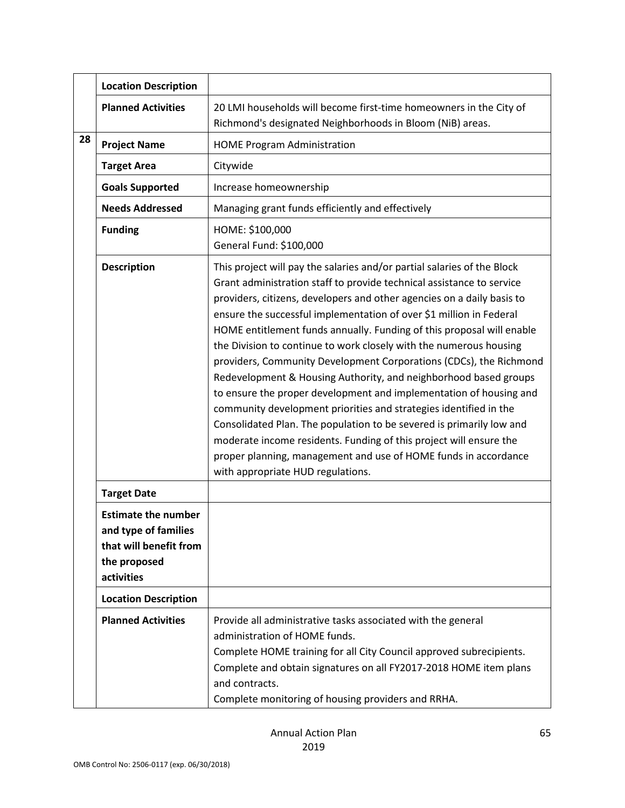|    | <b>Location Description</b>                                                                                |                                                                                                                                                                                                                                                                                                                                                                                                                                                                                                                                                                                                                                                                                                                                                                                                                                                                                                                                                                                             |
|----|------------------------------------------------------------------------------------------------------------|---------------------------------------------------------------------------------------------------------------------------------------------------------------------------------------------------------------------------------------------------------------------------------------------------------------------------------------------------------------------------------------------------------------------------------------------------------------------------------------------------------------------------------------------------------------------------------------------------------------------------------------------------------------------------------------------------------------------------------------------------------------------------------------------------------------------------------------------------------------------------------------------------------------------------------------------------------------------------------------------|
|    | <b>Planned Activities</b>                                                                                  | 20 LMI households will become first-time homeowners in the City of<br>Richmond's designated Neighborhoods in Bloom (NiB) areas.                                                                                                                                                                                                                                                                                                                                                                                                                                                                                                                                                                                                                                                                                                                                                                                                                                                             |
| 28 | <b>Project Name</b>                                                                                        | <b>HOME Program Administration</b>                                                                                                                                                                                                                                                                                                                                                                                                                                                                                                                                                                                                                                                                                                                                                                                                                                                                                                                                                          |
|    | <b>Target Area</b>                                                                                         | Citywide                                                                                                                                                                                                                                                                                                                                                                                                                                                                                                                                                                                                                                                                                                                                                                                                                                                                                                                                                                                    |
|    | <b>Goals Supported</b>                                                                                     | Increase homeownership                                                                                                                                                                                                                                                                                                                                                                                                                                                                                                                                                                                                                                                                                                                                                                                                                                                                                                                                                                      |
|    | <b>Needs Addressed</b>                                                                                     | Managing grant funds efficiently and effectively                                                                                                                                                                                                                                                                                                                                                                                                                                                                                                                                                                                                                                                                                                                                                                                                                                                                                                                                            |
|    | <b>Funding</b>                                                                                             | HOME: \$100,000<br>General Fund: \$100,000                                                                                                                                                                                                                                                                                                                                                                                                                                                                                                                                                                                                                                                                                                                                                                                                                                                                                                                                                  |
|    | <b>Description</b>                                                                                         | This project will pay the salaries and/or partial salaries of the Block<br>Grant administration staff to provide technical assistance to service<br>providers, citizens, developers and other agencies on a daily basis to<br>ensure the successful implementation of over \$1 million in Federal<br>HOME entitlement funds annually. Funding of this proposal will enable<br>the Division to continue to work closely with the numerous housing<br>providers, Community Development Corporations (CDCs), the Richmond<br>Redevelopment & Housing Authority, and neighborhood based groups<br>to ensure the proper development and implementation of housing and<br>community development priorities and strategies identified in the<br>Consolidated Plan. The population to be severed is primarily low and<br>moderate income residents. Funding of this project will ensure the<br>proper planning, management and use of HOME funds in accordance<br>with appropriate HUD regulations. |
|    | <b>Target Date</b>                                                                                         |                                                                                                                                                                                                                                                                                                                                                                                                                                                                                                                                                                                                                                                                                                                                                                                                                                                                                                                                                                                             |
|    | <b>Estimate the number</b><br>and type of families<br>that will benefit from<br>the proposed<br>activities |                                                                                                                                                                                                                                                                                                                                                                                                                                                                                                                                                                                                                                                                                                                                                                                                                                                                                                                                                                                             |
|    | <b>Location Description</b>                                                                                |                                                                                                                                                                                                                                                                                                                                                                                                                                                                                                                                                                                                                                                                                                                                                                                                                                                                                                                                                                                             |
|    | <b>Planned Activities</b>                                                                                  | Provide all administrative tasks associated with the general<br>administration of HOME funds.<br>Complete HOME training for all City Council approved subrecipients.<br>Complete and obtain signatures on all FY2017-2018 HOME item plans<br>and contracts.<br>Complete monitoring of housing providers and RRHA.                                                                                                                                                                                                                                                                                                                                                                                                                                                                                                                                                                                                                                                                           |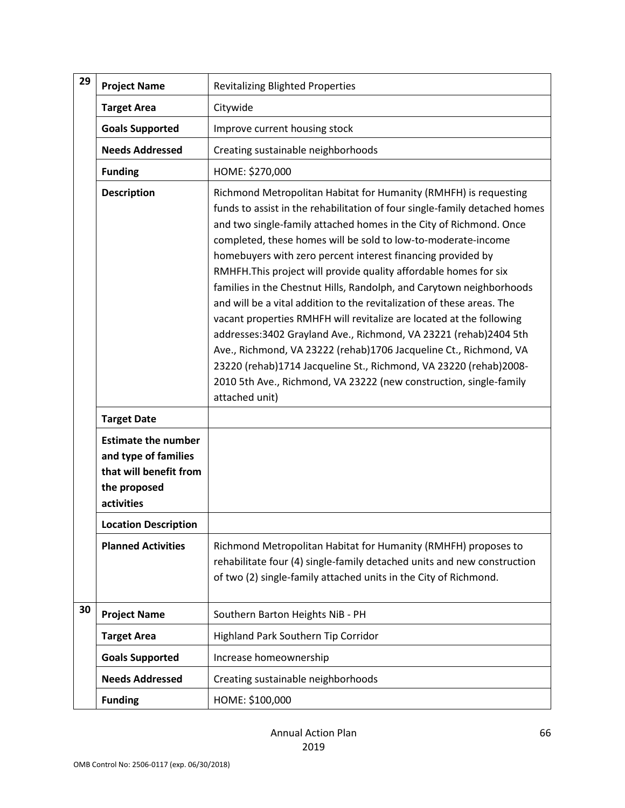| 29 | <b>Project Name</b>                                                                                        | <b>Revitalizing Blighted Properties</b>                                                                                                                                                                                                                                                                                                                                                                                                                                                                                                                                                                                                                                                                                                                                                                                                                                                                                                                     |
|----|------------------------------------------------------------------------------------------------------------|-------------------------------------------------------------------------------------------------------------------------------------------------------------------------------------------------------------------------------------------------------------------------------------------------------------------------------------------------------------------------------------------------------------------------------------------------------------------------------------------------------------------------------------------------------------------------------------------------------------------------------------------------------------------------------------------------------------------------------------------------------------------------------------------------------------------------------------------------------------------------------------------------------------------------------------------------------------|
|    | <b>Target Area</b>                                                                                         | Citywide                                                                                                                                                                                                                                                                                                                                                                                                                                                                                                                                                                                                                                                                                                                                                                                                                                                                                                                                                    |
|    | <b>Goals Supported</b>                                                                                     | Improve current housing stock                                                                                                                                                                                                                                                                                                                                                                                                                                                                                                                                                                                                                                                                                                                                                                                                                                                                                                                               |
|    | <b>Needs Addressed</b>                                                                                     | Creating sustainable neighborhoods                                                                                                                                                                                                                                                                                                                                                                                                                                                                                                                                                                                                                                                                                                                                                                                                                                                                                                                          |
|    | <b>Funding</b>                                                                                             | HOME: \$270,000                                                                                                                                                                                                                                                                                                                                                                                                                                                                                                                                                                                                                                                                                                                                                                                                                                                                                                                                             |
|    | <b>Description</b>                                                                                         | Richmond Metropolitan Habitat for Humanity (RMHFH) is requesting<br>funds to assist in the rehabilitation of four single-family detached homes<br>and two single-family attached homes in the City of Richmond. Once<br>completed, these homes will be sold to low-to-moderate-income<br>homebuyers with zero percent interest financing provided by<br>RMHFH. This project will provide quality affordable homes for six<br>families in the Chestnut Hills, Randolph, and Carytown neighborhoods<br>and will be a vital addition to the revitalization of these areas. The<br>vacant properties RMHFH will revitalize are located at the following<br>addresses: 3402 Grayland Ave., Richmond, VA 23221 (rehab) 2404 5th<br>Ave., Richmond, VA 23222 (rehab)1706 Jacqueline Ct., Richmond, VA<br>23220 (rehab)1714 Jacqueline St., Richmond, VA 23220 (rehab)2008-<br>2010 5th Ave., Richmond, VA 23222 (new construction, single-family<br>attached unit) |
|    | <b>Target Date</b>                                                                                         |                                                                                                                                                                                                                                                                                                                                                                                                                                                                                                                                                                                                                                                                                                                                                                                                                                                                                                                                                             |
|    | <b>Estimate the number</b><br>and type of families<br>that will benefit from<br>the proposed<br>activities |                                                                                                                                                                                                                                                                                                                                                                                                                                                                                                                                                                                                                                                                                                                                                                                                                                                                                                                                                             |
|    | <b>Location Description</b>                                                                                |                                                                                                                                                                                                                                                                                                                                                                                                                                                                                                                                                                                                                                                                                                                                                                                                                                                                                                                                                             |
|    | <b>Planned Activities</b>                                                                                  | Richmond Metropolitan Habitat for Humanity (RMHFH) proposes to<br>rehabilitate four (4) single-family detached units and new construction<br>of two (2) single-family attached units in the City of Richmond.                                                                                                                                                                                                                                                                                                                                                                                                                                                                                                                                                                                                                                                                                                                                               |
| 30 | <b>Project Name</b>                                                                                        | Southern Barton Heights NiB - PH                                                                                                                                                                                                                                                                                                                                                                                                                                                                                                                                                                                                                                                                                                                                                                                                                                                                                                                            |
|    | <b>Target Area</b>                                                                                         | Highland Park Southern Tip Corridor                                                                                                                                                                                                                                                                                                                                                                                                                                                                                                                                                                                                                                                                                                                                                                                                                                                                                                                         |
|    | <b>Goals Supported</b>                                                                                     | Increase homeownership                                                                                                                                                                                                                                                                                                                                                                                                                                                                                                                                                                                                                                                                                                                                                                                                                                                                                                                                      |
|    | <b>Needs Addressed</b>                                                                                     | Creating sustainable neighborhoods                                                                                                                                                                                                                                                                                                                                                                                                                                                                                                                                                                                                                                                                                                                                                                                                                                                                                                                          |
|    | <b>Funding</b>                                                                                             | HOME: \$100,000                                                                                                                                                                                                                                                                                                                                                                                                                                                                                                                                                                                                                                                                                                                                                                                                                                                                                                                                             |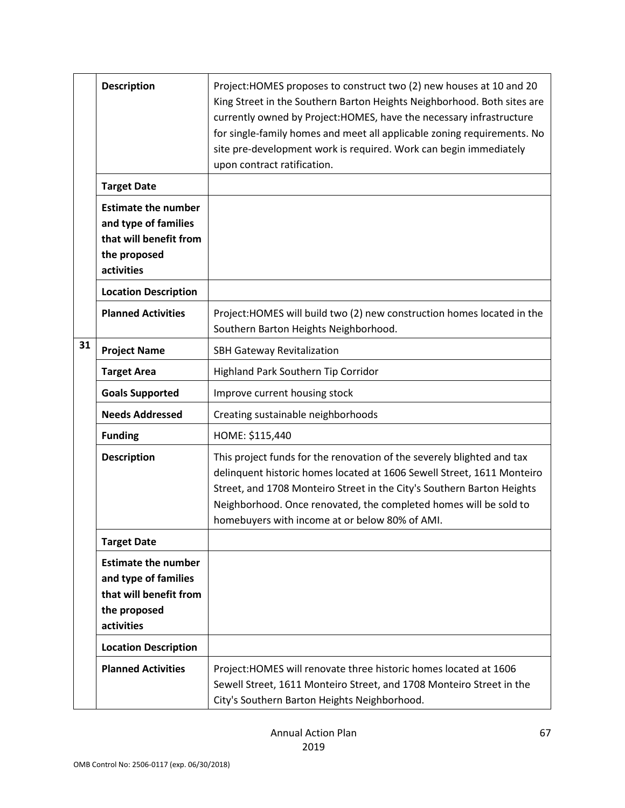|    | <b>Description</b>                                                                                         | Project: HOMES proposes to construct two (2) new houses at 10 and 20<br>King Street in the Southern Barton Heights Neighborhood. Both sites are<br>currently owned by Project: HOMES, have the necessary infrastructure<br>for single-family homes and meet all applicable zoning requirements. No<br>site pre-development work is required. Work can begin immediately<br>upon contract ratification. |
|----|------------------------------------------------------------------------------------------------------------|--------------------------------------------------------------------------------------------------------------------------------------------------------------------------------------------------------------------------------------------------------------------------------------------------------------------------------------------------------------------------------------------------------|
|    | <b>Target Date</b>                                                                                         |                                                                                                                                                                                                                                                                                                                                                                                                        |
|    | <b>Estimate the number</b><br>and type of families<br>that will benefit from<br>the proposed<br>activities |                                                                                                                                                                                                                                                                                                                                                                                                        |
|    | <b>Location Description</b>                                                                                |                                                                                                                                                                                                                                                                                                                                                                                                        |
|    | <b>Planned Activities</b>                                                                                  | Project: HOMES will build two (2) new construction homes located in the<br>Southern Barton Heights Neighborhood.                                                                                                                                                                                                                                                                                       |
| 31 | <b>Project Name</b>                                                                                        | SBH Gateway Revitalization                                                                                                                                                                                                                                                                                                                                                                             |
|    | <b>Target Area</b>                                                                                         | Highland Park Southern Tip Corridor                                                                                                                                                                                                                                                                                                                                                                    |
|    | <b>Goals Supported</b>                                                                                     | Improve current housing stock                                                                                                                                                                                                                                                                                                                                                                          |
|    | <b>Needs Addressed</b>                                                                                     | Creating sustainable neighborhoods                                                                                                                                                                                                                                                                                                                                                                     |
|    | <b>Funding</b>                                                                                             | HOME: \$115,440                                                                                                                                                                                                                                                                                                                                                                                        |
|    | <b>Description</b>                                                                                         | This project funds for the renovation of the severely blighted and tax<br>delinquent historic homes located at 1606 Sewell Street, 1611 Monteiro<br>Street, and 1708 Monteiro Street in the City's Southern Barton Heights<br>Neighborhood. Once renovated, the completed homes will be sold to<br>homebuyers with income at or below 80% of AMI.                                                      |
|    | <b>Target Date</b>                                                                                         |                                                                                                                                                                                                                                                                                                                                                                                                        |
|    | <b>Estimate the number</b><br>and type of families<br>that will benefit from<br>the proposed<br>activities |                                                                                                                                                                                                                                                                                                                                                                                                        |
|    | <b>Location Description</b>                                                                                |                                                                                                                                                                                                                                                                                                                                                                                                        |
|    | <b>Planned Activities</b>                                                                                  | Project: HOMES will renovate three historic homes located at 1606<br>Sewell Street, 1611 Monteiro Street, and 1708 Monteiro Street in the<br>City's Southern Barton Heights Neighborhood.                                                                                                                                                                                                              |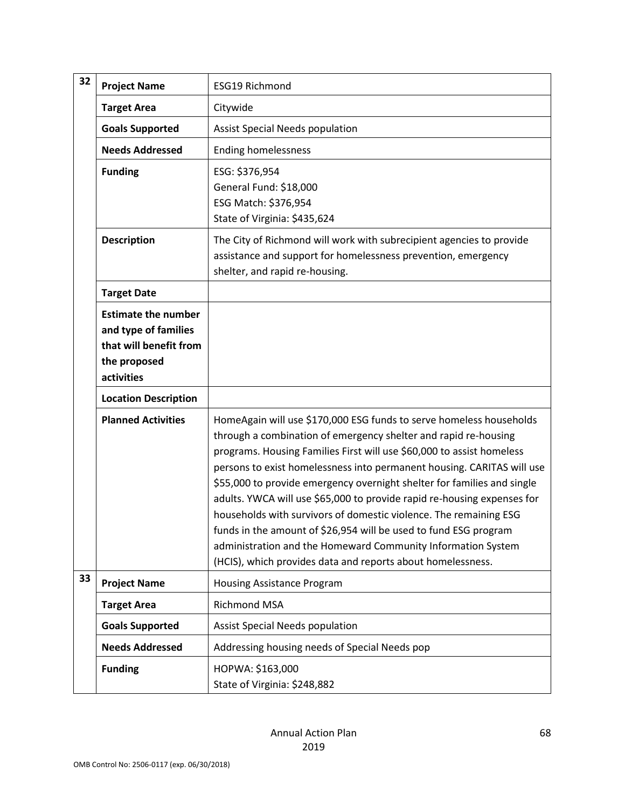| 32 | <b>Project Name</b>                                                                                        | ESG19 Richmond                                                                                                                                                                                                                                                                                                                                                                                                                                                                                                                                                                                                                                                                                                          |
|----|------------------------------------------------------------------------------------------------------------|-------------------------------------------------------------------------------------------------------------------------------------------------------------------------------------------------------------------------------------------------------------------------------------------------------------------------------------------------------------------------------------------------------------------------------------------------------------------------------------------------------------------------------------------------------------------------------------------------------------------------------------------------------------------------------------------------------------------------|
|    | <b>Target Area</b>                                                                                         | Citywide                                                                                                                                                                                                                                                                                                                                                                                                                                                                                                                                                                                                                                                                                                                |
|    | <b>Goals Supported</b>                                                                                     | <b>Assist Special Needs population</b>                                                                                                                                                                                                                                                                                                                                                                                                                                                                                                                                                                                                                                                                                  |
|    | <b>Needs Addressed</b>                                                                                     | <b>Ending homelessness</b>                                                                                                                                                                                                                                                                                                                                                                                                                                                                                                                                                                                                                                                                                              |
|    | <b>Funding</b>                                                                                             | ESG: \$376,954<br>General Fund: \$18,000<br>ESG Match: \$376,954<br>State of Virginia: \$435,624                                                                                                                                                                                                                                                                                                                                                                                                                                                                                                                                                                                                                        |
|    | <b>Description</b>                                                                                         | The City of Richmond will work with subrecipient agencies to provide<br>assistance and support for homelessness prevention, emergency<br>shelter, and rapid re-housing.                                                                                                                                                                                                                                                                                                                                                                                                                                                                                                                                                 |
|    | <b>Target Date</b>                                                                                         |                                                                                                                                                                                                                                                                                                                                                                                                                                                                                                                                                                                                                                                                                                                         |
|    | <b>Estimate the number</b><br>and type of families<br>that will benefit from<br>the proposed<br>activities |                                                                                                                                                                                                                                                                                                                                                                                                                                                                                                                                                                                                                                                                                                                         |
|    | <b>Location Description</b>                                                                                |                                                                                                                                                                                                                                                                                                                                                                                                                                                                                                                                                                                                                                                                                                                         |
|    | <b>Planned Activities</b>                                                                                  | HomeAgain will use \$170,000 ESG funds to serve homeless households<br>through a combination of emergency shelter and rapid re-housing<br>programs. Housing Families First will use \$60,000 to assist homeless<br>persons to exist homelessness into permanent housing. CARITAS will use<br>\$55,000 to provide emergency overnight shelter for families and single<br>adults. YWCA will use \$65,000 to provide rapid re-housing expenses for<br>households with survivors of domestic violence. The remaining ESG<br>funds in the amount of \$26,954 will be used to fund ESG program<br>administration and the Homeward Community Information System<br>(HCIS), which provides data and reports about homelessness. |
| 33 | <b>Project Name</b>                                                                                        | Housing Assistance Program                                                                                                                                                                                                                                                                                                                                                                                                                                                                                                                                                                                                                                                                                              |
|    | <b>Target Area</b>                                                                                         | <b>Richmond MSA</b>                                                                                                                                                                                                                                                                                                                                                                                                                                                                                                                                                                                                                                                                                                     |
|    | <b>Goals Supported</b>                                                                                     | <b>Assist Special Needs population</b>                                                                                                                                                                                                                                                                                                                                                                                                                                                                                                                                                                                                                                                                                  |
|    | <b>Needs Addressed</b>                                                                                     | Addressing housing needs of Special Needs pop                                                                                                                                                                                                                                                                                                                                                                                                                                                                                                                                                                                                                                                                           |
|    | <b>Funding</b>                                                                                             | HOPWA: \$163,000<br>State of Virginia: \$248,882                                                                                                                                                                                                                                                                                                                                                                                                                                                                                                                                                                                                                                                                        |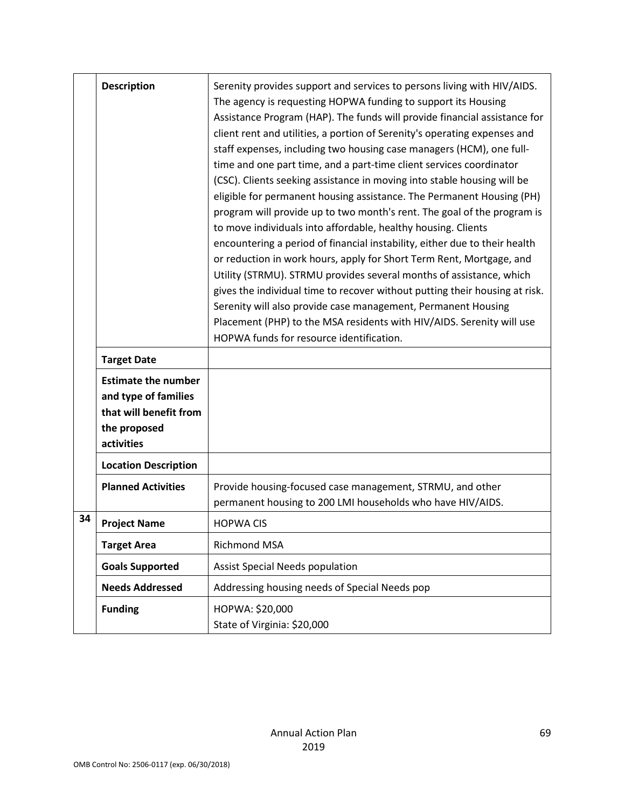|    | <b>Description</b><br><b>Target Date</b>                                                                   | Serenity provides support and services to persons living with HIV/AIDS.<br>The agency is requesting HOPWA funding to support its Housing<br>Assistance Program (HAP). The funds will provide financial assistance for<br>client rent and utilities, a portion of Serenity's operating expenses and<br>staff expenses, including two housing case managers (HCM), one full-<br>time and one part time, and a part-time client services coordinator<br>(CSC). Clients seeking assistance in moving into stable housing will be<br>eligible for permanent housing assistance. The Permanent Housing (PH)<br>program will provide up to two month's rent. The goal of the program is<br>to move individuals into affordable, healthy housing. Clients<br>encountering a period of financial instability, either due to their health<br>or reduction in work hours, apply for Short Term Rent, Mortgage, and<br>Utility (STRMU). STRMU provides several months of assistance, which<br>gives the individual time to recover without putting their housing at risk.<br>Serenity will also provide case management, Permanent Housing<br>Placement (PHP) to the MSA residents with HIV/AIDS. Serenity will use<br>HOPWA funds for resource identification. |
|----|------------------------------------------------------------------------------------------------------------|-----------------------------------------------------------------------------------------------------------------------------------------------------------------------------------------------------------------------------------------------------------------------------------------------------------------------------------------------------------------------------------------------------------------------------------------------------------------------------------------------------------------------------------------------------------------------------------------------------------------------------------------------------------------------------------------------------------------------------------------------------------------------------------------------------------------------------------------------------------------------------------------------------------------------------------------------------------------------------------------------------------------------------------------------------------------------------------------------------------------------------------------------------------------------------------------------------------------------------------------------------|
|    | <b>Estimate the number</b><br>and type of families<br>that will benefit from<br>the proposed<br>activities |                                                                                                                                                                                                                                                                                                                                                                                                                                                                                                                                                                                                                                                                                                                                                                                                                                                                                                                                                                                                                                                                                                                                                                                                                                                     |
|    | <b>Location Description</b>                                                                                |                                                                                                                                                                                                                                                                                                                                                                                                                                                                                                                                                                                                                                                                                                                                                                                                                                                                                                                                                                                                                                                                                                                                                                                                                                                     |
|    | <b>Planned Activities</b>                                                                                  | Provide housing-focused case management, STRMU, and other<br>permanent housing to 200 LMI households who have HIV/AIDS.                                                                                                                                                                                                                                                                                                                                                                                                                                                                                                                                                                                                                                                                                                                                                                                                                                                                                                                                                                                                                                                                                                                             |
| 34 | <b>Project Name</b>                                                                                        | <b>HOPWA CIS</b>                                                                                                                                                                                                                                                                                                                                                                                                                                                                                                                                                                                                                                                                                                                                                                                                                                                                                                                                                                                                                                                                                                                                                                                                                                    |
|    | <b>Target Area</b>                                                                                         | Richmond MSA                                                                                                                                                                                                                                                                                                                                                                                                                                                                                                                                                                                                                                                                                                                                                                                                                                                                                                                                                                                                                                                                                                                                                                                                                                        |
|    | <b>Goals Supported</b>                                                                                     | <b>Assist Special Needs population</b>                                                                                                                                                                                                                                                                                                                                                                                                                                                                                                                                                                                                                                                                                                                                                                                                                                                                                                                                                                                                                                                                                                                                                                                                              |
|    | <b>Needs Addressed</b>                                                                                     | Addressing housing needs of Special Needs pop                                                                                                                                                                                                                                                                                                                                                                                                                                                                                                                                                                                                                                                                                                                                                                                                                                                                                                                                                                                                                                                                                                                                                                                                       |
|    | <b>Funding</b>                                                                                             | HOPWA: \$20,000<br>State of Virginia: \$20,000                                                                                                                                                                                                                                                                                                                                                                                                                                                                                                                                                                                                                                                                                                                                                                                                                                                                                                                                                                                                                                                                                                                                                                                                      |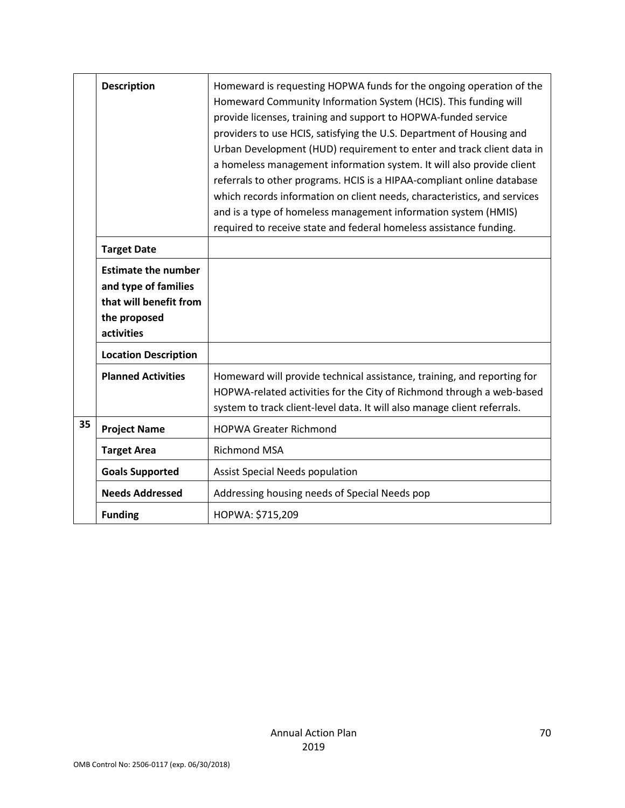|    | <b>Description</b>                                                                                         | Homeward is requesting HOPWA funds for the ongoing operation of the<br>Homeward Community Information System (HCIS). This funding will<br>provide licenses, training and support to HOPWA-funded service<br>providers to use HCIS, satisfying the U.S. Department of Housing and<br>Urban Development (HUD) requirement to enter and track client data in<br>a homeless management information system. It will also provide client<br>referrals to other programs. HCIS is a HIPAA-compliant online database<br>which records information on client needs, characteristics, and services<br>and is a type of homeless management information system (HMIS)<br>required to receive state and federal homeless assistance funding. |
|----|------------------------------------------------------------------------------------------------------------|----------------------------------------------------------------------------------------------------------------------------------------------------------------------------------------------------------------------------------------------------------------------------------------------------------------------------------------------------------------------------------------------------------------------------------------------------------------------------------------------------------------------------------------------------------------------------------------------------------------------------------------------------------------------------------------------------------------------------------|
|    | <b>Target Date</b>                                                                                         |                                                                                                                                                                                                                                                                                                                                                                                                                                                                                                                                                                                                                                                                                                                                  |
|    | <b>Estimate the number</b><br>and type of families<br>that will benefit from<br>the proposed<br>activities |                                                                                                                                                                                                                                                                                                                                                                                                                                                                                                                                                                                                                                                                                                                                  |
|    | <b>Location Description</b>                                                                                |                                                                                                                                                                                                                                                                                                                                                                                                                                                                                                                                                                                                                                                                                                                                  |
|    | <b>Planned Activities</b>                                                                                  | Homeward will provide technical assistance, training, and reporting for<br>HOPWA-related activities for the City of Richmond through a web-based<br>system to track client-level data. It will also manage client referrals.                                                                                                                                                                                                                                                                                                                                                                                                                                                                                                     |
| 35 | <b>Project Name</b>                                                                                        | <b>HOPWA Greater Richmond</b>                                                                                                                                                                                                                                                                                                                                                                                                                                                                                                                                                                                                                                                                                                    |
|    | <b>Target Area</b>                                                                                         | <b>Richmond MSA</b>                                                                                                                                                                                                                                                                                                                                                                                                                                                                                                                                                                                                                                                                                                              |
|    | <b>Goals Supported</b>                                                                                     | Assist Special Needs population                                                                                                                                                                                                                                                                                                                                                                                                                                                                                                                                                                                                                                                                                                  |
|    | <b>Needs Addressed</b>                                                                                     | Addressing housing needs of Special Needs pop                                                                                                                                                                                                                                                                                                                                                                                                                                                                                                                                                                                                                                                                                    |
|    | <b>Funding</b>                                                                                             | HOPWA: \$715,209                                                                                                                                                                                                                                                                                                                                                                                                                                                                                                                                                                                                                                                                                                                 |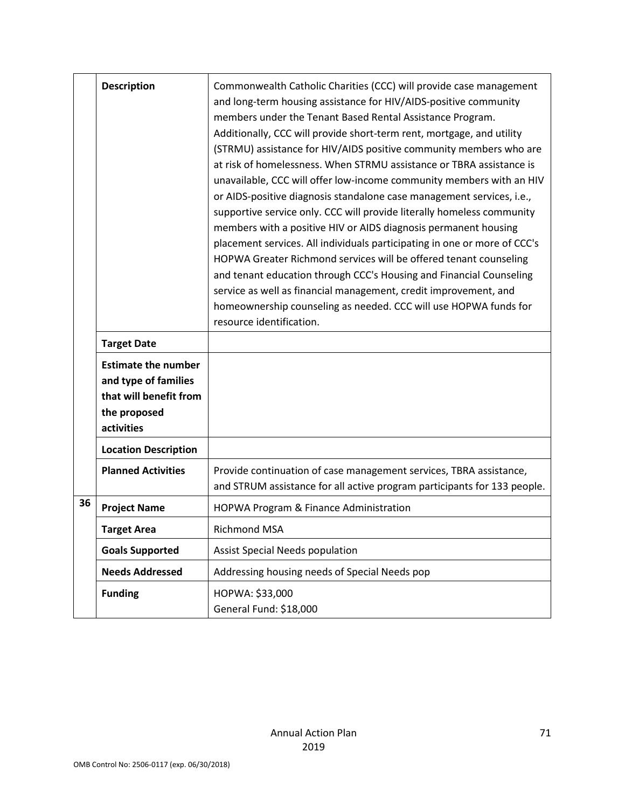|    | <b>Description</b><br><b>Target Date</b><br><b>Estimate the number</b>       | Commonwealth Catholic Charities (CCC) will provide case management<br>and long-term housing assistance for HIV/AIDS-positive community<br>members under the Tenant Based Rental Assistance Program.<br>Additionally, CCC will provide short-term rent, mortgage, and utility<br>(STRMU) assistance for HIV/AIDS positive community members who are<br>at risk of homelessness. When STRMU assistance or TBRA assistance is<br>unavailable, CCC will offer low-income community members with an HIV<br>or AIDS-positive diagnosis standalone case management services, i.e.,<br>supportive service only. CCC will provide literally homeless community<br>members with a positive HIV or AIDS diagnosis permanent housing<br>placement services. All individuals participating in one or more of CCC's<br>HOPWA Greater Richmond services will be offered tenant counseling<br>and tenant education through CCC's Housing and Financial Counseling<br>service as well as financial management, credit improvement, and<br>homeownership counseling as needed. CCC will use HOPWA funds for<br>resource identification. |
|----|------------------------------------------------------------------------------|-----------------------------------------------------------------------------------------------------------------------------------------------------------------------------------------------------------------------------------------------------------------------------------------------------------------------------------------------------------------------------------------------------------------------------------------------------------------------------------------------------------------------------------------------------------------------------------------------------------------------------------------------------------------------------------------------------------------------------------------------------------------------------------------------------------------------------------------------------------------------------------------------------------------------------------------------------------------------------------------------------------------------------------------------------------------------------------------------------------------------|
|    | and type of families<br>that will benefit from<br>the proposed<br>activities |                                                                                                                                                                                                                                                                                                                                                                                                                                                                                                                                                                                                                                                                                                                                                                                                                                                                                                                                                                                                                                                                                                                       |
|    | <b>Location Description</b>                                                  |                                                                                                                                                                                                                                                                                                                                                                                                                                                                                                                                                                                                                                                                                                                                                                                                                                                                                                                                                                                                                                                                                                                       |
|    | <b>Planned Activities</b>                                                    | Provide continuation of case management services, TBRA assistance,<br>and STRUM assistance for all active program participants for 133 people.                                                                                                                                                                                                                                                                                                                                                                                                                                                                                                                                                                                                                                                                                                                                                                                                                                                                                                                                                                        |
| 36 | <b>Project Name</b>                                                          | HOPWA Program & Finance Administration                                                                                                                                                                                                                                                                                                                                                                                                                                                                                                                                                                                                                                                                                                                                                                                                                                                                                                                                                                                                                                                                                |
|    | <b>Target Area</b>                                                           | Richmond MSA                                                                                                                                                                                                                                                                                                                                                                                                                                                                                                                                                                                                                                                                                                                                                                                                                                                                                                                                                                                                                                                                                                          |
|    | <b>Goals Supported</b>                                                       | <b>Assist Special Needs population</b>                                                                                                                                                                                                                                                                                                                                                                                                                                                                                                                                                                                                                                                                                                                                                                                                                                                                                                                                                                                                                                                                                |
|    | <b>Needs Addressed</b>                                                       | Addressing housing needs of Special Needs pop                                                                                                                                                                                                                                                                                                                                                                                                                                                                                                                                                                                                                                                                                                                                                                                                                                                                                                                                                                                                                                                                         |
|    | <b>Funding</b>                                                               | HOPWA: \$33,000<br>General Fund: \$18,000                                                                                                                                                                                                                                                                                                                                                                                                                                                                                                                                                                                                                                                                                                                                                                                                                                                                                                                                                                                                                                                                             |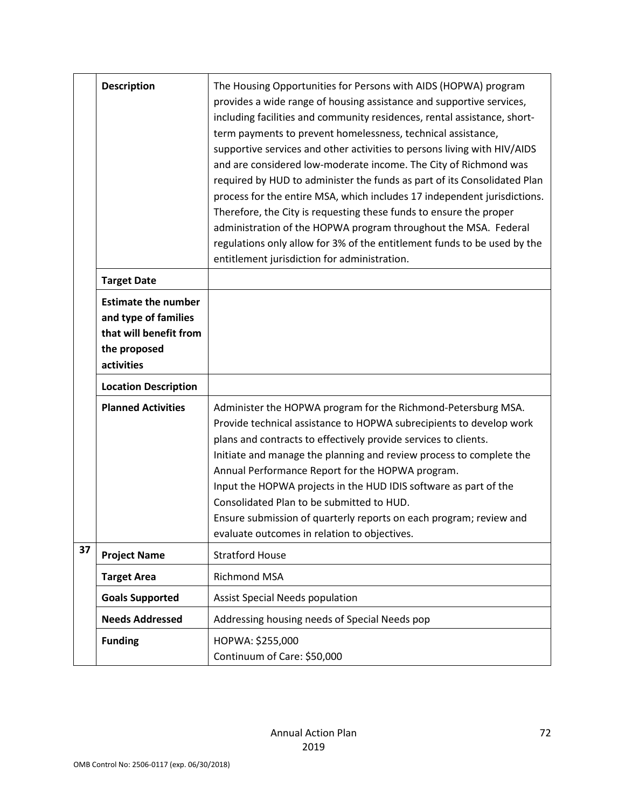|    | <b>Description</b>                                                                                         | The Housing Opportunities for Persons with AIDS (HOPWA) program<br>provides a wide range of housing assistance and supportive services,<br>including facilities and community residences, rental assistance, short-<br>term payments to prevent homelessness, technical assistance,<br>supportive services and other activities to persons living with HIV/AIDS<br>and are considered low-moderate income. The City of Richmond was<br>required by HUD to administer the funds as part of its Consolidated Plan<br>process for the entire MSA, which includes 17 independent jurisdictions.<br>Therefore, the City is requesting these funds to ensure the proper<br>administration of the HOPWA program throughout the MSA. Federal<br>regulations only allow for 3% of the entitlement funds to be used by the<br>entitlement jurisdiction for administration. |
|----|------------------------------------------------------------------------------------------------------------|------------------------------------------------------------------------------------------------------------------------------------------------------------------------------------------------------------------------------------------------------------------------------------------------------------------------------------------------------------------------------------------------------------------------------------------------------------------------------------------------------------------------------------------------------------------------------------------------------------------------------------------------------------------------------------------------------------------------------------------------------------------------------------------------------------------------------------------------------------------|
|    | <b>Target Date</b>                                                                                         |                                                                                                                                                                                                                                                                                                                                                                                                                                                                                                                                                                                                                                                                                                                                                                                                                                                                  |
|    | <b>Estimate the number</b><br>and type of families<br>that will benefit from<br>the proposed<br>activities |                                                                                                                                                                                                                                                                                                                                                                                                                                                                                                                                                                                                                                                                                                                                                                                                                                                                  |
|    | <b>Location Description</b>                                                                                |                                                                                                                                                                                                                                                                                                                                                                                                                                                                                                                                                                                                                                                                                                                                                                                                                                                                  |
|    | <b>Planned Activities</b>                                                                                  | Administer the HOPWA program for the Richmond-Petersburg MSA.<br>Provide technical assistance to HOPWA subrecipients to develop work<br>plans and contracts to effectively provide services to clients.<br>Initiate and manage the planning and review process to complete the<br>Annual Performance Report for the HOPWA program.<br>Input the HOPWA projects in the HUD IDIS software as part of the<br>Consolidated Plan to be submitted to HUD.<br>Ensure submission of quarterly reports on each program; review and<br>evaluate outcomes in relation to objectives.                                                                                                                                                                                                                                                                                        |
| 37 | <b>Project Name</b>                                                                                        | <b>Stratford House</b>                                                                                                                                                                                                                                                                                                                                                                                                                                                                                                                                                                                                                                                                                                                                                                                                                                           |
|    | <b>Target Area</b>                                                                                         | Richmond MSA                                                                                                                                                                                                                                                                                                                                                                                                                                                                                                                                                                                                                                                                                                                                                                                                                                                     |
|    | <b>Goals Supported</b>                                                                                     | <b>Assist Special Needs population</b>                                                                                                                                                                                                                                                                                                                                                                                                                                                                                                                                                                                                                                                                                                                                                                                                                           |
|    | <b>Needs Addressed</b>                                                                                     | Addressing housing needs of Special Needs pop                                                                                                                                                                                                                                                                                                                                                                                                                                                                                                                                                                                                                                                                                                                                                                                                                    |
|    | <b>Funding</b>                                                                                             | HOPWA: \$255,000<br>Continuum of Care: \$50,000                                                                                                                                                                                                                                                                                                                                                                                                                                                                                                                                                                                                                                                                                                                                                                                                                  |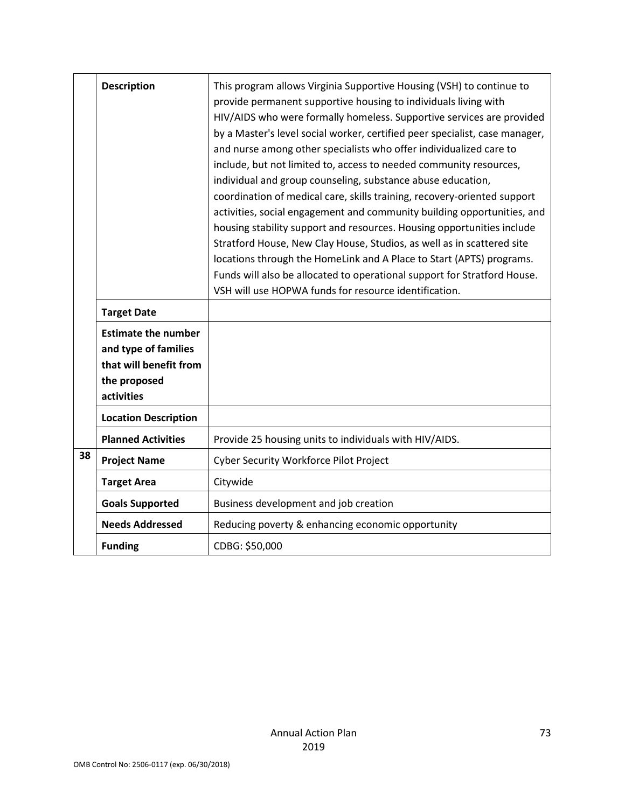|    | <b>Description</b>                                                                                         | This program allows Virginia Supportive Housing (VSH) to continue to<br>provide permanent supportive housing to individuals living with<br>HIV/AIDS who were formally homeless. Supportive services are provided<br>by a Master's level social worker, certified peer specialist, case manager,<br>and nurse among other specialists who offer individualized care to<br>include, but not limited to, access to needed community resources,<br>individual and group counseling, substance abuse education,<br>coordination of medical care, skills training, recovery-oriented support<br>activities, social engagement and community building opportunities, and<br>housing stability support and resources. Housing opportunities include<br>Stratford House, New Clay House, Studios, as well as in scattered site<br>locations through the HomeLink and A Place to Start (APTS) programs.<br>Funds will also be allocated to operational support for Stratford House.<br>VSH will use HOPWA funds for resource identification. |
|----|------------------------------------------------------------------------------------------------------------|------------------------------------------------------------------------------------------------------------------------------------------------------------------------------------------------------------------------------------------------------------------------------------------------------------------------------------------------------------------------------------------------------------------------------------------------------------------------------------------------------------------------------------------------------------------------------------------------------------------------------------------------------------------------------------------------------------------------------------------------------------------------------------------------------------------------------------------------------------------------------------------------------------------------------------------------------------------------------------------------------------------------------------|
|    | <b>Target Date</b>                                                                                         |                                                                                                                                                                                                                                                                                                                                                                                                                                                                                                                                                                                                                                                                                                                                                                                                                                                                                                                                                                                                                                    |
|    | <b>Estimate the number</b><br>and type of families<br>that will benefit from<br>the proposed<br>activities |                                                                                                                                                                                                                                                                                                                                                                                                                                                                                                                                                                                                                                                                                                                                                                                                                                                                                                                                                                                                                                    |
|    | <b>Location Description</b>                                                                                |                                                                                                                                                                                                                                                                                                                                                                                                                                                                                                                                                                                                                                                                                                                                                                                                                                                                                                                                                                                                                                    |
|    | <b>Planned Activities</b>                                                                                  | Provide 25 housing units to individuals with HIV/AIDS.                                                                                                                                                                                                                                                                                                                                                                                                                                                                                                                                                                                                                                                                                                                                                                                                                                                                                                                                                                             |
| 38 | <b>Project Name</b>                                                                                        | Cyber Security Workforce Pilot Project                                                                                                                                                                                                                                                                                                                                                                                                                                                                                                                                                                                                                                                                                                                                                                                                                                                                                                                                                                                             |
|    | <b>Target Area</b>                                                                                         | Citywide                                                                                                                                                                                                                                                                                                                                                                                                                                                                                                                                                                                                                                                                                                                                                                                                                                                                                                                                                                                                                           |
|    | <b>Goals Supported</b>                                                                                     | Business development and job creation                                                                                                                                                                                                                                                                                                                                                                                                                                                                                                                                                                                                                                                                                                                                                                                                                                                                                                                                                                                              |
|    | <b>Needs Addressed</b>                                                                                     | Reducing poverty & enhancing economic opportunity                                                                                                                                                                                                                                                                                                                                                                                                                                                                                                                                                                                                                                                                                                                                                                                                                                                                                                                                                                                  |
|    | <b>Funding</b>                                                                                             | CDBG: \$50,000                                                                                                                                                                                                                                                                                                                                                                                                                                                                                                                                                                                                                                                                                                                                                                                                                                                                                                                                                                                                                     |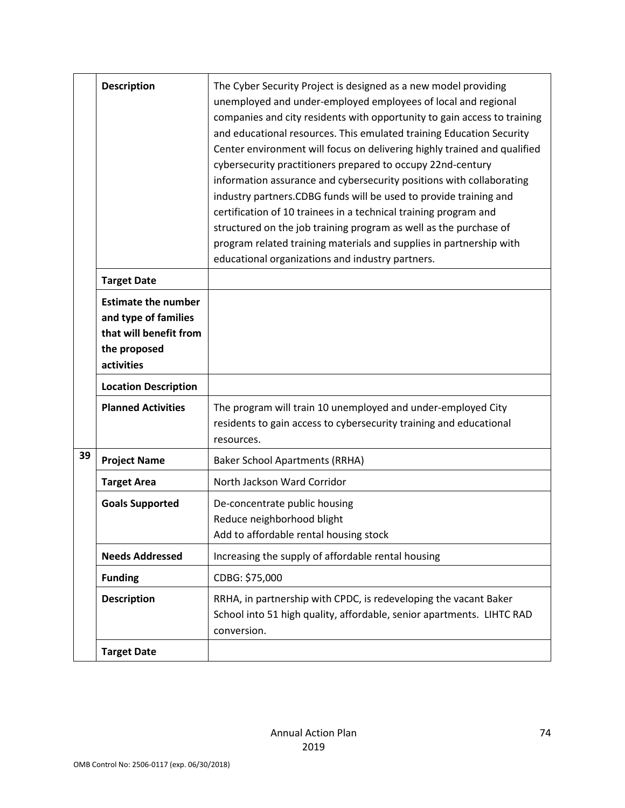|    | <b>Description</b>                                                                                         | The Cyber Security Project is designed as a new model providing<br>unemployed and under-employed employees of local and regional<br>companies and city residents with opportunity to gain access to training<br>and educational resources. This emulated training Education Security<br>Center environment will focus on delivering highly trained and qualified<br>cybersecurity practitioners prepared to occupy 22nd-century<br>information assurance and cybersecurity positions with collaborating<br>industry partners.CDBG funds will be used to provide training and<br>certification of 10 trainees in a technical training program and<br>structured on the job training program as well as the purchase of<br>program related training materials and supplies in partnership with<br>educational organizations and industry partners. |
|----|------------------------------------------------------------------------------------------------------------|--------------------------------------------------------------------------------------------------------------------------------------------------------------------------------------------------------------------------------------------------------------------------------------------------------------------------------------------------------------------------------------------------------------------------------------------------------------------------------------------------------------------------------------------------------------------------------------------------------------------------------------------------------------------------------------------------------------------------------------------------------------------------------------------------------------------------------------------------|
|    | <b>Target Date</b>                                                                                         |                                                                                                                                                                                                                                                                                                                                                                                                                                                                                                                                                                                                                                                                                                                                                                                                                                                  |
|    | <b>Estimate the number</b><br>and type of families<br>that will benefit from<br>the proposed<br>activities |                                                                                                                                                                                                                                                                                                                                                                                                                                                                                                                                                                                                                                                                                                                                                                                                                                                  |
|    | <b>Location Description</b>                                                                                |                                                                                                                                                                                                                                                                                                                                                                                                                                                                                                                                                                                                                                                                                                                                                                                                                                                  |
|    | <b>Planned Activities</b>                                                                                  | The program will train 10 unemployed and under-employed City<br>residents to gain access to cybersecurity training and educational<br>resources.                                                                                                                                                                                                                                                                                                                                                                                                                                                                                                                                                                                                                                                                                                 |
| 39 | <b>Project Name</b>                                                                                        | <b>Baker School Apartments (RRHA)</b>                                                                                                                                                                                                                                                                                                                                                                                                                                                                                                                                                                                                                                                                                                                                                                                                            |
|    | <b>Target Area</b>                                                                                         | North Jackson Ward Corridor                                                                                                                                                                                                                                                                                                                                                                                                                                                                                                                                                                                                                                                                                                                                                                                                                      |
|    | <b>Goals Supported</b>                                                                                     | De-concentrate public housing<br>Reduce neighborhood blight<br>Add to affordable rental housing stock                                                                                                                                                                                                                                                                                                                                                                                                                                                                                                                                                                                                                                                                                                                                            |
|    | <b>Needs Addressed</b>                                                                                     | Increasing the supply of affordable rental housing                                                                                                                                                                                                                                                                                                                                                                                                                                                                                                                                                                                                                                                                                                                                                                                               |
|    | <b>Funding</b>                                                                                             | CDBG: \$75,000                                                                                                                                                                                                                                                                                                                                                                                                                                                                                                                                                                                                                                                                                                                                                                                                                                   |
|    | <b>Description</b>                                                                                         | RRHA, in partnership with CPDC, is redeveloping the vacant Baker<br>School into 51 high quality, affordable, senior apartments. LIHTC RAD<br>conversion.                                                                                                                                                                                                                                                                                                                                                                                                                                                                                                                                                                                                                                                                                         |
|    | <b>Target Date</b>                                                                                         |                                                                                                                                                                                                                                                                                                                                                                                                                                                                                                                                                                                                                                                                                                                                                                                                                                                  |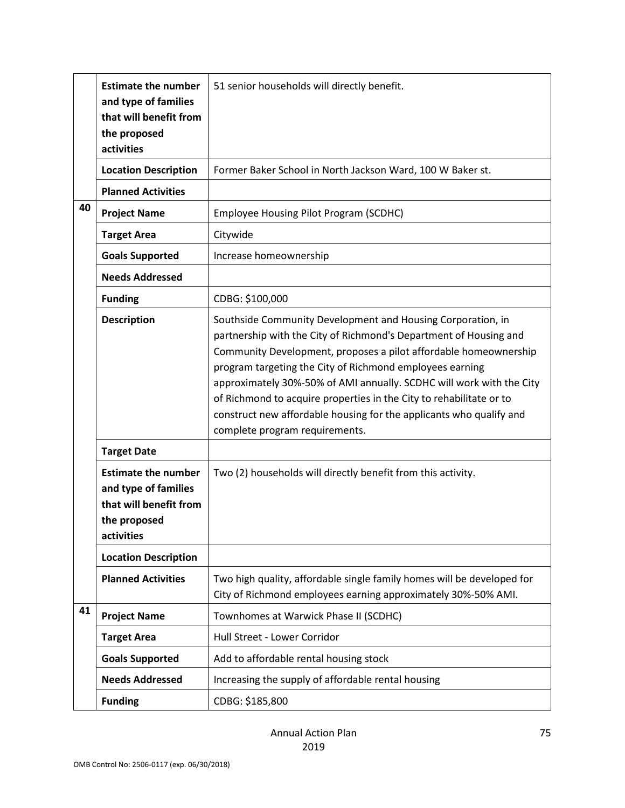|    | <b>Estimate the number</b><br>and type of families<br>that will benefit from<br>the proposed<br>activities | 51 senior households will directly benefit.                                                                                                                                                                                                                                                                                                                                                                                                                                                                              |
|----|------------------------------------------------------------------------------------------------------------|--------------------------------------------------------------------------------------------------------------------------------------------------------------------------------------------------------------------------------------------------------------------------------------------------------------------------------------------------------------------------------------------------------------------------------------------------------------------------------------------------------------------------|
|    | <b>Location Description</b>                                                                                | Former Baker School in North Jackson Ward, 100 W Baker st.                                                                                                                                                                                                                                                                                                                                                                                                                                                               |
|    | <b>Planned Activities</b>                                                                                  |                                                                                                                                                                                                                                                                                                                                                                                                                                                                                                                          |
| 40 | <b>Project Name</b>                                                                                        | Employee Housing Pilot Program (SCDHC)                                                                                                                                                                                                                                                                                                                                                                                                                                                                                   |
|    | <b>Target Area</b>                                                                                         | Citywide                                                                                                                                                                                                                                                                                                                                                                                                                                                                                                                 |
|    | <b>Goals Supported</b>                                                                                     | Increase homeownership                                                                                                                                                                                                                                                                                                                                                                                                                                                                                                   |
|    | <b>Needs Addressed</b>                                                                                     |                                                                                                                                                                                                                                                                                                                                                                                                                                                                                                                          |
|    | <b>Funding</b>                                                                                             | CDBG: \$100,000                                                                                                                                                                                                                                                                                                                                                                                                                                                                                                          |
|    | <b>Description</b>                                                                                         | Southside Community Development and Housing Corporation, in<br>partnership with the City of Richmond's Department of Housing and<br>Community Development, proposes a pilot affordable homeownership<br>program targeting the City of Richmond employees earning<br>approximately 30%-50% of AMI annually. SCDHC will work with the City<br>of Richmond to acquire properties in the City to rehabilitate or to<br>construct new affordable housing for the applicants who qualify and<br>complete program requirements. |
|    | <b>Target Date</b>                                                                                         |                                                                                                                                                                                                                                                                                                                                                                                                                                                                                                                          |
|    | <b>Estimate the number</b><br>and type of families<br>that will benefit from<br>the proposed<br>activities | Two (2) households will directly benefit from this activity.                                                                                                                                                                                                                                                                                                                                                                                                                                                             |
|    | <b>Location Description</b>                                                                                |                                                                                                                                                                                                                                                                                                                                                                                                                                                                                                                          |
|    | <b>Planned Activities</b>                                                                                  | Two high quality, affordable single family homes will be developed for<br>City of Richmond employees earning approximately 30%-50% AMI.                                                                                                                                                                                                                                                                                                                                                                                  |
| 41 | <b>Project Name</b>                                                                                        | Townhomes at Warwick Phase II (SCDHC)                                                                                                                                                                                                                                                                                                                                                                                                                                                                                    |
|    | <b>Target Area</b>                                                                                         | Hull Street - Lower Corridor                                                                                                                                                                                                                                                                                                                                                                                                                                                                                             |
|    | <b>Goals Supported</b>                                                                                     | Add to affordable rental housing stock                                                                                                                                                                                                                                                                                                                                                                                                                                                                                   |
|    | <b>Needs Addressed</b>                                                                                     | Increasing the supply of affordable rental housing                                                                                                                                                                                                                                                                                                                                                                                                                                                                       |
|    | <b>Funding</b>                                                                                             | CDBG: \$185,800                                                                                                                                                                                                                                                                                                                                                                                                                                                                                                          |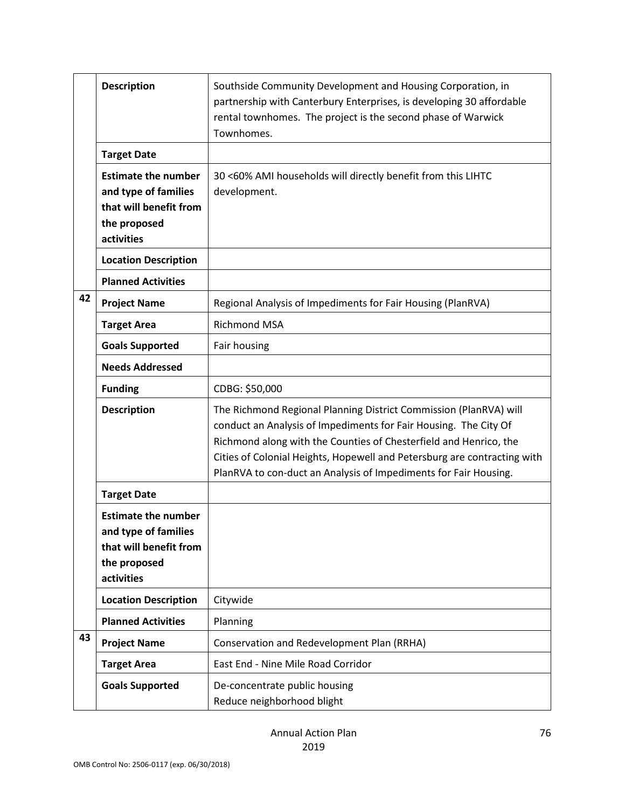|    | <b>Description</b>                                                                                         | Southside Community Development and Housing Corporation, in<br>partnership with Canterbury Enterprises, is developing 30 affordable<br>rental townhomes. The project is the second phase of Warwick<br>Townhomes.                                                                                                                                          |
|----|------------------------------------------------------------------------------------------------------------|------------------------------------------------------------------------------------------------------------------------------------------------------------------------------------------------------------------------------------------------------------------------------------------------------------------------------------------------------------|
|    | <b>Target Date</b>                                                                                         |                                                                                                                                                                                                                                                                                                                                                            |
|    | <b>Estimate the number</b><br>and type of families<br>that will benefit from<br>the proposed<br>activities | 30 <60% AMI households will directly benefit from this LIHTC<br>development.                                                                                                                                                                                                                                                                               |
|    | <b>Location Description</b>                                                                                |                                                                                                                                                                                                                                                                                                                                                            |
|    | <b>Planned Activities</b>                                                                                  |                                                                                                                                                                                                                                                                                                                                                            |
| 42 | <b>Project Name</b>                                                                                        | Regional Analysis of Impediments for Fair Housing (PlanRVA)                                                                                                                                                                                                                                                                                                |
|    | <b>Target Area</b>                                                                                         | <b>Richmond MSA</b>                                                                                                                                                                                                                                                                                                                                        |
|    | <b>Goals Supported</b>                                                                                     | Fair housing                                                                                                                                                                                                                                                                                                                                               |
|    | <b>Needs Addressed</b>                                                                                     |                                                                                                                                                                                                                                                                                                                                                            |
|    | <b>Funding</b>                                                                                             | CDBG: \$50,000                                                                                                                                                                                                                                                                                                                                             |
|    | <b>Description</b>                                                                                         | The Richmond Regional Planning District Commission (PlanRVA) will<br>conduct an Analysis of Impediments for Fair Housing. The City Of<br>Richmond along with the Counties of Chesterfield and Henrico, the<br>Cities of Colonial Heights, Hopewell and Petersburg are contracting with<br>PlanRVA to con-duct an Analysis of Impediments for Fair Housing. |
|    | <b>Target Date</b>                                                                                         |                                                                                                                                                                                                                                                                                                                                                            |
|    | <b>Estimate the number</b><br>and type of families<br>that will benefit from<br>the proposed<br>activities |                                                                                                                                                                                                                                                                                                                                                            |
|    | <b>Location Description</b>                                                                                | Citywide                                                                                                                                                                                                                                                                                                                                                   |
|    | <b>Planned Activities</b>                                                                                  | Planning                                                                                                                                                                                                                                                                                                                                                   |
| 43 | <b>Project Name</b>                                                                                        | Conservation and Redevelopment Plan (RRHA)                                                                                                                                                                                                                                                                                                                 |
|    | <b>Target Area</b>                                                                                         | East End - Nine Mile Road Corridor                                                                                                                                                                                                                                                                                                                         |
|    | <b>Goals Supported</b>                                                                                     | De-concentrate public housing<br>Reduce neighborhood blight                                                                                                                                                                                                                                                                                                |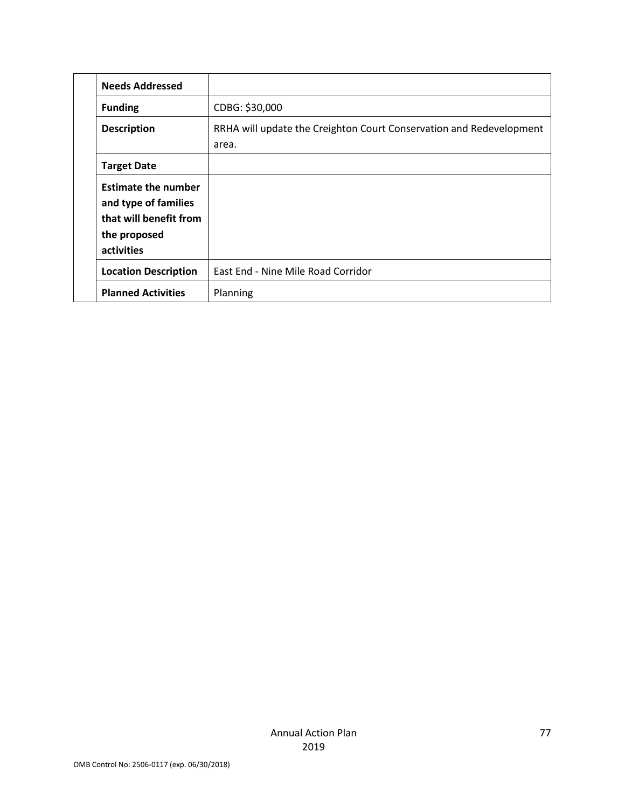| <b>Needs Addressed</b>                                                                                     |                                                                              |
|------------------------------------------------------------------------------------------------------------|------------------------------------------------------------------------------|
| <b>Funding</b>                                                                                             | CDBG: \$30,000                                                               |
| <b>Description</b>                                                                                         | RRHA will update the Creighton Court Conservation and Redevelopment<br>area. |
| <b>Target Date</b>                                                                                         |                                                                              |
| <b>Estimate the number</b><br>and type of families<br>that will benefit from<br>the proposed<br>activities |                                                                              |
| <b>Location Description</b>                                                                                | East End - Nine Mile Road Corridor                                           |
| <b>Planned Activities</b>                                                                                  | Planning                                                                     |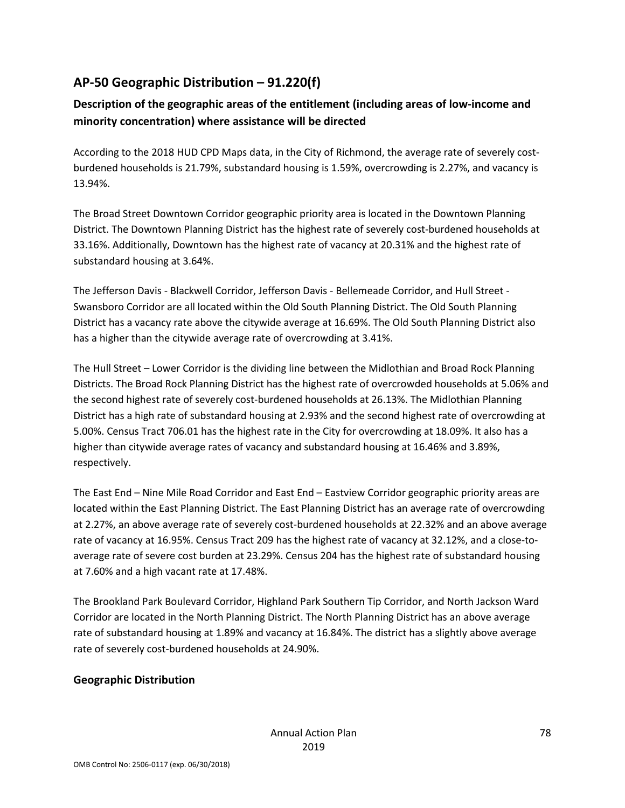### **AP-50 Geographic Distribution – 91.220(f)**

### **Description of the geographic areas of the entitlement (including areas of low-income and minority concentration) where assistance will be directed**

According to the 2018 HUD CPD Maps data, in the City of Richmond, the average rate of severely costburdened households is 21.79%, substandard housing is 1.59%, overcrowding is 2.27%, and vacancy is 13.94%.

The Broad Street Downtown Corridor geographic priority area is located in the Downtown Planning District. The Downtown Planning District has the highest rate of severely cost-burdened households at 33.16%. Additionally, Downtown has the highest rate of vacancy at 20.31% and the highest rate of substandard housing at 3.64%.

The Jefferson Davis - Blackwell Corridor, Jefferson Davis - Bellemeade Corridor, and Hull Street - Swansboro Corridor are all located within the Old South Planning District. The Old South Planning District has a vacancy rate above the citywide average at 16.69%. The Old South Planning District also has a higher than the citywide average rate of overcrowding at 3.41%.

The Hull Street – Lower Corridor is the dividing line between the Midlothian and Broad Rock Planning Districts. The Broad Rock Planning District has the highest rate of overcrowded households at 5.06% and the second highest rate of severely cost-burdened households at 26.13%. The Midlothian Planning District has a high rate of substandard housing at 2.93% and the second highest rate of overcrowding at 5.00%. Census Tract 706.01 has the highest rate in the City for overcrowding at 18.09%. It also has a higher than citywide average rates of vacancy and substandard housing at 16.46% and 3.89%, respectively.

The East End – Nine Mile Road Corridor and East End – Eastview Corridor geographic priority areas are located within the East Planning District. The East Planning District has an average rate of overcrowding at 2.27%, an above average rate of severely cost-burdened households at 22.32% and an above average rate of vacancy at 16.95%. Census Tract 209 has the highest rate of vacancy at 32.12%, and a close-toaverage rate of severe cost burden at 23.29%. Census 204 has the highest rate of substandard housing at 7.60% and a high vacant rate at 17.48%.

The Brookland Park Boulevard Corridor, Highland Park Southern Tip Corridor, and North Jackson Ward Corridor are located in the North Planning District. The North Planning District has an above average rate of substandard housing at 1.89% and vacancy at 16.84%. The district has a slightly above average rate of severely cost-burdened households at 24.90%.

#### **Geographic Distribution**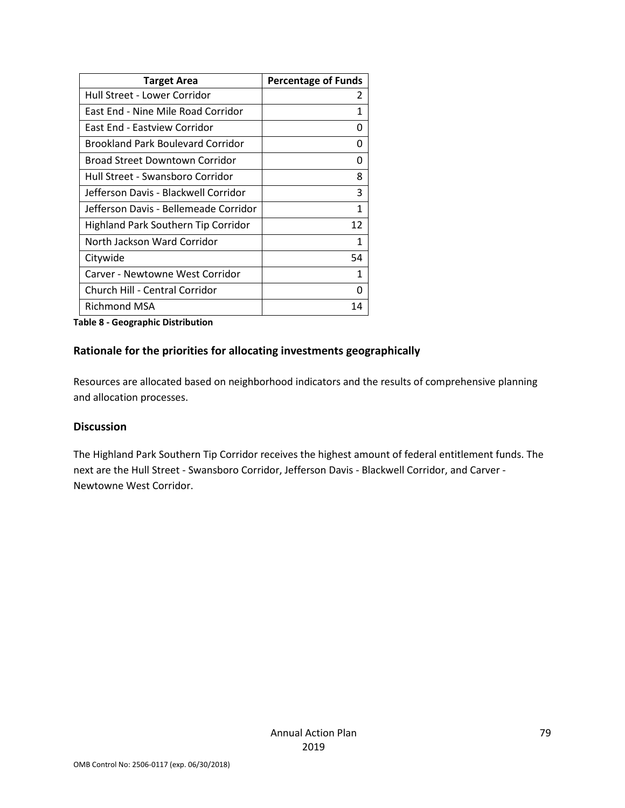| <b>Target Area</b>                    | <b>Percentage of Funds</b> |
|---------------------------------------|----------------------------|
| Hull Street - Lower Corridor          | 2                          |
| East End - Nine Mile Road Corridor    | 1                          |
| East End - Eastview Corridor          | U                          |
| Brookland Park Boulevard Corridor     | O                          |
| Broad Street Downtown Corridor        | O                          |
| Hull Street - Swansboro Corridor      | 8                          |
| Jefferson Davis - Blackwell Corridor  | 3                          |
| Jefferson Davis - Bellemeade Corridor | 1                          |
| Highland Park Southern Tip Corridor   | 12                         |
| North Jackson Ward Corridor           | 1                          |
| Citywide                              | 54                         |
| Carver - Newtowne West Corridor       | 1                          |
| Church Hill - Central Corridor        | 0                          |
| Richmond MSA                          | 14                         |

#### **Table 8 - Geographic Distribution**

#### **Rationale for the priorities for allocating investments geographically**

Resources are allocated based on neighborhood indicators and the results of comprehensive planning and allocation processes.

#### **Discussion**

The Highland Park Southern Tip Corridor receives the highest amount of federal entitlement funds. The next are the Hull Street - Swansboro Corridor, Jefferson Davis - Blackwell Corridor, and Carver - Newtowne West Corridor.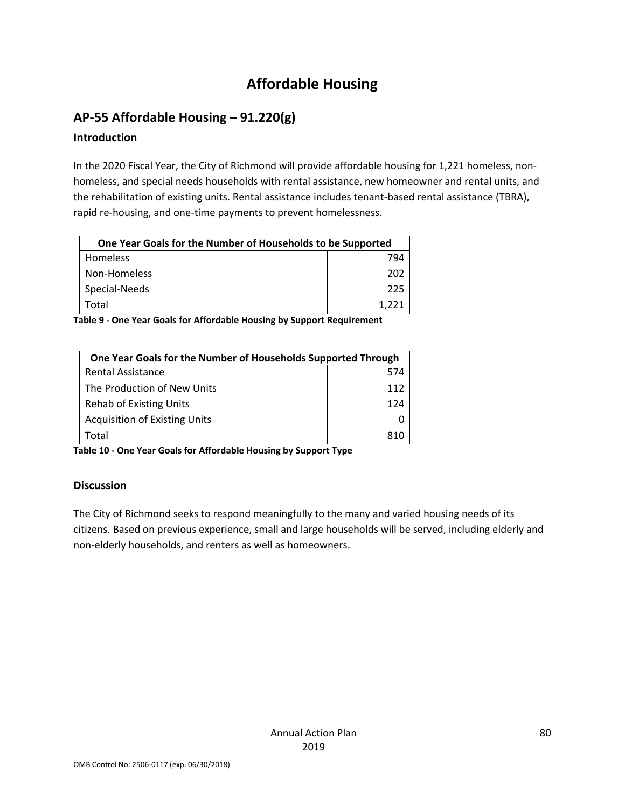## **Affordable Housing**

### **AP-55 Affordable Housing – 91.220(g)**

#### **Introduction**

In the 2020 Fiscal Year, the City of Richmond will provide affordable housing for 1,221 homeless, nonhomeless, and special needs households with rental assistance, new homeowner and rental units, and the rehabilitation of existing units. Rental assistance includes tenant-based rental assistance (TBRA), rapid re-housing, and one-time payments to prevent homelessness.

| One Year Goals for the Number of Households to be Supported |       |
|-------------------------------------------------------------|-------|
| <b>Homeless</b>                                             | 794   |
| Non-Homeless                                                | 202   |
| Special-Needs                                               | 225   |
| Total                                                       | 1.221 |

**Table 9 - One Year Goals for Affordable Housing by Support Requirement**

| One Year Goals for the Number of Households Supported Through |     |
|---------------------------------------------------------------|-----|
| Rental Assistance                                             | 574 |
| The Production of New Units                                   | 112 |
| <b>Rehab of Existing Units</b>                                | 124 |
| <b>Acquisition of Existing Units</b>                          |     |
| Total                                                         |     |

**Table 10 - One Year Goals for Affordable Housing by Support Type**

#### **Discussion**

The City of Richmond seeks to respond meaningfully to the many and varied housing needs of its citizens. Based on previous experience, small and large households will be served, including elderly and non-elderly households, and renters as well as homeowners.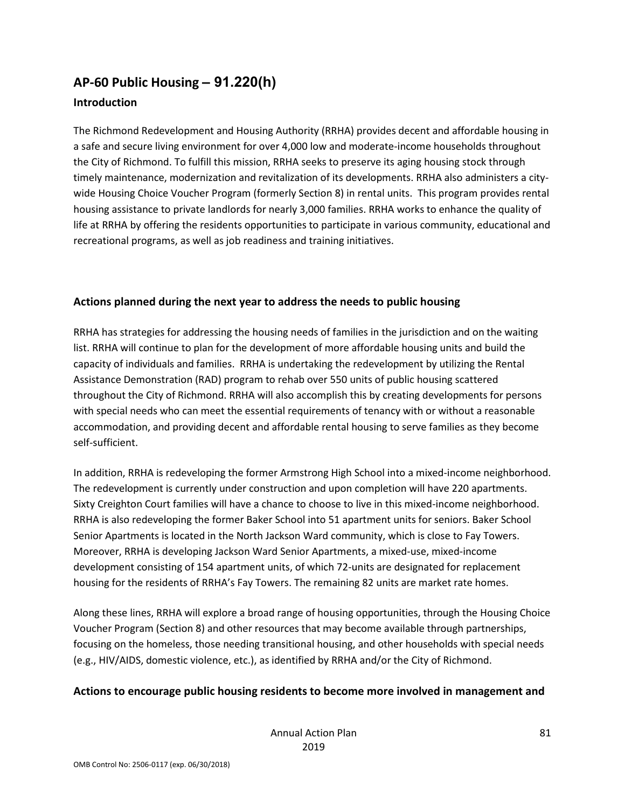# **AP-60 Public Housing** *–* **91.220(h)**

#### **Introduction**

The Richmond Redevelopment and Housing Authority (RRHA) provides decent and affordable housing in a safe and secure living environment for over 4,000 low and moderate-income households throughout the City of Richmond. To fulfill this mission, RRHA seeks to preserve its aging housing stock through timely maintenance, modernization and revitalization of its developments. RRHA also administers a citywide Housing Choice Voucher Program (formerly Section 8) in rental units. This program provides rental housing assistance to private landlords for nearly 3,000 families. RRHA works to enhance the quality of life at RRHA by offering the residents opportunities to participate in various community, educational and recreational programs, as well as job readiness and training initiatives.

#### **Actions planned during the next year to address the needs to public housing**

RRHA has strategies for addressing the housing needs of families in the jurisdiction and on the waiting list. RRHA will continue to plan for the development of more affordable housing units and build the capacity of individuals and families. RRHA is undertaking the redevelopment by utilizing the Rental Assistance Demonstration (RAD) program to rehab over 550 units of public housing scattered throughout the City of Richmond. RRHA will also accomplish this by creating developments for persons with special needs who can meet the essential requirements of tenancy with or without a reasonable accommodation, and providing decent and affordable rental housing to serve families as they become self-sufficient.

In addition, RRHA is redeveloping the former Armstrong High School into a mixed-income neighborhood. The redevelopment is currently under construction and upon completion will have 220 apartments. Sixty Creighton Court families will have a chance to choose to live in this mixed-income neighborhood. RRHA is also redeveloping the former Baker School into 51 apartment units for seniors. Baker School Senior Apartments is located in the North Jackson Ward community, which is close to Fay Towers. Moreover, RRHA is developing Jackson Ward Senior Apartments, a mixed-use, mixed-income development consisting of 154 apartment units, of which 72-units are designated for replacement housing for the residents of RRHA's Fay Towers. The remaining 82 units are market rate homes.

Along these lines, RRHA will explore a broad range of housing opportunities, through the Housing Choice Voucher Program (Section 8) and other resources that may become available through partnerships, focusing on the homeless, those needing transitional housing, and other households with special needs (e.g., HIV/AIDS, domestic violence, etc.), as identified by RRHA and/or the City of Richmond.

#### **Actions to encourage public housing residents to become more involved in management and**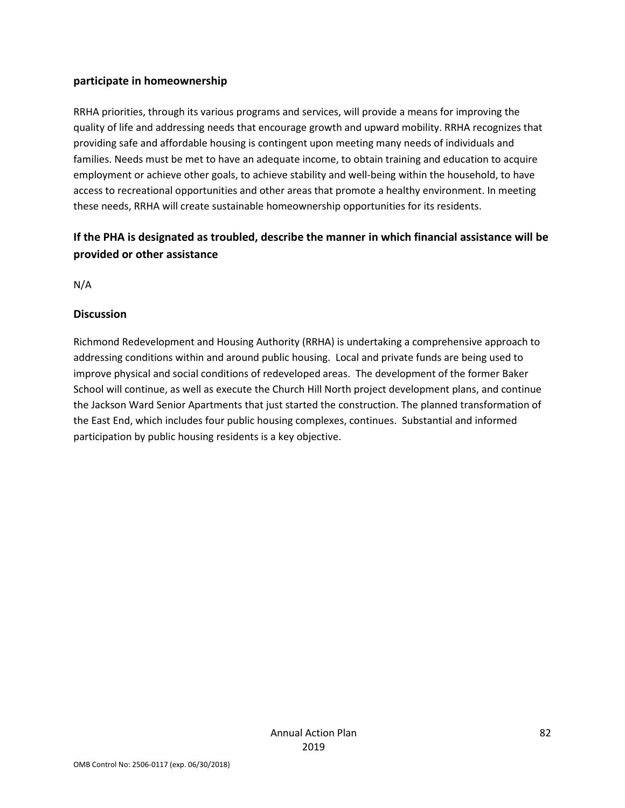#### **participate in homeownership**

RRHA priorities, through its various programs and services, will provide a means for improving the quality of life and addressing needs that encourage growth and upward mobility. RRHA recognizes that providing safe and affordable housing is contingent upon meeting many needs of individuals and families. Needs must be met to have an adequate income, to obtain training and education to acquire employment or achieve other goals, to achieve stability and well-being within the household, to have access to recreational opportunities and other areas that promote a healthy environment. In meeting these needs, RRHA will create sustainable homeownership opportunities for its residents.

### **If the PHA is designated as troubled, describe the manner in which financial assistance will be provided or other assistance**

N/A

#### **Discussion**

Richmond Redevelopment and Housing Authority (RRHA) is undertaking a comprehensive approach to addressing conditions within and around public housing. Local and private funds are being used to improve physical and social conditions of redeveloped areas. The development of the former Baker School will continue, as well as execute the Church Hill North project development plans, and continue the Jackson Ward Senior Apartments that just started the construction. The planned transformation of the East End, which includes four public housing complexes, continues. Substantial and informed participation by public housing residents is a key objective.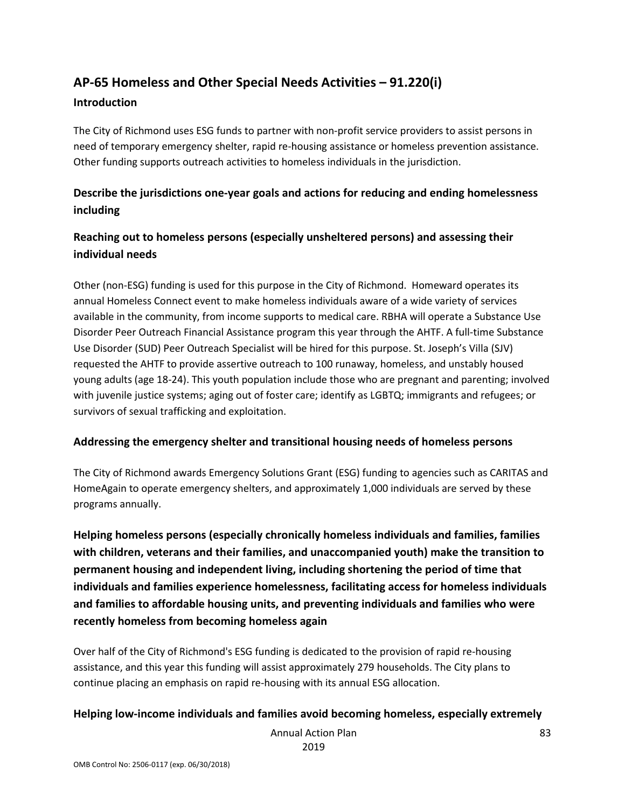# **AP-65 Homeless and Other Special Needs Activities – 91.220(i)**

#### **Introduction**

The City of Richmond uses ESG funds to partner with non-profit service providers to assist persons in need of temporary emergency shelter, rapid re-housing assistance or homeless prevention assistance. Other funding supports outreach activities to homeless individuals in the jurisdiction.

### **Describe the jurisdictions one-year goals and actions for reducing and ending homelessness including**

### **Reaching out to homeless persons (especially unsheltered persons) and assessing their individual needs**

Other (non-ESG) funding is used for this purpose in the City of Richmond. Homeward operates its annual Homeless Connect event to make homeless individuals aware of a wide variety of services available in the community, from income supports to medical care. RBHA will operate a Substance Use Disorder Peer Outreach Financial Assistance program this year through the AHTF. A full-time Substance Use Disorder (SUD) Peer Outreach Specialist will be hired for this purpose. St. Joseph's Villa (SJV) requested the AHTF to provide assertive outreach to 100 runaway, homeless, and unstably housed young adults (age 18-24). This youth population include those who are pregnant and parenting; involved with juvenile justice systems; aging out of foster care; identify as LGBTQ; immigrants and refugees; or survivors of sexual trafficking and exploitation.

#### **Addressing the emergency shelter and transitional housing needs of homeless persons**

The City of Richmond awards Emergency Solutions Grant (ESG) funding to agencies such as CARITAS and HomeAgain to operate emergency shelters, and approximately 1,000 individuals are served by these programs annually.

**Helping homeless persons (especially chronically homeless individuals and families, families with children, veterans and their families, and unaccompanied youth) make the transition to permanent housing and independent living, including shortening the period of time that individuals and families experience homelessness, facilitating access for homeless individuals and families to affordable housing units, and preventing individuals and families who were recently homeless from becoming homeless again**

Over half of the City of Richmond's ESG funding is dedicated to the provision of rapid re-housing assistance, and this year this funding will assist approximately 279 households. The City plans to continue placing an emphasis on rapid re-housing with its annual ESG allocation.

#### **Helping low-income individuals and families avoid becoming homeless, especially extremely**

Annual Action Plan 2019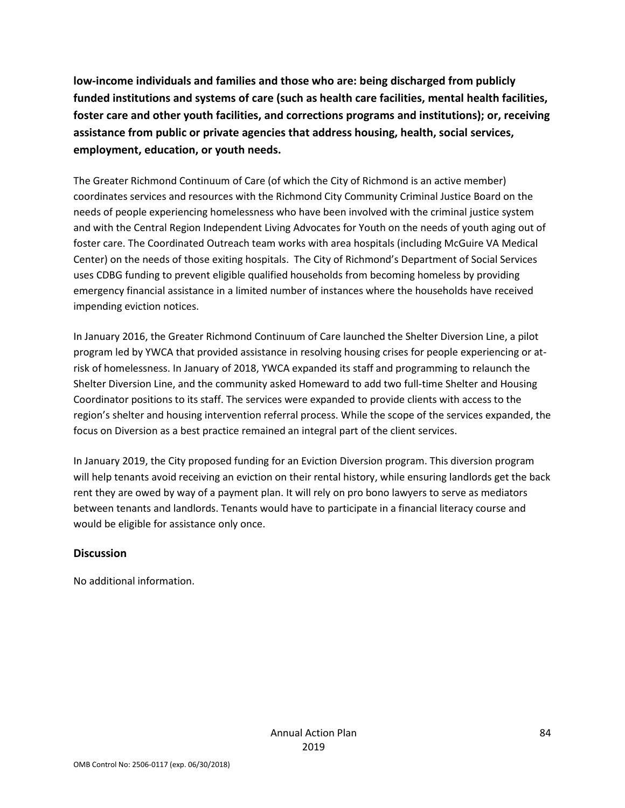**low-income individuals and families and those who are: being discharged from publicly funded institutions and systems of care (such as health care facilities, mental health facilities, foster care and other youth facilities, and corrections programs and institutions); or, receiving assistance from public or private agencies that address housing, health, social services, employment, education, or youth needs.**

The Greater Richmond Continuum of Care (of which the City of Richmond is an active member) coordinates services and resources with the Richmond City Community Criminal Justice Board on the needs of people experiencing homelessness who have been involved with the criminal justice system and with the Central Region Independent Living Advocates for Youth on the needs of youth aging out of foster care. The Coordinated Outreach team works with area hospitals (including McGuire VA Medical Center) on the needs of those exiting hospitals. The City of Richmond's Department of Social Services uses CDBG funding to prevent eligible qualified households from becoming homeless by providing emergency financial assistance in a limited number of instances where the households have received impending eviction notices.

In January 2016, the Greater Richmond Continuum of Care launched the Shelter Diversion Line, a pilot program led by YWCA that provided assistance in resolving housing crises for people experiencing or atrisk of homelessness. In January of 2018, YWCA expanded its staff and programming to relaunch the Shelter Diversion Line, and the community asked Homeward to add two full-time Shelter and Housing Coordinator positions to its staff. The services were expanded to provide clients with access to the region's shelter and housing intervention referral process. While the scope of the services expanded, the focus on Diversion as a best practice remained an integral part of the client services.

In January 2019, the City proposed funding for an Eviction Diversion program. This diversion program will help tenants avoid receiving an eviction on their rental history, while ensuring landlords get the back rent they are owed by way of a payment plan. It will rely on pro bono lawyers to serve as mediators between tenants and landlords. Tenants would have to participate in a financial literacy course and would be eligible for assistance only once.

#### **Discussion**

No additional information.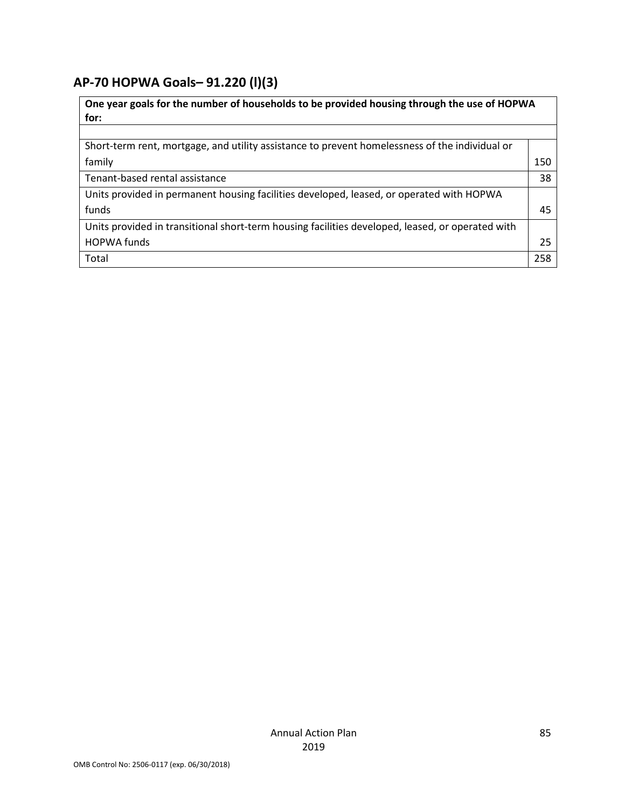## **AP-70 HOPWA Goals***–* **91.220 (l)(3)**

| One year goals for the number of households to be provided housing through the use of HOPWA<br>for: |     |
|-----------------------------------------------------------------------------------------------------|-----|
|                                                                                                     |     |
| Short-term rent, mortgage, and utility assistance to prevent homelessness of the individual or      |     |
| family                                                                                              | 150 |
| Tenant-based rental assistance                                                                      | 38  |
| Units provided in permanent housing facilities developed, leased, or operated with HOPWA            |     |
| funds                                                                                               | 45  |
| Units provided in transitional short-term housing facilities developed, leased, or operated with    |     |
| <b>HOPWA funds</b>                                                                                  | 25  |
| Total                                                                                               | 258 |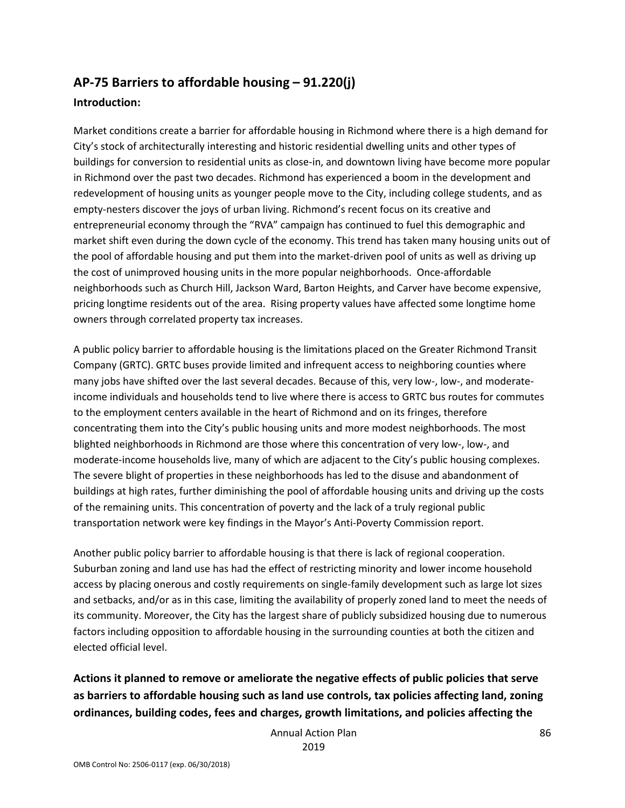### **AP-75 Barriers to affordable housing – 91.220(j)**

#### **Introduction:**

Market conditions create a barrier for affordable housing in Richmond where there is a high demand for City's stock of architecturally interesting and historic residential dwelling units and other types of buildings for conversion to residential units as close-in, and downtown living have become more popular in Richmond over the past two decades. Richmond has experienced a boom in the development and redevelopment of housing units as younger people move to the City, including college students, and as empty-nesters discover the joys of urban living. Richmond's recent focus on its creative and entrepreneurial economy through the "RVA" campaign has continued to fuel this demographic and market shift even during the down cycle of the economy. This trend has taken many housing units out of the pool of affordable housing and put them into the market-driven pool of units as well as driving up the cost of unimproved housing units in the more popular neighborhoods. Once-affordable neighborhoods such as Church Hill, Jackson Ward, Barton Heights, and Carver have become expensive, pricing longtime residents out of the area. Rising property values have affected some longtime home owners through correlated property tax increases.

A public policy barrier to affordable housing is the limitations placed on the Greater Richmond Transit Company (GRTC). GRTC buses provide limited and infrequent access to neighboring counties where many jobs have shifted over the last several decades. Because of this, very low-, low-, and moderateincome individuals and households tend to live where there is access to GRTC bus routes for commutes to the employment centers available in the heart of Richmond and on its fringes, therefore concentrating them into the City's public housing units and more modest neighborhoods. The most blighted neighborhoods in Richmond are those where this concentration of very low-, low-, and moderate-income households live, many of which are adjacent to the City's public housing complexes. The severe blight of properties in these neighborhoods has led to the disuse and abandonment of buildings at high rates, further diminishing the pool of affordable housing units and driving up the costs of the remaining units. This concentration of poverty and the lack of a truly regional public transportation network were key findings in the Mayor's Anti-Poverty Commission report.

Another public policy barrier to affordable housing is that there is lack of regional cooperation. Suburban zoning and land use has had the effect of restricting minority and lower income household access by placing onerous and costly requirements on single-family development such as large lot sizes and setbacks, and/or as in this case, limiting the availability of properly zoned land to meet the needs of its community. Moreover, the City has the largest share of publicly subsidized housing due to numerous factors including opposition to affordable housing in the surrounding counties at both the citizen and elected official level.

**Actions it planned to remove or ameliorate the negative effects of public policies that serve as barriers to affordable housing such as land use controls, tax policies affecting land, zoning ordinances, building codes, fees and charges, growth limitations, and policies affecting the** 

> Annual Action Plan 2019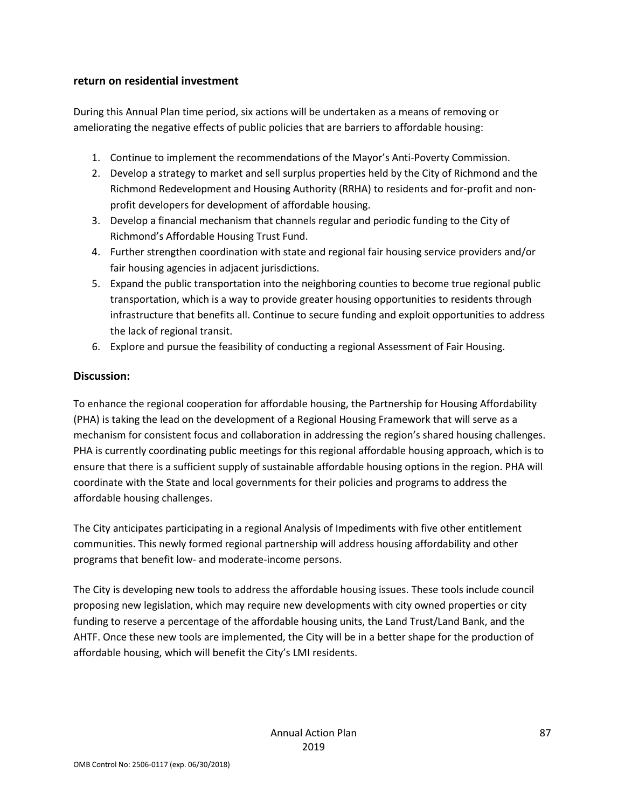#### **return on residential investment**

During this Annual Plan time period, six actions will be undertaken as a means of removing or ameliorating the negative effects of public policies that are barriers to affordable housing:

- 1. Continue to implement the recommendations of the Mayor's Anti-Poverty Commission.
- 2. Develop a strategy to market and sell surplus properties held by the City of Richmond and the Richmond Redevelopment and Housing Authority (RRHA) to residents and for-profit and nonprofit developers for development of affordable housing.
- 3. Develop a financial mechanism that channels regular and periodic funding to the City of Richmond's Affordable Housing Trust Fund.
- 4. Further strengthen coordination with state and regional fair housing service providers and/or fair housing agencies in adjacent jurisdictions.
- 5. Expand the public transportation into the neighboring counties to become true regional public transportation, which is a way to provide greater housing opportunities to residents through infrastructure that benefits all. Continue to secure funding and exploit opportunities to address the lack of regional transit.
- 6. Explore and pursue the feasibility of conducting a regional Assessment of Fair Housing.

#### **Discussion:**

To enhance the regional cooperation for affordable housing, the Partnership for Housing Affordability (PHA) is taking the lead on the development of a Regional Housing Framework that will serve as a mechanism for consistent focus and collaboration in addressing the region's shared housing challenges. PHA is currently coordinating public meetings for this regional affordable housing approach, which is to ensure that there is a sufficient supply of sustainable affordable housing options in the region. PHA will coordinate with the State and local governments for their policies and programs to address the affordable housing challenges.

The City anticipates participating in a regional Analysis of Impediments with five other entitlement communities. This newly formed regional partnership will address housing affordability and other programs that benefit low- and moderate-income persons.

The City is developing new tools to address the affordable housing issues. These tools include council proposing new legislation, which may require new developments with city owned properties or city funding to reserve a percentage of the affordable housing units, the Land Trust/Land Bank, and the AHTF. Once these new tools are implemented, the City will be in a better shape for the production of affordable housing, which will benefit the City's LMI residents.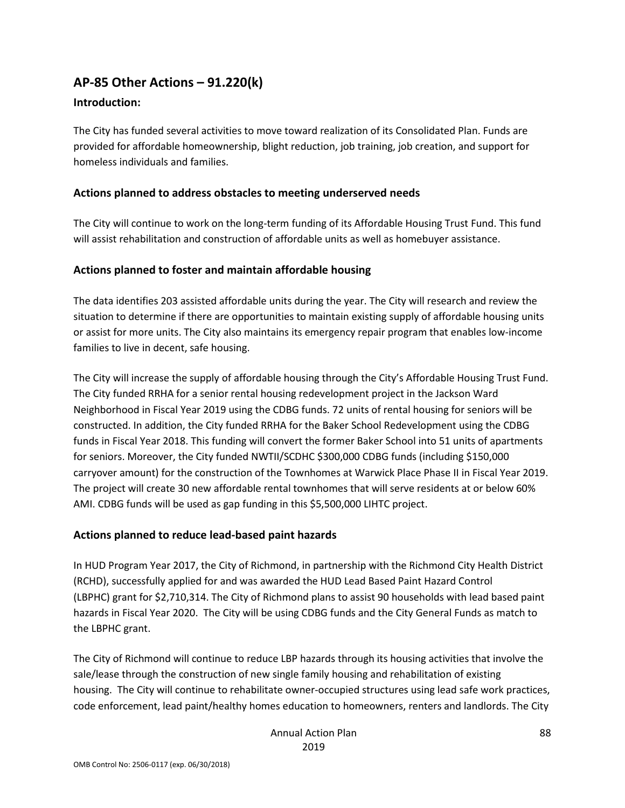### **AP-85 Other Actions – 91.220(k)**

#### **Introduction:**

The City has funded several activities to move toward realization of its Consolidated Plan. Funds are provided for affordable homeownership, blight reduction, job training, job creation, and support for homeless individuals and families.

#### **Actions planned to address obstacles to meeting underserved needs**

The City will continue to work on the long-term funding of its Affordable Housing Trust Fund. This fund will assist rehabilitation and construction of affordable units as well as homebuyer assistance.

#### **Actions planned to foster and maintain affordable housing**

The data identifies 203 assisted affordable units during the year. The City will research and review the situation to determine if there are opportunities to maintain existing supply of affordable housing units or assist for more units. The City also maintains its emergency repair program that enables low-income families to live in decent, safe housing.

The City will increase the supply of affordable housing through the City's Affordable Housing Trust Fund. The City funded RRHA for a senior rental housing redevelopment project in the Jackson Ward Neighborhood in Fiscal Year 2019 using the CDBG funds. 72 units of rental housing for seniors will be constructed. In addition, the City funded RRHA for the Baker School Redevelopment using the CDBG funds in Fiscal Year 2018. This funding will convert the former Baker School into 51 units of apartments for seniors. Moreover, the City funded NWTII/SCDHC \$300,000 CDBG funds (including \$150,000 carryover amount) for the construction of the Townhomes at Warwick Place Phase II in Fiscal Year 2019. The project will create 30 new affordable rental townhomes that will serve residents at or below 60% AMI. CDBG funds will be used as gap funding in this \$5,500,000 LIHTC project.

#### **Actions planned to reduce lead-based paint hazards**

In HUD Program Year 2017, the City of Richmond, in partnership with the Richmond City Health District (RCHD), successfully applied for and was awarded the HUD Lead Based Paint Hazard Control (LBPHC) grant for \$2,710,314. The City of Richmond plans to assist 90 households with lead based paint hazards in Fiscal Year 2020. The City will be using CDBG funds and the City General Funds as match to the LBPHC grant.

The City of Richmond will continue to reduce LBP hazards through its housing activities that involve the sale/lease through the construction of new single family housing and rehabilitation of existing housing. The City will continue to rehabilitate owner-occupied structures using lead safe work practices, code enforcement, lead paint/healthy homes education to homeowners, renters and landlords. The City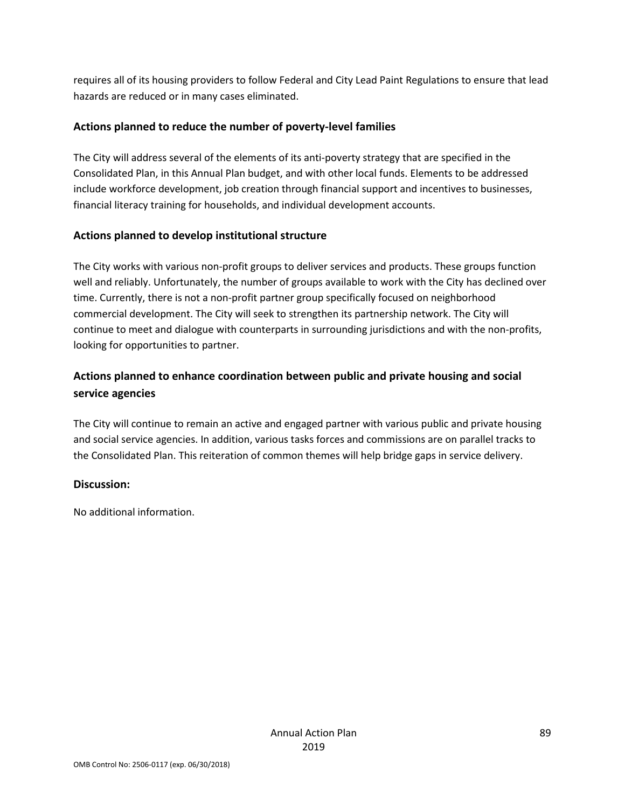requires all of its housing providers to follow Federal and City Lead Paint Regulations to ensure that lead hazards are reduced or in many cases eliminated.

#### **Actions planned to reduce the number of poverty-level families**

The City will address several of the elements of its anti-poverty strategy that are specified in the Consolidated Plan, in this Annual Plan budget, and with other local funds. Elements to be addressed include workforce development, job creation through financial support and incentives to businesses, financial literacy training for households, and individual development accounts.

#### **Actions planned to develop institutional structure**

The City works with various non-profit groups to deliver services and products. These groups function well and reliably. Unfortunately, the number of groups available to work with the City has declined over time. Currently, there is not a non-profit partner group specifically focused on neighborhood commercial development. The City will seek to strengthen its partnership network. The City will continue to meet and dialogue with counterparts in surrounding jurisdictions and with the non-profits, looking for opportunities to partner.

### **Actions planned to enhance coordination between public and private housing and social service agencies**

The City will continue to remain an active and engaged partner with various public and private housing and social service agencies. In addition, various tasks forces and commissions are on parallel tracks to the Consolidated Plan. This reiteration of common themes will help bridge gaps in service delivery.

#### **Discussion:**

No additional information.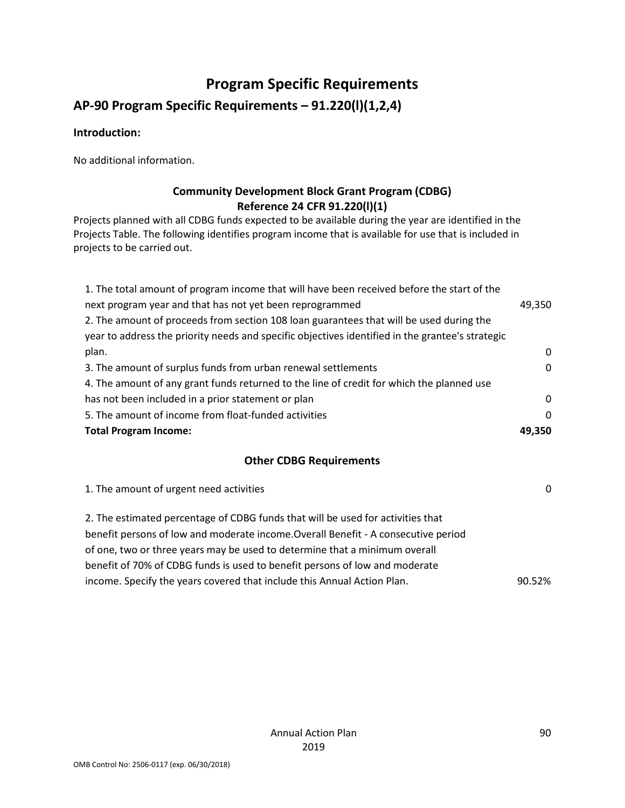## **Program Specific Requirements**

### **AP-90 Program Specific Requirements – 91.220(l)(1,2,4)**

#### **Introduction:**

No additional information.

### **Community Development Block Grant Program (CDBG) Reference 24 CFR 91.220(l)(1)**

Projects planned with all CDBG funds expected to be available during the year are identified in the Projects Table. The following identifies program income that is available for use that is included in projects to be carried out.

| 1. The total amount of program income that will have been received before the start of the       |          |
|--------------------------------------------------------------------------------------------------|----------|
| next program year and that has not yet been reprogrammed                                         | 49,350   |
| 2. The amount of proceeds from section 108 loan guarantees that will be used during the          |          |
| year to address the priority needs and specific objectives identified in the grantee's strategic |          |
| plan.                                                                                            | 0        |
| 3. The amount of surplus funds from urban renewal settlements                                    | 0        |
| 4. The amount of any grant funds returned to the line of credit for which the planned use        |          |
| has not been included in a prior statement or plan                                               | $\Omega$ |
| 5. The amount of income from float-funded activities                                             | 0        |
| <b>Total Program Income:</b>                                                                     | 49.350   |

#### **Other CDBG Requirements**

| 1. The amount of urgent need activities                                            | 0      |
|------------------------------------------------------------------------------------|--------|
| 2. The estimated percentage of CDBG funds that will be used for activities that    |        |
| benefit persons of low and moderate income. Overall Benefit - A consecutive period |        |
| of one, two or three years may be used to determine that a minimum overall         |        |
| benefit of 70% of CDBG funds is used to benefit persons of low and moderate        |        |
| income. Specify the years covered that include this Annual Action Plan.            | 90.52% |
|                                                                                    |        |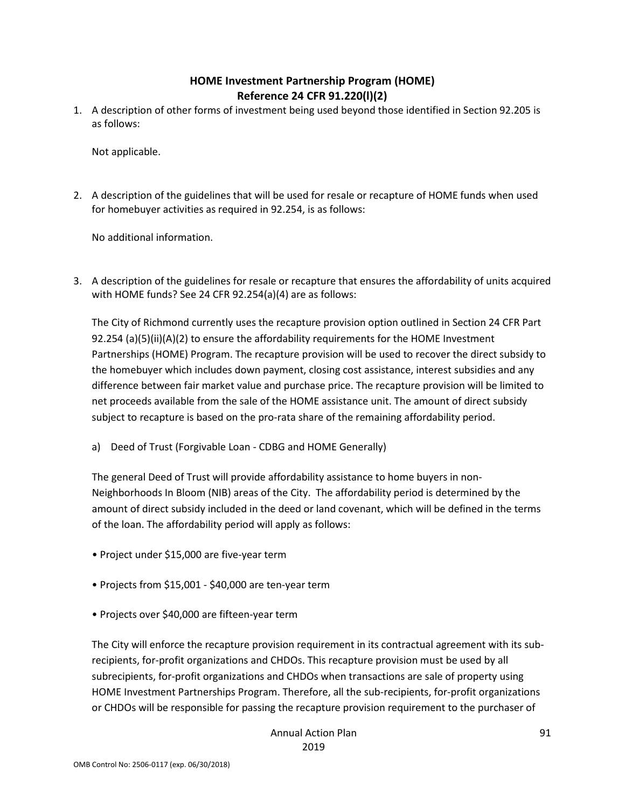#### **HOME Investment Partnership Program (HOME) Reference 24 CFR 91.220(l)(2)**

1. A description of other forms of investment being used beyond those identified in Section 92.205 is as follows:

Not applicable.

2. A description of the guidelines that will be used for resale or recapture of HOME funds when used for homebuyer activities as required in 92.254, is as follows:

No additional information.

3. A description of the guidelines for resale or recapture that ensures the affordability of units acquired with HOME funds? See 24 CFR 92.254(a)(4) are as follows:

The City of Richmond currently uses the recapture provision option outlined in Section 24 CFR Part 92.254 (a)(5)(ii)(A)(2) to ensure the affordability requirements for the HOME Investment Partnerships (HOME) Program. The recapture provision will be used to recover the direct subsidy to the homebuyer which includes down payment, closing cost assistance, interest subsidies and any difference between fair market value and purchase price. The recapture provision will be limited to net proceeds available from the sale of the HOME assistance unit. The amount of direct subsidy subject to recapture is based on the pro-rata share of the remaining affordability period.

a) Deed of Trust (Forgivable Loan - CDBG and HOME Generally)

The general Deed of Trust will provide affordability assistance to home buyers in non-Neighborhoods In Bloom (NIB) areas of the City. The affordability period is determined by the amount of direct subsidy included in the deed or land covenant, which will be defined in the terms of the loan. The affordability period will apply as follows:

- Project under \$15,000 are five-year term
- Projects from \$15,001 \$40,000 are ten-year term
- Projects over \$40,000 are fifteen-year term

The City will enforce the recapture provision requirement in its contractual agreement with its subrecipients, for-profit organizations and CHDOs. This recapture provision must be used by all subrecipients, for-profit organizations and CHDOs when transactions are sale of property using HOME Investment Partnerships Program. Therefore, all the sub-recipients, for-profit organizations or CHDOs will be responsible for passing the recapture provision requirement to the purchaser of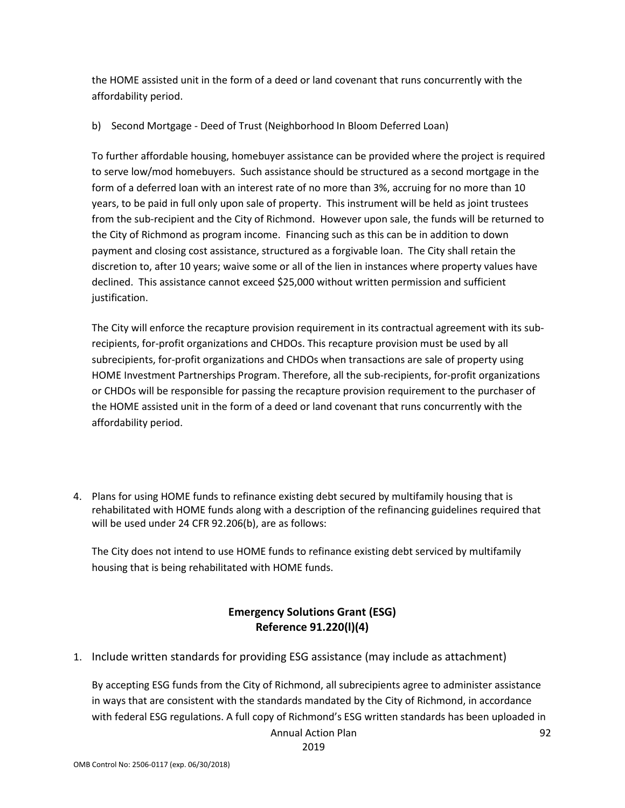the HOME assisted unit in the form of a deed or land covenant that runs concurrently with the affordability period.

#### b) Second Mortgage - Deed of Trust (Neighborhood In Bloom Deferred Loan)

To further affordable housing, homebuyer assistance can be provided where the project is required to serve low/mod homebuyers. Such assistance should be structured as a second mortgage in the form of a deferred loan with an interest rate of no more than 3%, accruing for no more than 10 years, to be paid in full only upon sale of property. This instrument will be held as joint trustees from the sub-recipient and the City of Richmond. However upon sale, the funds will be returned to the City of Richmond as program income. Financing such as this can be in addition to down payment and closing cost assistance, structured as a forgivable loan. The City shall retain the discretion to, after 10 years; waive some or all of the lien in instances where property values have declined. This assistance cannot exceed \$25,000 without written permission and sufficient justification.

The City will enforce the recapture provision requirement in its contractual agreement with its subrecipients, for-profit organizations and CHDOs. This recapture provision must be used by all subrecipients, for-profit organizations and CHDOs when transactions are sale of property using HOME Investment Partnerships Program. Therefore, all the sub-recipients, for-profit organizations or CHDOs will be responsible for passing the recapture provision requirement to the purchaser of the HOME assisted unit in the form of a deed or land covenant that runs concurrently with the affordability period.

4. Plans for using HOME funds to refinance existing debt secured by multifamily housing that is rehabilitated with HOME funds along with a description of the refinancing guidelines required that will be used under 24 CFR 92.206(b), are as follows:

The City does not intend to use HOME funds to refinance existing debt serviced by multifamily housing that is being rehabilitated with HOME funds.

#### **Emergency Solutions Grant (ESG) Reference 91.220(l)(4)**

1. Include written standards for providing ESG assistance (may include as attachment)

By accepting ESG funds from the City of Richmond, all subrecipients agree to administer assistance in ways that are consistent with the standards mandated by the City of Richmond, in accordance with federal ESG regulations. A full copy of Richmond's ESG written standards has been uploaded in

Annual Action Plan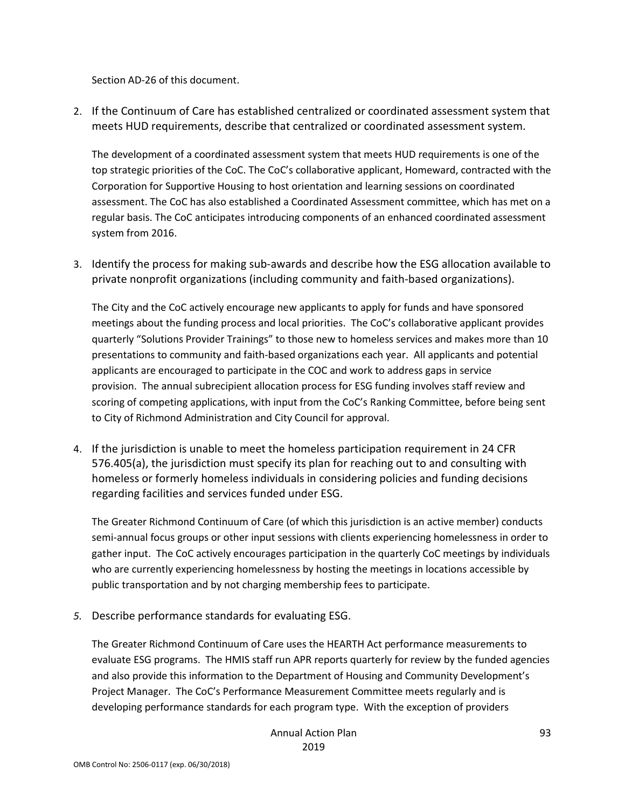Section AD-26 of this document.

2. If the Continuum of Care has established centralized or coordinated assessment system that meets HUD requirements, describe that centralized or coordinated assessment system.

The development of a coordinated assessment system that meets HUD requirements is one of the top strategic priorities of the CoC. The CoC's collaborative applicant, Homeward, contracted with the Corporation for Supportive Housing to host orientation and learning sessions on coordinated assessment. The CoC has also established a Coordinated Assessment committee, which has met on a regular basis. The CoC anticipates introducing components of an enhanced coordinated assessment system from 2016.

3. Identify the process for making sub-awards and describe how the ESG allocation available to private nonprofit organizations (including community and faith-based organizations).

The City and the CoC actively encourage new applicants to apply for funds and have sponsored meetings about the funding process and local priorities. The CoC's collaborative applicant provides quarterly "Solutions Provider Trainings" to those new to homeless services and makes more than 10 presentations to community and faith-based organizations each year. All applicants and potential applicants are encouraged to participate in the COC and work to address gaps in service provision. The annual subrecipient allocation process for ESG funding involves staff review and scoring of competing applications, with input from the CoC's Ranking Committee, before being sent to City of Richmond Administration and City Council for approval.

4. If the jurisdiction is unable to meet the homeless participation requirement in 24 CFR 576.405(a), the jurisdiction must specify its plan for reaching out to and consulting with homeless or formerly homeless individuals in considering policies and funding decisions regarding facilities and services funded under ESG.

The Greater Richmond Continuum of Care (of which this jurisdiction is an active member) conducts semi-annual focus groups or other input sessions with clients experiencing homelessness in order to gather input. The CoC actively encourages participation in the quarterly CoC meetings by individuals who are currently experiencing homelessness by hosting the meetings in locations accessible by public transportation and by not charging membership fees to participate.

*5.* Describe performance standards for evaluating ESG.

The Greater Richmond Continuum of Care uses the HEARTH Act performance measurements to evaluate ESG programs. The HMIS staff run APR reports quarterly for review by the funded agencies and also provide this information to the Department of Housing and Community Development's Project Manager. The CoC's Performance Measurement Committee meets regularly and is developing performance standards for each program type. With the exception of providers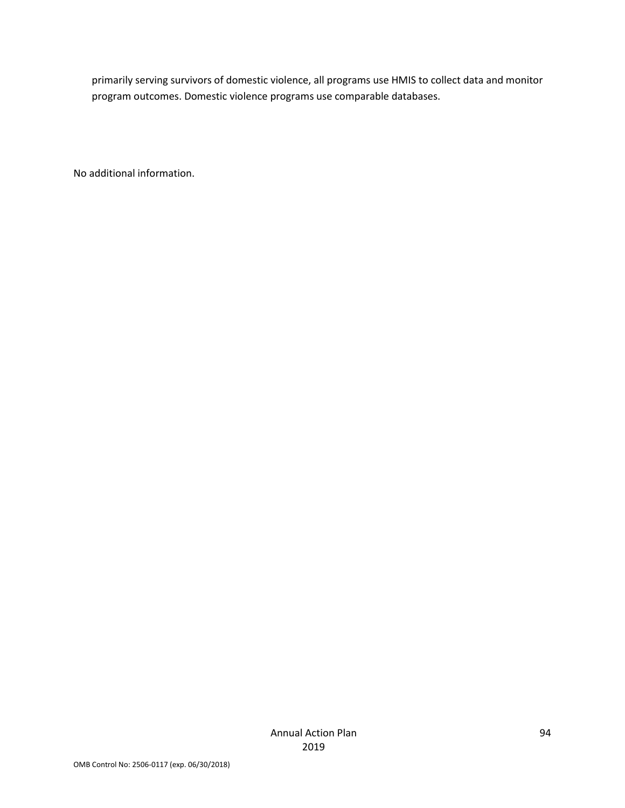primarily serving survivors of domestic violence, all programs use HMIS to collect data and monitor program outcomes. Domestic violence programs use comparable databases.

No additional information.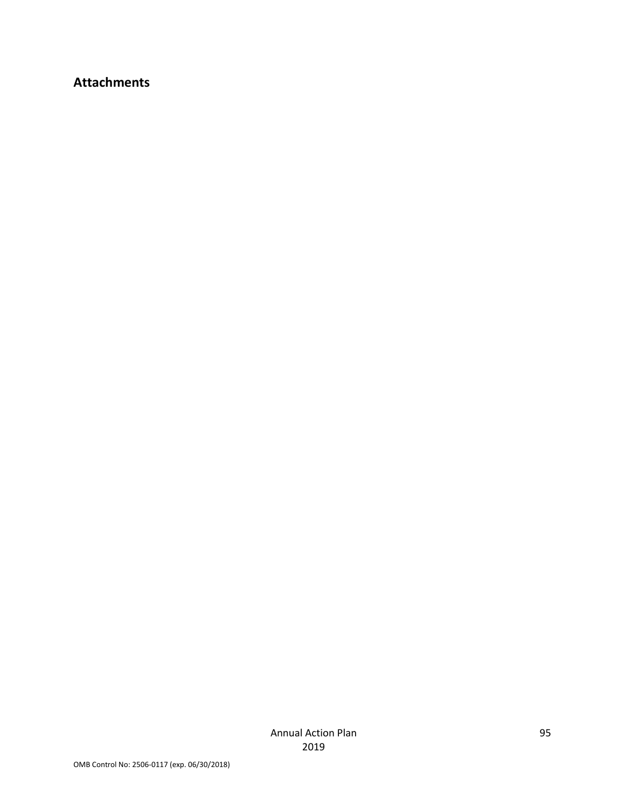## **Attachments**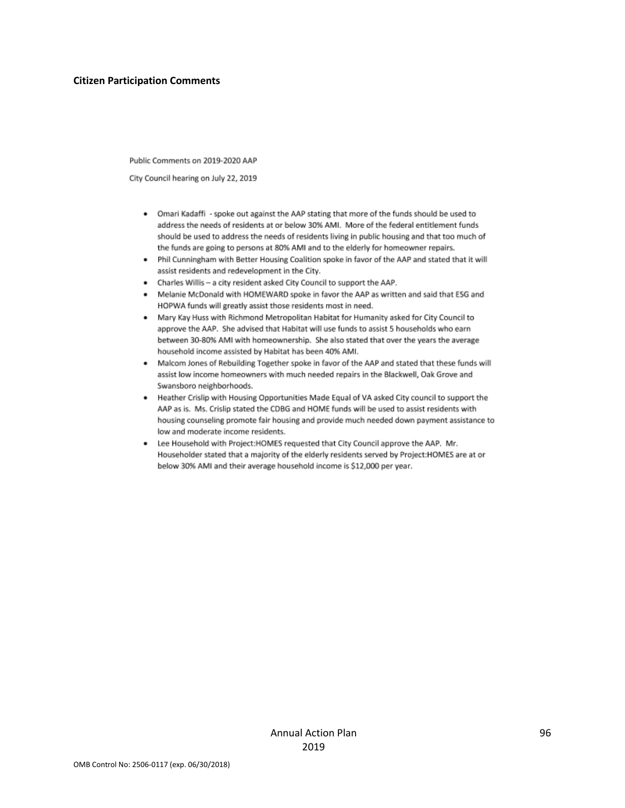#### **Citizen Participation Comments**

Public Comments on 2019-2020 AAP

City Council hearing on July 22, 2019

- . Omari Kadaffi spoke out against the AAP stating that more of the funds should be used to address the needs of residents at or below 30% AMI. More of the federal entitlement funds should be used to address the needs of residents living in public housing and that too much of the funds are going to persons at 80% AMI and to the elderly for homeowner repairs.
- . Phil Cunningham with Better Housing Coalition spoke in favor of the AAP and stated that it will assist residents and redevelopment in the City.
- Charles Willis a city resident asked City Council to support the AAP.
- . Melanie McDonald with HOMEWARD spoke in favor the AAP as written and said that ESG and HOPWA funds will greatly assist those residents most in need.
- . Mary Kay Huss with Richmond Metropolitan Habitat for Humanity asked for City Council to approve the AAP. She advised that Habitat will use funds to assist 5 households who earn between 30-80% AMI with homeownership. She also stated that over the years the average household income assisted by Habitat has been 40% AMI.
- . Malcom Jones of Rebuilding Together spoke in favor of the AAP and stated that these funds will assist low income homeowners with much needed repairs in the Blackwell, Oak Grove and Swansboro neighborhoods.
- . Heather Crislip with Housing Opportunities Made Equal of VA asked City council to support the AAP as is. Ms. Crislip stated the CDBG and HOME funds will be used to assist residents with housing counseling promote fair housing and provide much needed down payment assistance to low and moderate income residents.
- . Lee Household with Project:HOMES requested that City Council approve the AAP. Mr. Householder stated that a majority of the elderly residents served by Project:HOMES are at or below 30% AMI and their average household income is \$12,000 per year.